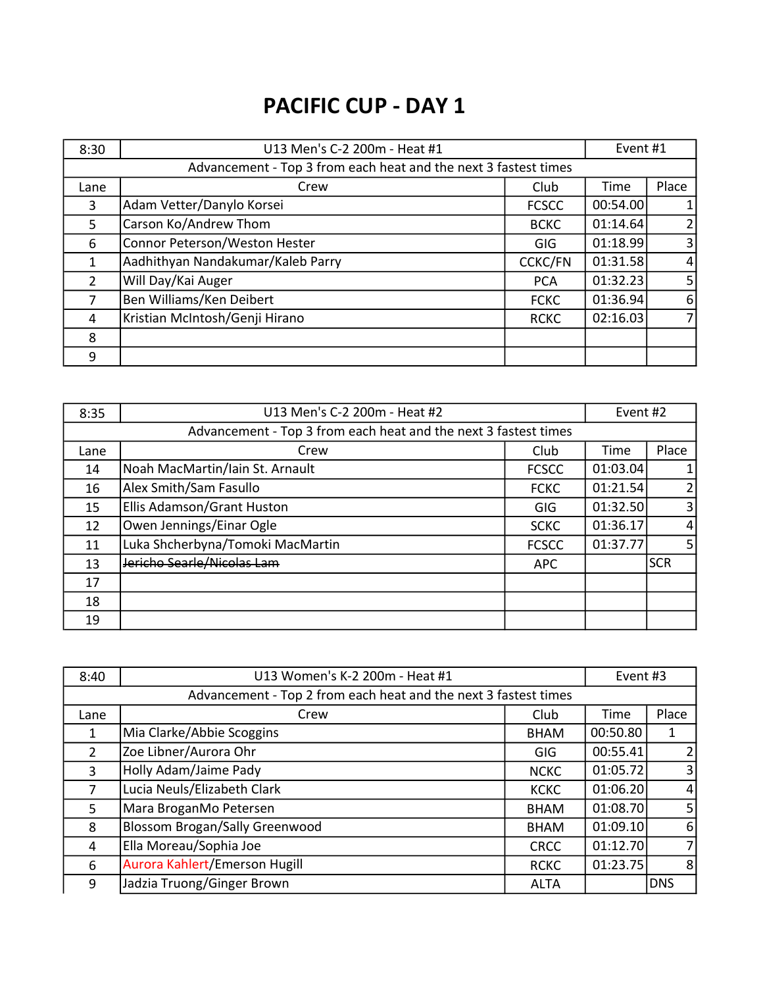# PACIFIC CUP - DAY 1

| 8:30           | U13 Men's C-2 200m - Heat #1                                    |                | Event #1 |                |
|----------------|-----------------------------------------------------------------|----------------|----------|----------------|
|                | Advancement - Top 3 from each heat and the next 3 fastest times |                |          |                |
| Lane           | Crew                                                            | Club           | Time     | Place          |
| 3              | Adam Vetter/Danylo Korsei                                       | <b>FCSCC</b>   | 00:54.00 |                |
| 5              | Carson Ko/Andrew Thom                                           | <b>BCKC</b>    | 01:14.64 | $\overline{2}$ |
| 6              | Connor Peterson/Weston Hester                                   | GIG            | 01:18.99 | $\overline{3}$ |
| $\mathbf{1}$   | Aadhithyan Nandakumar/Kaleb Parry                               | <b>CCKC/FN</b> | 01:31.58 | $\vert$        |
| $\overline{2}$ | Will Day/Kai Auger                                              | <b>PCA</b>     | 01:32.23 | 5 <sub>l</sub> |
| 7              | Ben Williams/Ken Deibert                                        | <b>FCKC</b>    | 01:36.94 | $6 \mid$       |
| 4              | Kristian McIntosh/Genji Hirano                                  | <b>RCKC</b>    | 02:16.03 | 71             |
| 8              |                                                                 |                |          |                |
| 9              |                                                                 |                |          |                |

| 8:35 | U13 Men's C-2 200m - Heat #2                                    |              | Event #2 |                |
|------|-----------------------------------------------------------------|--------------|----------|----------------|
|      | Advancement - Top 3 from each heat and the next 3 fastest times |              |          |                |
| Lane | Crew                                                            | Club         | Time     | Place          |
| 14   | Noah MacMartin/Iain St. Arnault                                 | <b>FCSCC</b> | 01:03.04 |                |
| 16   | Alex Smith/Sam Fasullo                                          | <b>FCKC</b>  | 01:21.54 | $\overline{2}$ |
| 15   | Ellis Adamson/Grant Huston                                      | GIG          | 01:32.50 | $\overline{3}$ |
| 12   | Owen Jennings/Einar Ogle                                        | <b>SCKC</b>  | 01:36.17 | $\vert$        |
| 11   | Luka Shcherbyna/Tomoki MacMartin                                | <b>FCSCC</b> | 01:37.77 | 5 <sub>l</sub> |
| 13   | Jericho Searle/Nicolas Lam                                      | <b>APC</b>   |          | <b>SCR</b>     |
| 17   |                                                                 |              |          |                |
| 18   |                                                                 |              |          |                |
| 19   |                                                                 |              |          |                |

| 8:40           | U13 Women's K-2 200m - Heat #1                                  |             | Event #3 |                |
|----------------|-----------------------------------------------------------------|-------------|----------|----------------|
|                | Advancement - Top 2 from each heat and the next 3 fastest times |             |          |                |
| Lane           | Crew                                                            | Club        | Time     | Place          |
| 1              | Mia Clarke/Abbie Scoggins                                       | <b>BHAM</b> | 00:50.80 | 1              |
| $\overline{2}$ | Zoe Libner/Aurora Ohr                                           | <b>GIG</b>  | 00:55.41 | $\overline{2}$ |
| 3              | Holly Adam/Jaime Pady                                           | <b>NCKC</b> | 01:05.72 | $\overline{3}$ |
| 7              | Lucia Neuls/Elizabeth Clark                                     | <b>KCKC</b> | 01:06.20 | $\overline{4}$ |
| 5              | Mara BroganMo Petersen                                          | <b>BHAM</b> | 01:08.70 | 5 <sup>1</sup> |
| 8              | <b>Blossom Brogan/Sally Greenwood</b>                           | <b>BHAM</b> | 01:09.10 | 6              |
| $\overline{4}$ | Ella Moreau/Sophia Joe                                          | <b>CRCC</b> | 01:12.70 | $\overline{7}$ |
| 6              | Aurora Kahlert/Emerson Hugill                                   | <b>RCKC</b> | 01:23.75 | 8              |
| 9              | Jadzia Truong/Ginger Brown                                      | <b>ALTA</b> |          | <b>DNS</b>     |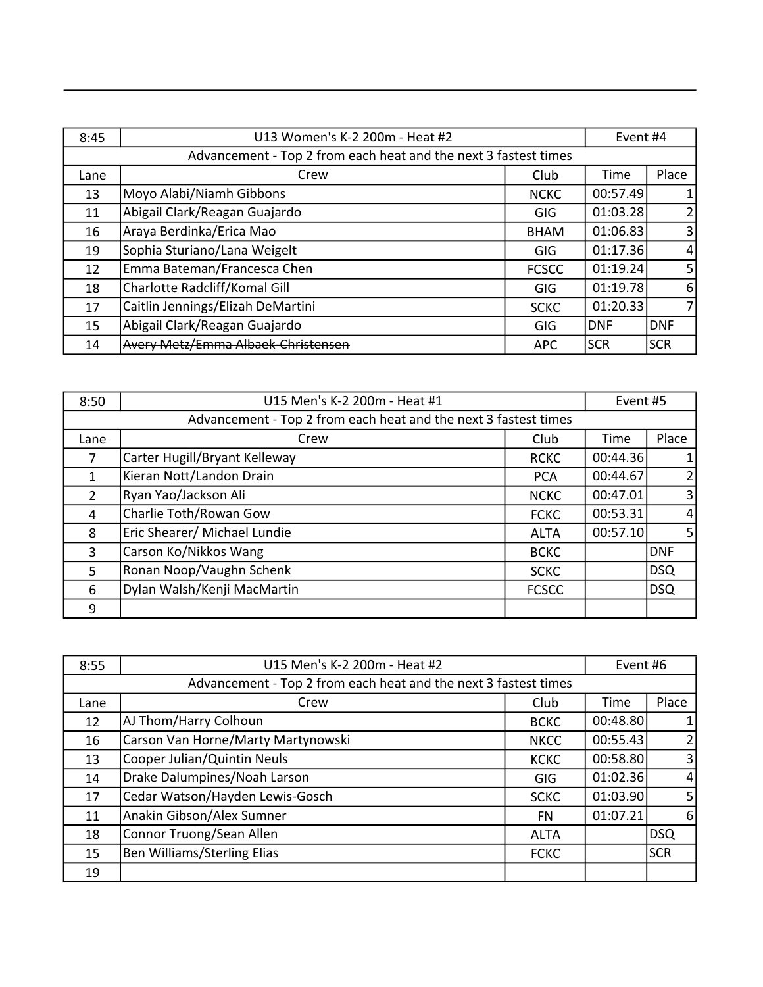| 8:45 | U13 Women's K-2 200m - Heat #2                                  |              | Event #4   |                |
|------|-----------------------------------------------------------------|--------------|------------|----------------|
|      | Advancement - Top 2 from each heat and the next 3 fastest times |              |            |                |
| Lane | Crew                                                            | Club         | Time       | Place          |
| 13   | Moyo Alabi/Niamh Gibbons                                        | <b>NCKC</b>  | 00:57.49   |                |
| 11   | Abigail Clark/Reagan Guajardo                                   | GIG          | 01:03.28   | 2 <sub>1</sub> |
| 16   | Araya Berdinka/Erica Mao                                        | <b>BHAM</b>  | 01:06.83   | $\overline{3}$ |
| 19   | Sophia Sturiano/Lana Weigelt                                    | GIG          | 01:17.36   | $\vert$        |
| 12   | Emma Bateman/Francesca Chen                                     | <b>FCSCC</b> | 01:19.24   | 5 <sub>l</sub> |
| 18   | Charlotte Radcliff/Komal Gill                                   | GIG          | 01:19.78   | 6              |
| 17   | Caitlin Jennings/Elizah DeMartini                               | <b>SCKC</b>  | 01:20.33   | 7 <sub>l</sub> |
| 15   | Abigail Clark/Reagan Guajardo                                   | GIG          | <b>DNF</b> | DNF            |
| 14   | Avery Metz/Emma Albaek-Christensen                              | <b>APC</b>   | <b>SCR</b> | <b>SCR</b>     |

| 8:50           | U15 Men's K-2 200m - Heat #1                                    |              | Event #5 |                |
|----------------|-----------------------------------------------------------------|--------------|----------|----------------|
|                | Advancement - Top 2 from each heat and the next 3 fastest times |              |          |                |
| Lane           | Crew                                                            | Club         | Time     | Place          |
| 7              | Carter Hugill/Bryant Kelleway                                   | <b>RCKC</b>  | 00:44.36 | $\mathbf{1}$   |
| $\mathbf{1}$   | Kieran Nott/Landon Drain                                        | <b>PCA</b>   | 00:44.67 | 2              |
| $\overline{2}$ | Ryan Yao/Jackson Ali                                            | <b>NCKC</b>  | 00:47.01 | $\overline{3}$ |
| 4              | Charlie Toth/Rowan Gow                                          | <b>FCKC</b>  | 00:53.31 | $\overline{4}$ |
| 8              | Eric Shearer/ Michael Lundie                                    | <b>ALTA</b>  | 00:57.10 | 5 <sup>1</sup> |
| 3              | Carson Ko/Nikkos Wang                                           | <b>BCKC</b>  |          | <b>DNF</b>     |
| 5              | Ronan Noop/Vaughn Schenk                                        | <b>SCKC</b>  |          | DSQ            |
| 6              | Dylan Walsh/Kenji MacMartin                                     | <b>FCSCC</b> |          | <b>DSQ</b>     |
| 9              |                                                                 |              |          |                |

|      | U15 Men's K-2 200m - Heat #2                                    |             | Event #6 |                |
|------|-----------------------------------------------------------------|-------------|----------|----------------|
| 8:55 |                                                                 |             |          |                |
|      | Advancement - Top 2 from each heat and the next 3 fastest times |             |          |                |
| Lane | Crew                                                            | Club        | Time     | Place          |
| 12   | AJ Thom/Harry Colhoun                                           | <b>BCKC</b> | 00:48.80 |                |
| 16   | Carson Van Horne/Marty Martynowski                              | <b>NKCC</b> | 00:55.43 | $\overline{2}$ |
| 13   | Cooper Julian/Quintin Neuls                                     | <b>KCKC</b> | 00:58.80 | $\overline{3}$ |
| 14   | Drake Dalumpines/Noah Larson                                    | GIG         | 01:02.36 | $\vert$        |
| 17   | Cedar Watson/Hayden Lewis-Gosch                                 | <b>SCKC</b> | 01:03.90 | 5 <sub>l</sub> |
| 11   | Anakin Gibson/Alex Sumner                                       | <b>FN</b>   | 01:07.21 | 6              |
| 18   | Connor Truong/Sean Allen                                        | <b>ALTA</b> |          | <b>DSQ</b>     |
| 15   | Ben Williams/Sterling Elias                                     | <b>FCKC</b> |          | <b>SCR</b>     |
| 19   |                                                                 |             |          |                |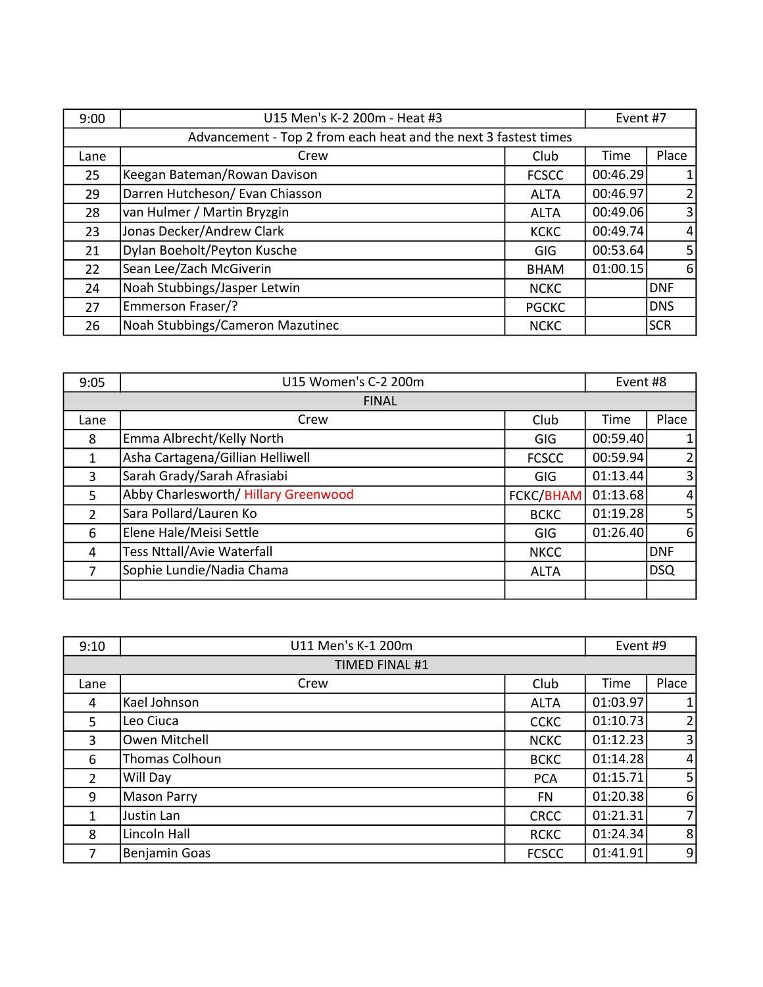| 9:00 | U15 Men's K-2 200m - Heat #3                                    |              | Event #7 |                |
|------|-----------------------------------------------------------------|--------------|----------|----------------|
|      | Advancement - Top 2 from each heat and the next 3 fastest times |              |          |                |
| Lane | Crew                                                            | Club         | Time     | Place          |
| 25   | Keegan Bateman/Rowan Davison                                    | <b>FCSCC</b> | 00:46.29 | $\mathbf{1}$   |
| 29   | Darren Hutcheson/ Evan Chiasson                                 | <b>ALTA</b>  | 00:46.97 | $\overline{2}$ |
| 28   | van Hulmer / Martin Bryzgin                                     | <b>ALTA</b>  | 00:49.06 | $\overline{3}$ |
| 23   | Jonas Decker/Andrew Clark                                       | <b>KCKC</b>  | 00:49.74 | $\overline{4}$ |
| 21   | Dylan Boeholt/Peyton Kusche                                     | <b>GIG</b>   | 00:53.64 | 5 <sup>1</sup> |
| 22   | Sean Lee/Zach McGiverin                                         | <b>BHAM</b>  | 01:00.15 | 6              |
| 24   | Noah Stubbings/Jasper Letwin                                    | <b>NCKC</b>  |          | <b>DNF</b>     |
| 27   | Emmerson Fraser/?                                               | <b>PGCKC</b> |          | <b>DNS</b>     |
| 26   | Noah Stubbings/Cameron Mazutinec                                | <b>NCKC</b>  |          | <b>SCR</b>     |

| 9:05           | U15 Women's C-2 200m                 |              | Event #8 |                |
|----------------|--------------------------------------|--------------|----------|----------------|
| <b>FINAL</b>   |                                      |              |          |                |
| Lane           | Crew                                 | Club         | Time     | Place          |
| 8              | Emma Albrecht/Kelly North            | <b>GIG</b>   | 00:59.40 |                |
| 1              | Asha Cartagena/Gillian Helliwell     | <b>FCSCC</b> | 00:59.94 | $\overline{2}$ |
| 3              | Sarah Grady/Sarah Afrasiabi          | GIG          | 01:13.44 | $\overline{3}$ |
| 5              | Abby Charlesworth/ Hillary Greenwood | FCKC/BHAM    | 01:13.68 | $\vert$        |
| $\overline{2}$ | Sara Pollard/Lauren Ko               | <b>BCKC</b>  | 01:19.28 | 5 <sub>l</sub> |
| 6              | Elene Hale/Meisi Settle              | GIG          | 01:26.40 | 6              |
| 4              | <b>Tess Nttall/Avie Waterfall</b>    | <b>NKCC</b>  |          | DNF            |
| 7              | Sophie Lundie/Nadia Chama            | <b>ALTA</b>  |          | <b>DSQ</b>     |
|                |                                      |              |          |                |

| 9:10                  | U11 Men's K-1 200m |              | Event #9 |                |
|-----------------------|--------------------|--------------|----------|----------------|
| <b>TIMED FINAL #1</b> |                    |              |          |                |
| Lane                  | Crew               | Club         | Time     | Place          |
| 4                     | Kael Johnson       | <b>ALTA</b>  | 01:03.97 |                |
| 5                     | Leo Ciuca          | <b>CCKC</b>  | 01:10.73 | $\overline{2}$ |
| 3                     | Owen Mitchell      | <b>NCKC</b>  | 01:12.23 | 3              |
| 6                     | Thomas Colhoun     | <b>BCKC</b>  | 01:14.28 | $\overline{4}$ |
| 2                     | Will Day           | <b>PCA</b>   | 01:15.71 | 5 <sub>1</sub> |
| 9                     | Mason Parry        | <b>FN</b>    | 01:20.38 | 6              |
| 1                     | Justin Lan         | <b>CRCC</b>  | 01:21.31 | 7 <sup>1</sup> |
| 8                     | Lincoln Hall       | <b>RCKC</b>  | 01:24.34 | 8              |
| 7                     | Benjamin Goas      | <b>FCSCC</b> | 01:41.91 | 9              |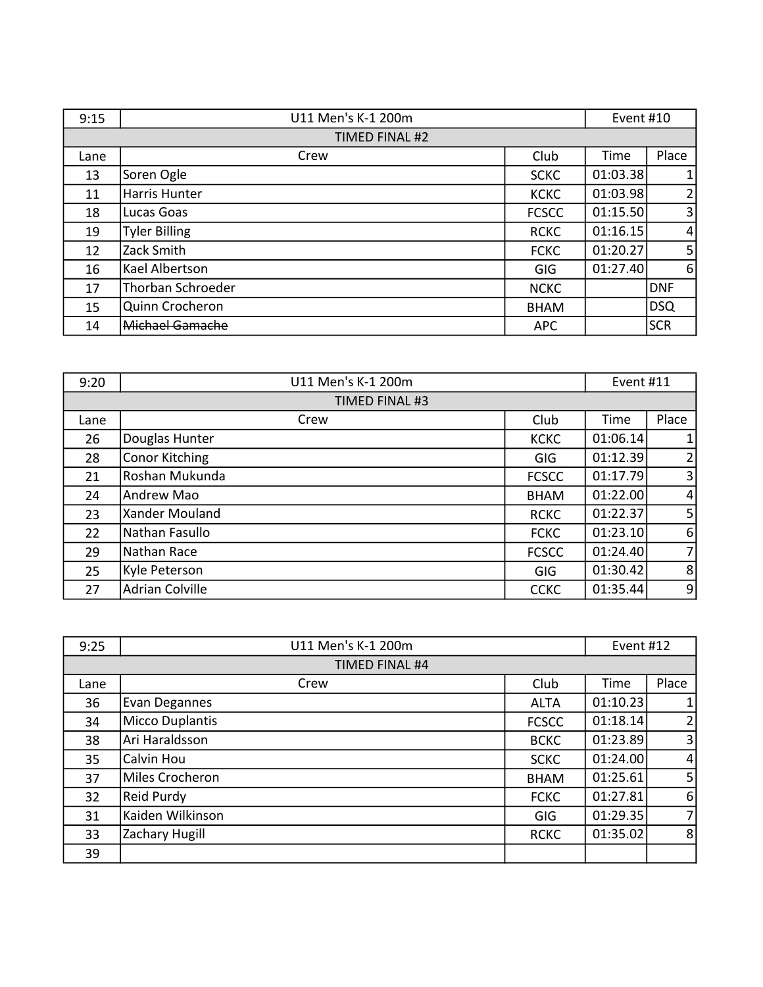| 9:15 | U11 Men's K-1 200m       |              | Event #10 |            |
|------|--------------------------|--------------|-----------|------------|
|      | TIMED FINAL #2           |              |           |            |
| Lane | Crew                     | Club         | Time      | Place      |
| 13   | Soren Ogle               | <b>SCKC</b>  | 01:03.38  |            |
| 11   | Harris Hunter            | <b>KCKC</b>  | 01:03.98  | 2          |
| 18   | Lucas Goas               | <b>FCSCC</b> | 01:15.50  | 3          |
| 19   | <b>Tyler Billing</b>     | <b>RCKC</b>  | 01:16.15  | $\vert$    |
| 12   | Zack Smith               | <b>FCKC</b>  | 01:20.27  | 5          |
| 16   | Kael Albertson           | GIG          | 01:27.40  | 6          |
| 17   | <b>Thorban Schroeder</b> | <b>NCKC</b>  |           | DNF        |
| 15   | Quinn Crocheron          | <b>BHAM</b>  |           | <b>DSQ</b> |
| 14   | Michael Gamache          | <b>APC</b>   |           | <b>SCR</b> |

| 9:20 | U11 Men's K-1 200m     |              | Event #11 |                |
|------|------------------------|--------------|-----------|----------------|
|      | TIMED FINAL #3         |              |           |                |
| Lane | Crew                   | Club         | Time      | Place          |
| 26   | Douglas Hunter         | <b>KCKC</b>  | 01:06.14  |                |
| 28   | <b>Conor Kitching</b>  | GIG          | 01:12.39  | $\overline{2}$ |
| 21   | Roshan Mukunda         | <b>FCSCC</b> | 01:17.79  | 3 <sup>1</sup> |
| 24   | Andrew Mao             | <b>BHAM</b>  | 01:22.00  | $\overline{4}$ |
| 23   | Xander Mouland         | <b>RCKC</b>  | 01:22.37  | 5 <sup>1</sup> |
| 22   | Nathan Fasullo         | <b>FCKC</b>  | 01:23.10  | $6 \mid$       |
| 29   | Nathan Race            | <b>FCSCC</b> | 01:24.40  | 7 <sup>1</sup> |
| 25   | Kyle Peterson          | <b>GIG</b>   | 01:30.42  | 8 <sup>1</sup> |
| 27   | <b>Adrian Colville</b> | <b>CCKC</b>  | 01:35.44  | $\overline{9}$ |

| 9:25 | U11 Men's K-1 200m    |              | Event #12 |                |
|------|-----------------------|--------------|-----------|----------------|
|      | <b>TIMED FINAL #4</b> |              |           |                |
| Lane | Crew                  | Club         | Time      | Place          |
| 36   | Evan Degannes         | <b>ALTA</b>  | 01:10.23  |                |
| 34   | Micco Duplantis       | <b>FCSCC</b> | 01:18.14  | $\overline{2}$ |
| 38   | Ari Haraldsson        | <b>BCKC</b>  | 01:23.89  | 3 <sup>1</sup> |
| 35   | Calvin Hou            | <b>SCKC</b>  | 01:24.00  | 4              |
| 37   | Miles Crocheron       | <b>BHAM</b>  | 01:25.61  | 5              |
| 32   | <b>Reid Purdy</b>     | <b>FCKC</b>  | 01:27.81  | 6              |
| 31   | Kaiden Wilkinson      | <b>GIG</b>   | 01:29.35  | $\overline{7}$ |
| 33   | Zachary Hugill        | <b>RCKC</b>  | 01:35.02  | 8              |
| 39   |                       |              |           |                |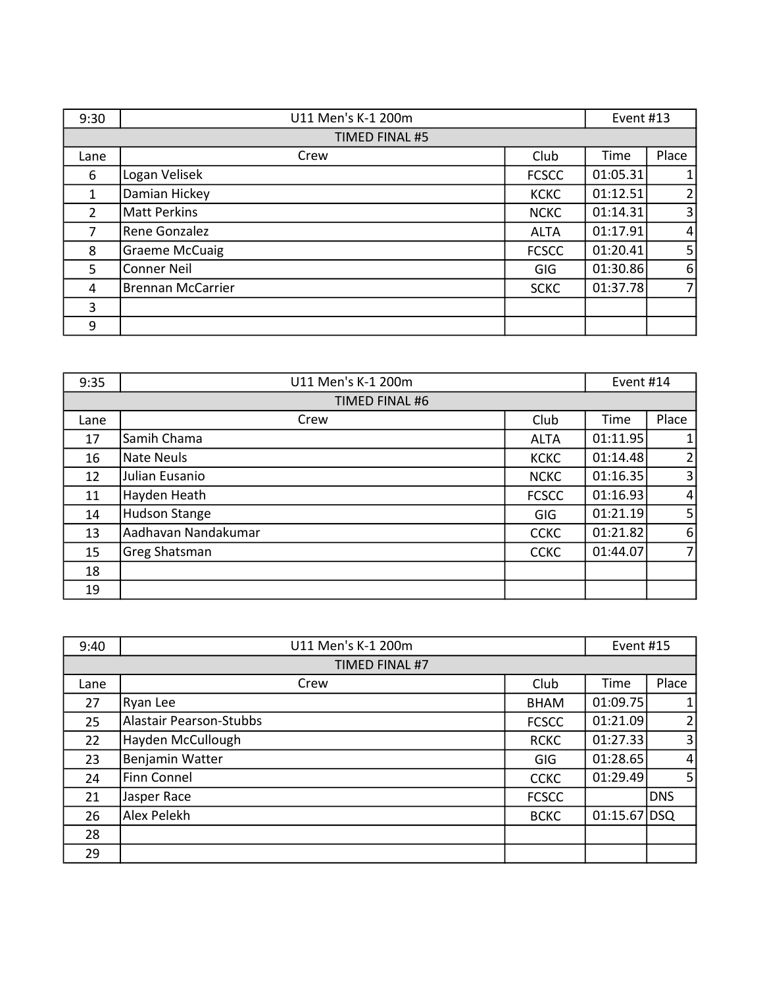| 9:30           | U11 Men's K-1 200m       |              | Event #13 |                |
|----------------|--------------------------|--------------|-----------|----------------|
|                | TIMED FINAL #5           |              |           |                |
| Lane           | Crew                     | Club         | Time      | Place          |
| 6              | Logan Velisek            | <b>FCSCC</b> | 01:05.31  | $\mathbf{1}$   |
| 1              | Damian Hickey            | <b>KCKC</b>  | 01:12.51  | 2              |
| $\overline{2}$ | <b>Matt Perkins</b>      | <b>NCKC</b>  | 01:14.31  | $\overline{3}$ |
| $\overline{7}$ | Rene Gonzalez            | <b>ALTA</b>  | 01:17.91  | $\overline{4}$ |
| 8              | <b>Graeme McCuaig</b>    | <b>FCSCC</b> | 01:20.41  | 5 <sup>1</sup> |
| 5              | Conner Neil              | <b>GIG</b>   | 01:30.86  | 6              |
| 4              | <b>Brennan McCarrier</b> | <b>SCKC</b>  | 01:37.78  | $\overline{7}$ |
| 3              |                          |              |           |                |
| 9              |                          |              |           |                |

| 9:35 | U11 Men's K-1 200m   |              | Event #14 |                |
|------|----------------------|--------------|-----------|----------------|
|      | TIMED FINAL #6       |              |           |                |
| Lane | Crew                 | Club         | Time      | Place          |
| 17   | Samih Chama          | <b>ALTA</b>  | 01:11.95  | $\mathbf{1}$   |
| 16   | Nate Neuls           | <b>KCKC</b>  | 01:14.48  | 2              |
| 12   | Julian Eusanio       | <b>NCKC</b>  | 01:16.35  | $\overline{3}$ |
| 11   | Hayden Heath         | <b>FCSCC</b> | 01:16.93  | $\overline{4}$ |
| 14   | <b>Hudson Stange</b> | <b>GIG</b>   | 01:21.19  | 5 <sup>1</sup> |
| 13   | Aadhavan Nandakumar  | <b>CCKC</b>  | 01:21.82  | 6              |
| 15   | Greg Shatsman        | <b>CCKC</b>  | 01:44.07  | $\overline{7}$ |
| 18   |                      |              |           |                |
| 19   |                      |              |           |                |

| 9:40 | U11 Men's K-1 200m             |              | Event #15    |                |
|------|--------------------------------|--------------|--------------|----------------|
|      | TIMED FINAL #7                 |              |              |                |
| Lane | Crew                           | Club         | Time         | Place          |
| 27   | Ryan Lee                       | <b>BHAM</b>  | 01:09.75     | 1              |
| 25   | <b>Alastair Pearson-Stubbs</b> | <b>FCSCC</b> | 01:21.09     | $\overline{2}$ |
| 22   | Hayden McCullough              | <b>RCKC</b>  | 01:27.33     | $\overline{3}$ |
| 23   | Benjamin Watter                | <b>GIG</b>   | 01:28.65     | $\overline{4}$ |
| 24   | <b>Finn Connel</b>             | <b>CCKC</b>  | 01:29.49     | 5 <sub>1</sub> |
| 21   | Jasper Race                    | <b>FCSCC</b> |              | <b>DNS</b>     |
| 26   | Alex Pelekh                    | <b>BCKC</b>  | 01:15.67 DSQ |                |
| 28   |                                |              |              |                |
| 29   |                                |              |              |                |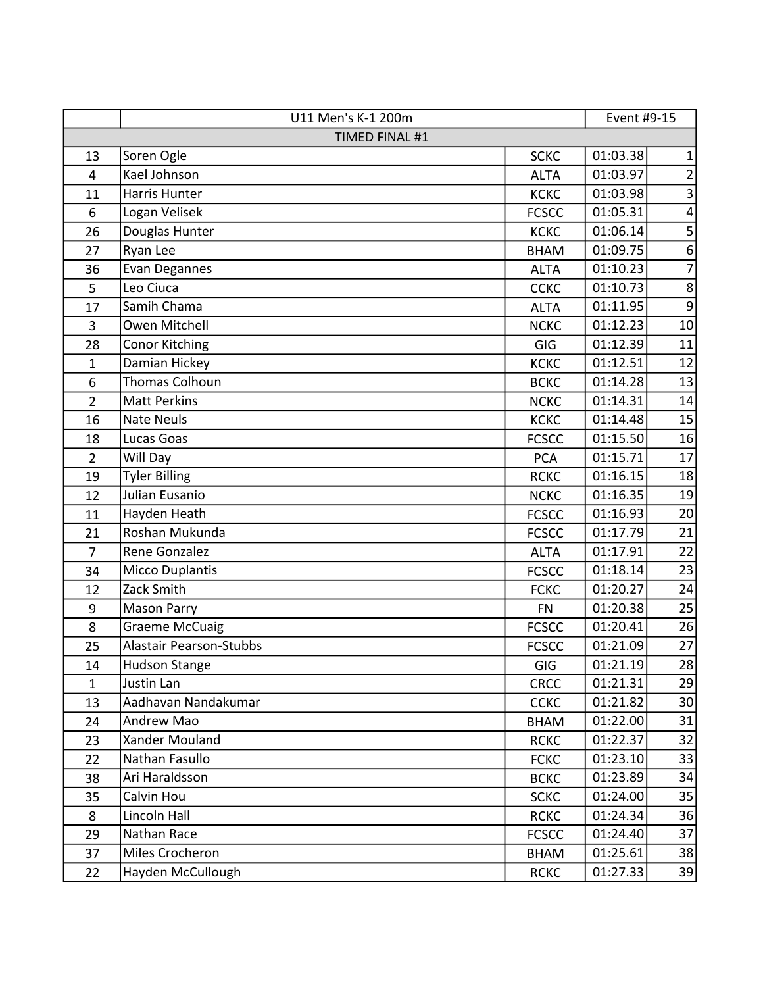|                | U11 Men's K-1 200m             |              | Event #9-15 |                         |
|----------------|--------------------------------|--------------|-------------|-------------------------|
|                | TIMED FINAL #1                 |              |             |                         |
| 13             | Soren Ogle                     | <b>SCKC</b>  | 01:03.38    | $\mathbf{1}$            |
| 4              | Kael Johnson                   | <b>ALTA</b>  | 01:03.97    | $\overline{\mathbf{c}}$ |
| 11             | <b>Harris Hunter</b>           | <b>KCKC</b>  | 01:03.98    | $\overline{\mathbf{3}}$ |
| 6              | Logan Velisek                  | <b>FCSCC</b> | 01:05.31    | $\overline{\mathbf{4}}$ |
| 26             | Douglas Hunter                 | <b>KCKC</b>  | 01:06.14    | 5                       |
| 27             | Ryan Lee                       | <b>BHAM</b>  | 01:09.75    | $\boldsymbol{6}$        |
| 36             | Evan Degannes                  | <b>ALTA</b>  | 01:10.23    | $\overline{7}$          |
| 5              | Leo Ciuca                      | <b>CCKC</b>  | 01:10.73    | $\,$ 8 $\,$             |
| 17             | Samih Chama                    | <b>ALTA</b>  | 01:11.95    | $9\,$                   |
| 3              | Owen Mitchell                  | <b>NCKC</b>  | 01:12.23    | 10                      |
| 28             | <b>Conor Kitching</b>          | GIG          | 01:12.39    | 11                      |
| $\mathbf 1$    | Damian Hickey                  | <b>KCKC</b>  | 01:12.51    | 12                      |
| 6              | <b>Thomas Colhoun</b>          | <b>BCKC</b>  | 01:14.28    | 13                      |
| $\overline{2}$ | <b>Matt Perkins</b>            | <b>NCKC</b>  | 01:14.31    | 14                      |
| 16             | <b>Nate Neuls</b>              | <b>KCKC</b>  | 01:14.48    | 15                      |
| 18             | Lucas Goas                     | <b>FCSCC</b> | 01:15.50    | 16                      |
| $\overline{2}$ | Will Day                       | <b>PCA</b>   | 01:15.71    | 17                      |
| 19             | <b>Tyler Billing</b>           | <b>RCKC</b>  | 01:16.15    | 18                      |
| 12             | Julian Eusanio                 | <b>NCKC</b>  | 01:16.35    | 19                      |
| 11             | Hayden Heath                   | <b>FCSCC</b> | 01:16.93    | 20                      |
| 21             | Roshan Mukunda                 | <b>FCSCC</b> | 01:17.79    | 21                      |
| $\overline{7}$ | Rene Gonzalez                  | <b>ALTA</b>  | 01:17.91    | 22                      |
| 34             | <b>Micco Duplantis</b>         | <b>FCSCC</b> | 01:18.14    | 23                      |
| 12             | Zack Smith                     | <b>FCKC</b>  | 01:20.27    | 24                      |
| 9              | <b>Mason Parry</b>             | <b>FN</b>    | 01:20.38    | 25                      |
| 8              | <b>Graeme McCuaig</b>          | <b>FCSCC</b> | 01:20.41    | 26                      |
| 25             | <b>Alastair Pearson-Stubbs</b> | <b>FCSCC</b> | 01:21.09    | 27                      |
| 14             | Hudson Stange                  | GIG          | 01:21.19    | 28                      |
| $\mathbf{1}$   | Justin Lan                     | <b>CRCC</b>  | 01:21.31    | 29                      |
| 13             | Aadhavan Nandakumar            | <b>CCKC</b>  | 01:21.82    | 30                      |
| 24             | Andrew Mao                     | <b>BHAM</b>  | 01:22.00    | 31                      |
| 23             | Xander Mouland                 | <b>RCKC</b>  | 01:22.37    | 32                      |
| 22             | Nathan Fasullo                 | <b>FCKC</b>  | 01:23.10    | 33                      |
| 38             | Ari Haraldsson                 | <b>BCKC</b>  | 01:23.89    | 34                      |
| 35             | Calvin Hou                     | <b>SCKC</b>  | 01:24.00    | 35                      |
| 8              | Lincoln Hall                   | <b>RCKC</b>  | 01:24.34    | 36                      |
| 29             | Nathan Race                    | <b>FCSCC</b> | 01:24.40    | 37                      |
| 37             | Miles Crocheron                | <b>BHAM</b>  | 01:25.61    | 38                      |
| 22             | Hayden McCullough              | <b>RCKC</b>  | 01:27.33    | 39                      |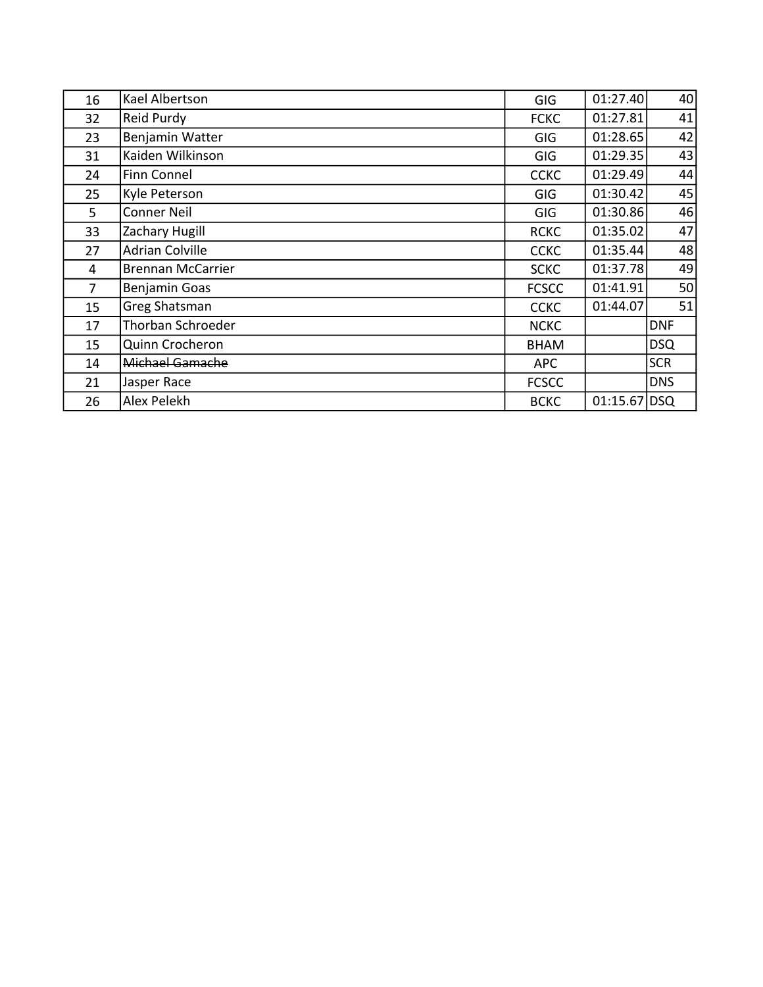| 16             | Kael Albertson           | <b>GIG</b>   | 01:27.40     | 40         |
|----------------|--------------------------|--------------|--------------|------------|
| 32             | <b>Reid Purdy</b>        | <b>FCKC</b>  | 01:27.81     | 41         |
| 23             | Benjamin Watter          | <b>GIG</b>   | 01:28.65     | 42         |
| 31             | Kaiden Wilkinson         | <b>GIG</b>   | 01:29.35     | 43         |
| 24             | <b>Finn Connel</b>       | <b>CCKC</b>  | 01:29.49     | 44         |
| 25             | Kyle Peterson            | <b>GIG</b>   | 01:30.42     | 45         |
| 5              | <b>Conner Neil</b>       | <b>GIG</b>   | 01:30.86     | 46         |
| 33             | Zachary Hugill           | <b>RCKC</b>  | 01:35.02     | 47         |
| 27             | <b>Adrian Colville</b>   | <b>CCKC</b>  | 01:35.44     | 48         |
| 4              | <b>Brennan McCarrier</b> | <b>SCKC</b>  | 01:37.78     | 49         |
| $\overline{7}$ | Benjamin Goas            | <b>FCSCC</b> | 01:41.91     | 50         |
| 15             | <b>Greg Shatsman</b>     | <b>CCKC</b>  | 01:44.07     | 51         |
| 17             | Thorban Schroeder        | <b>NCKC</b>  |              | <b>DNF</b> |
| 15             | Quinn Crocheron          | <b>BHAM</b>  |              | <b>DSQ</b> |
| 14             | Michael Gamache          | APC          |              | <b>SCR</b> |
| 21             | Jasper Race              | <b>FCSCC</b> |              | <b>DNS</b> |
| 26             | Alex Pelekh              | <b>BCKC</b>  | 01:15.67 DSQ |            |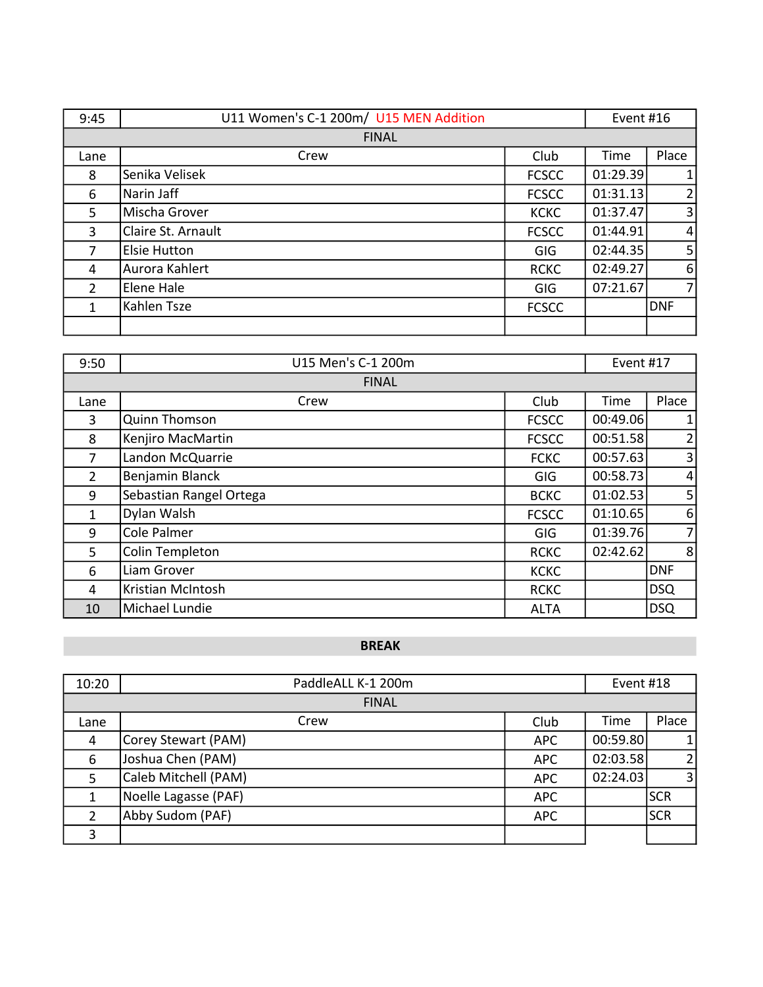| 9:45           | U11 Women's C-1 200m/ U15 MEN Addition |              | Event #16 |                |
|----------------|----------------------------------------|--------------|-----------|----------------|
|                | <b>FINAL</b>                           |              |           |                |
| Lane           | Crew                                   | Club         | Time      | Place          |
| 8              | Senika Velisek                         | <b>FCSCC</b> | 01:29.39  | $\mathbf{1}$   |
| 6              | Narin Jaff                             | <b>FCSCC</b> | 01:31.13  | $\overline{2}$ |
| 5              | Mischa Grover                          | <b>KCKC</b>  | 01:37.47  | $\overline{3}$ |
| 3              | Claire St. Arnault                     | <b>FCSCC</b> | 01:44.91  | $\overline{4}$ |
| 7              | <b>Elsie Hutton</b>                    | GIG          | 02:44.35  | 5 <sup>1</sup> |
| 4              | Aurora Kahlert                         | <b>RCKC</b>  | 02:49.27  | 6              |
| $\overline{2}$ | Elene Hale                             | <b>GIG</b>   | 07:21.67  | $\overline{7}$ |
| 1              | Kahlen Tsze                            | <b>FCSCC</b> |           | <b>DNF</b>     |
|                |                                        |              |           |                |

| 9:50           | U15 Men's C-1 200m      |              | Event #17 |                |  |
|----------------|-------------------------|--------------|-----------|----------------|--|
|                | <b>FINAL</b>            |              |           |                |  |
| Lane           | Crew                    | Club         | Time      | Place          |  |
| 3              | <b>Quinn Thomson</b>    | <b>FCSCC</b> | 00:49.06  | $\mathbf{1}$   |  |
| 8              | Kenjiro MacMartin       | <b>FCSCC</b> | 00:51.58  | $\overline{2}$ |  |
| 7              | Landon McQuarrie        | <b>FCKC</b>  | 00:57.63  | $\overline{3}$ |  |
| $\overline{2}$ | Benjamin Blanck         | <b>GIG</b>   | 00:58.73  | $\overline{4}$ |  |
| 9              | Sebastian Rangel Ortega | <b>BCKC</b>  | 01:02.53  | 5 <sub>l</sub> |  |
| 1              | Dylan Walsh             | <b>FCSCC</b> | 01:10.65  | 6              |  |
| 9              | Cole Palmer             | GIG          | 01:39.76  | $\overline{7}$ |  |
| 5              | Colin Templeton         | <b>RCKC</b>  | 02:42.62  | 8              |  |
| 6              | Liam Grover             | <b>KCKC</b>  |           | <b>DNF</b>     |  |
| 4              | Kristian McIntosh       | <b>RCKC</b>  |           | <b>DSQ</b>     |  |
| 10             | Michael Lundie          | <b>ALTA</b>  |           | <b>DSQ</b>     |  |

### BREAK

| 10:20          | PaddleALL K-1 200m   |            | Event #18 |                |  |
|----------------|----------------------|------------|-----------|----------------|--|
|                | <b>FINAL</b>         |            |           |                |  |
| Lane           | Crew                 | Club       | Time      | Place          |  |
| 4              | Corey Stewart (PAM)  | <b>APC</b> | 00:59.80  |                |  |
| 6              | Joshua Chen (PAM)    | <b>APC</b> | 02:03.58  | $\overline{2}$ |  |
| 5              | Caleb Mitchell (PAM) | <b>APC</b> | 02:24.03  | $\overline{3}$ |  |
|                | Noelle Lagasse (PAF) | <b>APC</b> |           | <b>SCR</b>     |  |
| $\overline{2}$ | Abby Sudom (PAF)     | <b>APC</b> |           | <b>SCR</b>     |  |
| 3              |                      |            |           |                |  |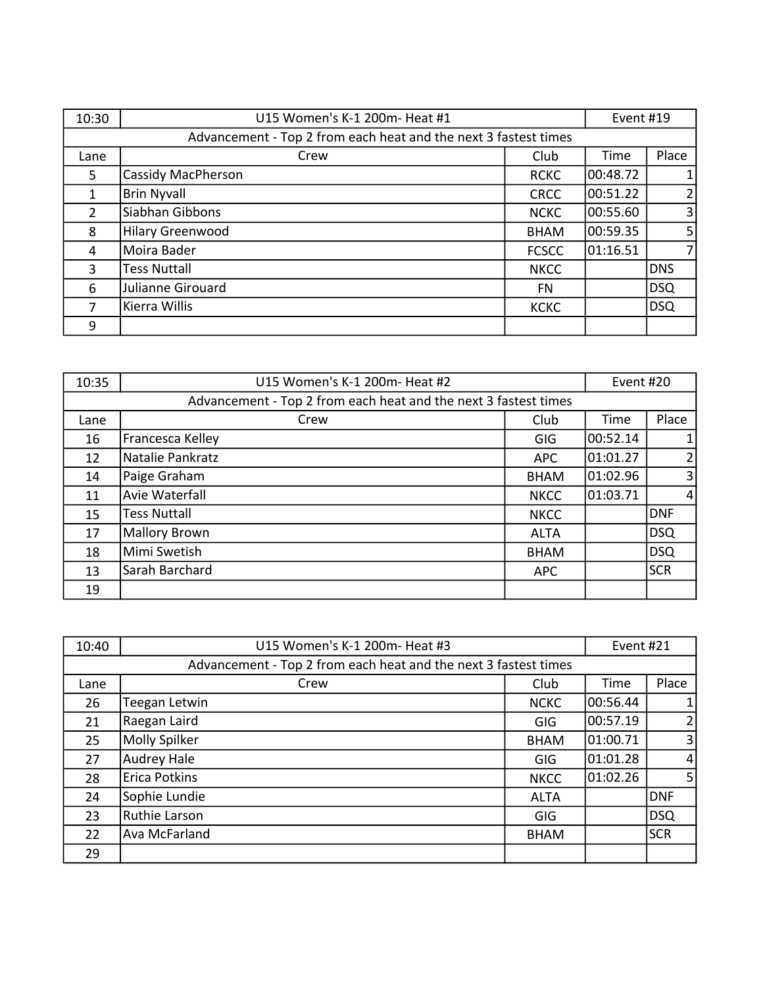| 10:30                                                           | U15 Women's K-1 200m- Heat #1 |              | Event #19 |                |
|-----------------------------------------------------------------|-------------------------------|--------------|-----------|----------------|
| Advancement - Top 2 from each heat and the next 3 fastest times |                               |              |           |                |
| Lane                                                            | Crew                          | Club         | Time      | Place          |
| 5                                                               | <b>Cassidy MacPherson</b>     | <b>RCKC</b>  | 00:48.72  | $\mathbf{1}$   |
| $\mathbf{1}$                                                    | <b>Brin Nyvall</b>            | <b>CRCC</b>  | 00:51.22  | $\overline{2}$ |
| 2                                                               | Siabhan Gibbons               | <b>NCKC</b>  | 00:55.60  | $\overline{3}$ |
| 8                                                               | <b>Hilary Greenwood</b>       | <b>BHAM</b>  | 00:59.35  | 5 <sup>1</sup> |
| 4                                                               | Moira Bader                   | <b>FCSCC</b> | 01:16.51  | $\overline{7}$ |
| 3                                                               | <b>Tess Nuttall</b>           | <b>NKCC</b>  |           | <b>DNS</b>     |
| 6                                                               | Julianne Girouard             | <b>FN</b>    |           | DSQ            |
| 7                                                               | Kierra Willis                 | <b>KCKC</b>  |           | DSQ            |
| 9                                                               |                               |              |           |                |

| 10:35 | U15 Women's K-1 200m- Heat #2                                   |             | Event #20 |                |
|-------|-----------------------------------------------------------------|-------------|-----------|----------------|
|       | Advancement - Top 2 from each heat and the next 3 fastest times |             |           |                |
| Lane  | Crew                                                            | Club        | Time      | Place          |
| 16    | Francesca Kelley                                                | GIG         | 00:52.14  | $\mathbf{1}$   |
| 12    | Natalie Pankratz                                                | <b>APC</b>  | 01:01.27  | 2              |
| 14    | Paige Graham                                                    | <b>BHAM</b> | 01:02.96  | $\overline{3}$ |
| 11    | Avie Waterfall                                                  | <b>NKCC</b> | 01:03.71  | $\overline{4}$ |
| 15    | <b>Tess Nuttall</b>                                             | <b>NKCC</b> |           | <b>DNF</b>     |
| 17    | <b>Mallory Brown</b>                                            | <b>ALTA</b> |           | DSQ            |
| 18    | Mimi Swetish                                                    | <b>BHAM</b> |           | DSQ            |
| 13    | Sarah Barchard                                                  | <b>APC</b>  |           | <b>SCR</b>     |
| 19    |                                                                 |             |           |                |

| 10:40                                                           | U15 Women's K-1 200m- Heat #3 |             | Event #21 |                |
|-----------------------------------------------------------------|-------------------------------|-------------|-----------|----------------|
| Advancement - Top 2 from each heat and the next 3 fastest times |                               |             |           |                |
| Lane                                                            | Crew                          | Club        | Time      | Place          |
| 26                                                              | Teegan Letwin                 | <b>NCKC</b> | 00:56.44  |                |
| 21                                                              | Raegan Laird                  | <b>GIG</b>  | 00:57.19  |                |
| 25                                                              | Molly Spilker                 | <b>BHAM</b> | 01:00.71  | $\overline{3}$ |
| 27                                                              | <b>Audrey Hale</b>            | GIG         | 01:01.28  | 4              |
| 28                                                              | Erica Potkins                 | <b>NKCC</b> | 01:02.26  | 5 <sub>1</sub> |
| 24                                                              | Sophie Lundie                 | <b>ALTA</b> |           | <b>DNF</b>     |
| 23                                                              | Ruthie Larson                 | <b>GIG</b>  |           | <b>DSQ</b>     |
| 22                                                              | Ava McFarland                 | <b>BHAM</b> |           | <b>SCR</b>     |
| 29                                                              |                               |             |           |                |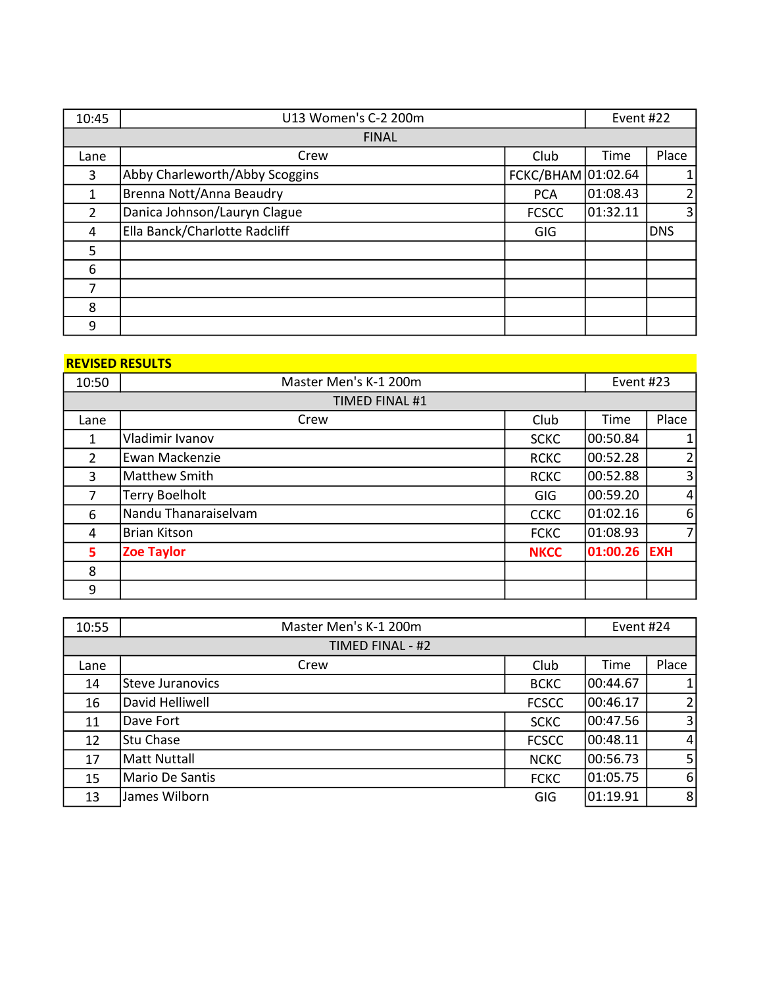| 10:45          | U13 Women's C-2 200m           |                    | Event #22 |                |
|----------------|--------------------------------|--------------------|-----------|----------------|
|                | <b>FINAL</b>                   |                    |           |                |
| Lane           | Crew                           | Club               | Time      | Place          |
| 3              | Abby Charleworth/Abby Scoggins | FCKC/BHAM 01:02.64 |           | $\mathbf{1}$   |
| 1              | Brenna Nott/Anna Beaudry       | <b>PCA</b>         | 01:08.43  | $\overline{2}$ |
| $\overline{2}$ | Danica Johnson/Lauryn Clague   | <b>FCSCC</b>       | 01:32.11  | 3              |
| $\overline{4}$ | Ella Banck/Charlotte Radcliff  | GIG                |           | <b>DNS</b>     |
| 5              |                                |                    |           |                |
| 6              |                                |                    |           |                |
| 7              |                                |                    |           |                |
| 8              |                                |                    |           |                |
| 9              |                                |                    |           |                |

#### REVISED RESULTS And the control of the control of the control of the control of the control of the control of

| 10:50          | Master Men's K-1 200m |             | Event #23 |                |
|----------------|-----------------------|-------------|-----------|----------------|
|                | TIMED FINAL #1        |             |           |                |
| Lane           | Crew                  | Club        | Time      | Place          |
| 1              | Vladimir Ivanov       | <b>SCKC</b> | 00:50.84  |                |
| $\overline{2}$ | Ewan Mackenzie        | <b>RCKC</b> | 00:52.28  | $\overline{2}$ |
| 3              | Matthew Smith         | <b>RCKC</b> | 00:52.88  | 3              |
| 7              | <b>Terry Boelholt</b> | GIG         | 00:59.20  | $\vert$        |
| 6              | Nandu Thanaraiselvam  | <b>CCKC</b> | 01:02.16  | $6 \mid$       |
| 4              | <b>Brian Kitson</b>   | <b>FCKC</b> | 01:08.93  | 7              |
| 5.             | <b>Zoe Taylor</b>     | <b>NKCC</b> | 01:00.26  | <b>EXH</b>     |
| 8              |                       |             |           |                |
| 9              |                       |             |           |                |

| 10:55 | Master Men's K-1 200m |              | Event #24 |                |
|-------|-----------------------|--------------|-----------|----------------|
|       | TIMED FINAL - #2      |              |           |                |
| Lane  | Crew                  | Club         | Time      | Place          |
| 14    | Steve Juranovics      | <b>BCKC</b>  | 00:44.67  |                |
| 16    | David Helliwell       | <b>FCSCC</b> | 00:46.17  | $\overline{2}$ |
| 11    | Dave Fort             | <b>SCKC</b>  | 00:47.56  | $\overline{3}$ |
| 12    | <b>Stu Chase</b>      | <b>FCSCC</b> | 00:48.11  | $\vert$        |
| 17    | Matt Nuttall          | <b>NCKC</b>  | 00:56.73  | 5 <sup>1</sup> |
| 15    | Mario De Santis       | <b>FCKC</b>  | 01:05.75  | $6 \mid$       |
| 13    | James Wilborn         | GIG          | 01:19.91  | 8 <sup>1</sup> |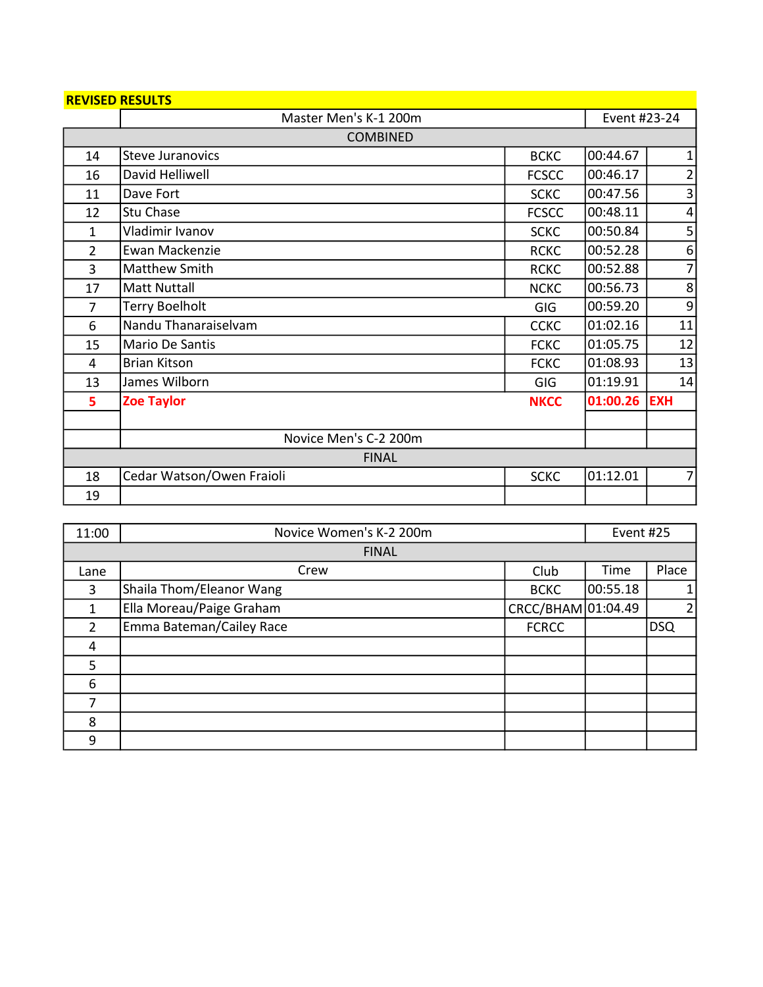| <b>REVISED RESULTS</b> |                           |              |          |                |  |
|------------------------|---------------------------|--------------|----------|----------------|--|
|                        | Master Men's K-1 200m     |              |          | Event #23-24   |  |
|                        | <b>COMBINED</b>           |              |          |                |  |
| 14                     | <b>Steve Juranovics</b>   | <b>BCKC</b>  | 00:44.67 | $\mathbf{1}$   |  |
| 16                     | David Helliwell           | <b>FCSCC</b> | 00:46.17 | $\overline{2}$ |  |
| 11                     | Dave Fort                 | <b>SCKC</b>  | 00:47.56 | 3              |  |
| 12                     | Stu Chase                 | <b>FCSCC</b> | 00:48.11 | 4              |  |
| 1                      | Vladimir Ivanov           | <b>SCKC</b>  | 00:50.84 | 5              |  |
| $\overline{2}$         | Ewan Mackenzie            | <b>RCKC</b>  | 00:52.28 | 6              |  |
| 3                      | Matthew Smith             | <b>RCKC</b>  | 00:52.88 | $\overline{7}$ |  |
| 17                     | <b>Matt Nuttall</b>       | <b>NCKC</b>  | 00:56.73 | 8              |  |
| 7                      | <b>Terry Boelholt</b>     | GIG          | 00:59.20 | 9              |  |
| 6                      | Nandu Thanaraiselvam      | <b>CCKC</b>  | 01:02.16 | 11             |  |
| 15                     | Mario De Santis           | <b>FCKC</b>  | 01:05.75 | 12             |  |
| 4                      | <b>Brian Kitson</b>       | <b>FCKC</b>  | 01:08.93 | 13             |  |
| 13                     | James Wilborn             | <b>GIG</b>   | 01:19.91 | 14             |  |
| 5                      | <b>Zoe Taylor</b>         | <b>NKCC</b>  | 01:00.26 | <b>EXH</b>     |  |
|                        |                           |              |          |                |  |
|                        | Novice Men's C-2 200m     |              |          |                |  |
|                        | <b>FINAL</b>              |              |          |                |  |
| 18                     | Cedar Watson/Owen Fraioli | <b>SCKC</b>  | 01:12.01 | $\overline{7}$ |  |
| 19                     |                           |              |          |                |  |

| Novice Women's K-2 200m<br>11:00 |                          | Event #25          |          |       |
|----------------------------------|--------------------------|--------------------|----------|-------|
|                                  | <b>FINAL</b>             |                    |          |       |
| Lane                             | Crew                     | Club               | Time     | Place |
| 3                                | Shaila Thom/Eleanor Wang | <b>BCKC</b>        | 00:55.18 | 1     |
| $\mathbf{1}$                     | Ella Moreau/Paige Graham | CRCC/BHAM 01:04.49 |          | 2     |
| $\overline{2}$                   | Emma Bateman/Cailey Race | <b>FCRCC</b>       |          | DSQ   |
| 4                                |                          |                    |          |       |
| 5                                |                          |                    |          |       |
| 6                                |                          |                    |          |       |
| 7                                |                          |                    |          |       |
| 8                                |                          |                    |          |       |
| 9                                |                          |                    |          |       |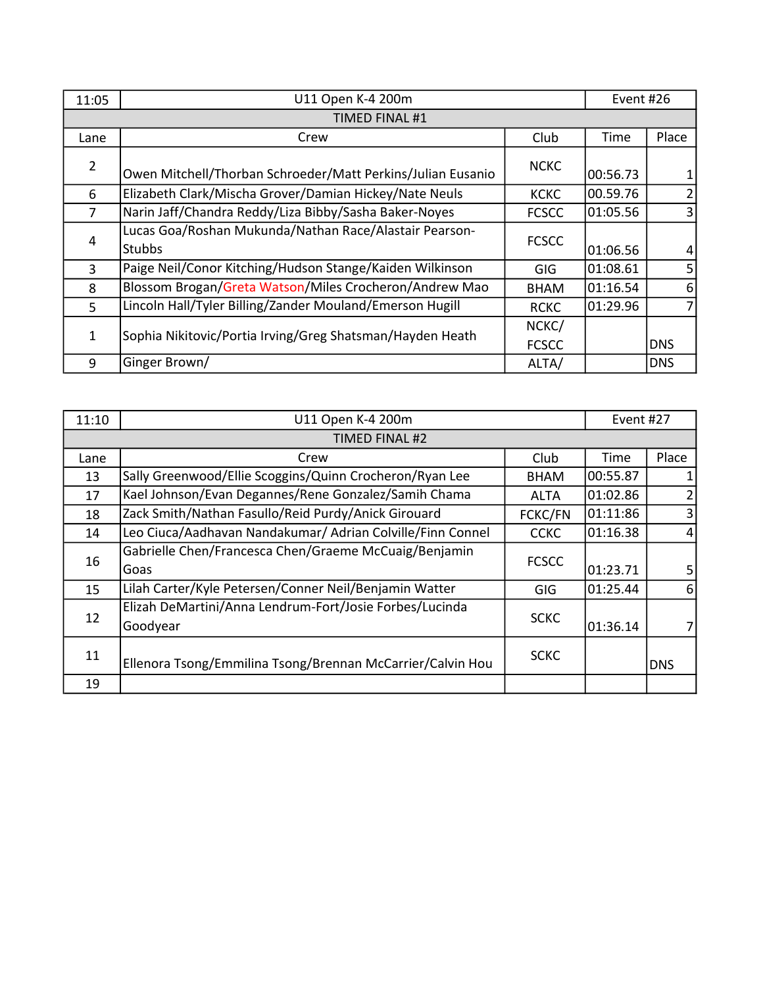| 11:05          | U11 Open K-4 200m                                           |              | Event #26 |            |
|----------------|-------------------------------------------------------------|--------------|-----------|------------|
|                | TIMED FINAL #1                                              |              |           |            |
| Lane           | Crew                                                        | Club         | Time      | Place      |
| $\overline{2}$ | Owen Mitchell/Thorban Schroeder/Matt Perkins/Julian Eusanio | <b>NCKC</b>  | 00:56.73  |            |
| 6              | Elizabeth Clark/Mischa Grover/Damian Hickey/Nate Neuls      | <b>KCKC</b>  | 00.59.76  |            |
| $\overline{7}$ | Narin Jaff/Chandra Reddy/Liza Bibby/Sasha Baker-Noyes       | <b>FCSCC</b> | 01:05.56  | 3          |
|                | Lucas Goa/Roshan Mukunda/Nathan Race/Alastair Pearson-      | <b>FCSCC</b> |           |            |
| 4              | <b>Stubbs</b>                                               |              | 01:06.56  | 4          |
| $\overline{3}$ | Paige Neil/Conor Kitching/Hudson Stange/Kaiden Wilkinson    | <b>GIG</b>   | 01:08.61  | 5          |
| 8              | Blossom Brogan/Greta Watson/Miles Crocheron/Andrew Mao      | <b>BHAM</b>  | 01:16.54  | 6          |
| 5              | Lincoln Hall/Tyler Billing/Zander Mouland/Emerson Hugill    | <b>RCKC</b>  | 01:29.96  |            |
|                |                                                             | NCKC/        |           |            |
| $\mathbf{1}$   | Sophia Nikitovic/Portia Irving/Greg Shatsman/Hayden Heath   | <b>FCSCC</b> |           | <b>DNS</b> |
| 9              | Ginger Brown/                                               | ALTA/        |           | IDNS.      |

| 11:10 | U11 Open K-4 200m                                          |              | Event #27 |            |
|-------|------------------------------------------------------------|--------------|-----------|------------|
|       | TIMED FINAL #2                                             |              |           |            |
| Lane  | Crew                                                       | Club         | Time      | Place      |
| 13    | Sally Greenwood/Ellie Scoggins/Quinn Crocheron/Ryan Lee    | <b>BHAM</b>  | 00:55.87  |            |
| 17    | Kael Johnson/Evan Degannes/Rene Gonzalez/Samih Chama       | <b>ALTA</b>  | 01:02.86  |            |
| 18    | Zack Smith/Nathan Fasullo/Reid Purdy/Anick Girouard        | FCKC/FN      | 01:11:86  |            |
| 14    | Leo Ciuca/Aadhavan Nandakumar/ Adrian Colville/Finn Connel | <b>CCKC</b>  | 01:16.38  | 4          |
|       | Gabrielle Chen/Francesca Chen/Graeme McCuaig/Benjamin      | <b>FCSCC</b> |           |            |
| 16    | Goas                                                       |              | 01:23.71  | 5          |
| 15    | Lilah Carter/Kyle Petersen/Conner Neil/Benjamin Watter     | <b>GIG</b>   | 01:25.44  | 6          |
|       | Elizah DeMartini/Anna Lendrum-Fort/Josie Forbes/Lucinda    |              |           |            |
| 12    | Goodyear                                                   | <b>SCKC</b>  | 01:36.14  |            |
| 11    |                                                            | <b>SCKC</b>  |           |            |
|       | Ellenora Tsong/Emmilina Tsong/Brennan McCarrier/Calvin Hou |              |           | <b>DNS</b> |
| 19    |                                                            |              |           |            |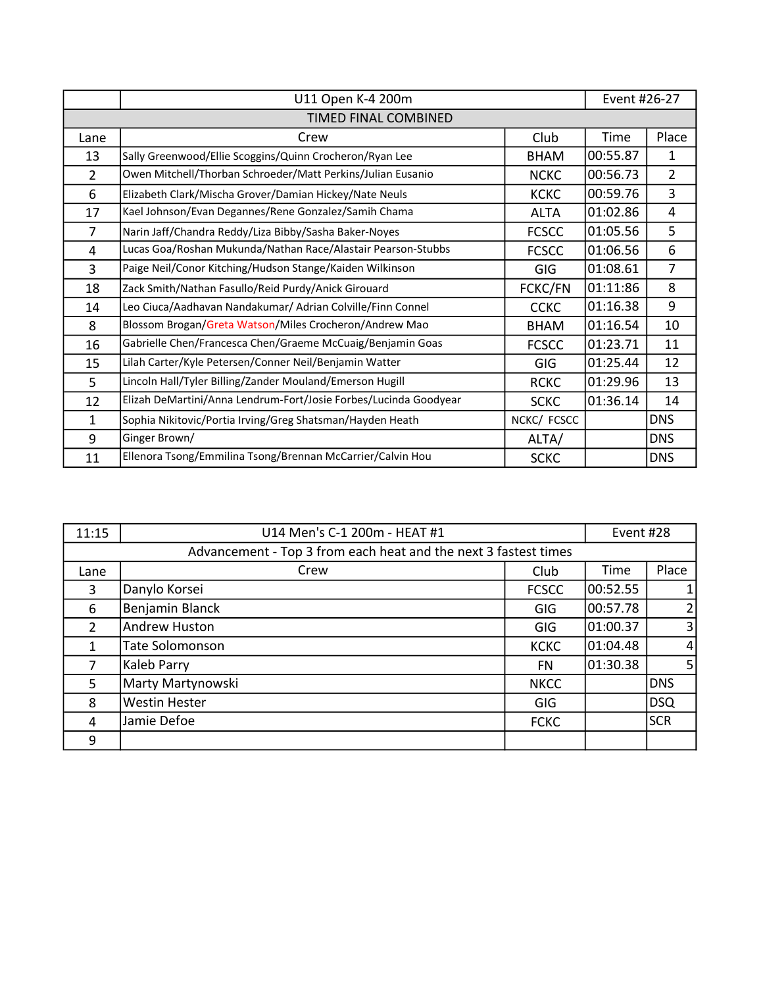| U11 Open K-4 200m |                                                                  |              | Event #26-27 |                |
|-------------------|------------------------------------------------------------------|--------------|--------------|----------------|
|                   | <b>TIMED FINAL COMBINED</b>                                      |              |              |                |
| Lane              | Crew                                                             | Club         | Time         | Place          |
| 13                | Sally Greenwood/Ellie Scoggins/Quinn Crocheron/Ryan Lee          | <b>BHAM</b>  | 00:55.87     | 1              |
| 2                 | Owen Mitchell/Thorban Schroeder/Matt Perkins/Julian Eusanio      | <b>NCKC</b>  | 00:56.73     | $\overline{2}$ |
| 6                 | Elizabeth Clark/Mischa Grover/Damian Hickey/Nate Neuls           | <b>KCKC</b>  | 00:59.76     | 3              |
| 17                | Kael Johnson/Evan Degannes/Rene Gonzalez/Samih Chama             | <b>ALTA</b>  | 01:02.86     | 4              |
| $\overline{7}$    | Narin Jaff/Chandra Reddy/Liza Bibby/Sasha Baker-Noyes            | <b>FCSCC</b> | 01:05.56     | 5              |
| 4                 | Lucas Goa/Roshan Mukunda/Nathan Race/Alastair Pearson-Stubbs     | <b>FCSCC</b> | 01:06.56     | 6              |
| 3                 | Paige Neil/Conor Kitching/Hudson Stange/Kaiden Wilkinson         | GIG          | 01:08.61     | $\overline{7}$ |
| 18                | Zack Smith/Nathan Fasullo/Reid Purdy/Anick Girouard              | FCKC/FN      | 01:11:86     | 8              |
| 14                | Leo Ciuca/Aadhavan Nandakumar/ Adrian Colville/Finn Connel       | <b>CCKC</b>  | 01:16.38     | 9              |
| 8                 | Blossom Brogan/Greta Watson/Miles Crocheron/Andrew Mao           | <b>BHAM</b>  | 01:16.54     | 10             |
| 16                | Gabrielle Chen/Francesca Chen/Graeme McCuaig/Benjamin Goas       | <b>FCSCC</b> | 01:23.71     | 11             |
| 15                | Lilah Carter/Kyle Petersen/Conner Neil/Benjamin Watter           | GIG          | 01:25.44     | 12             |
| 5                 | Lincoln Hall/Tyler Billing/Zander Mouland/Emerson Hugill         | <b>RCKC</b>  | 01:29.96     | 13             |
| 12                | Elizah DeMartini/Anna Lendrum-Fort/Josie Forbes/Lucinda Goodyear | <b>SCKC</b>  | 01:36.14     | 14             |
| $\mathbf{1}$      | Sophia Nikitovic/Portia Irving/Greg Shatsman/Hayden Heath        | NCKC/ FCSCC  |              | <b>DNS</b>     |
| 9                 | Ginger Brown/                                                    | ALTA/        |              | <b>DNS</b>     |
| 11                | Ellenora Tsong/Emmilina Tsong/Brennan McCarrier/Calvin Hou       | <b>SCKC</b>  |              | <b>DNS</b>     |

| 11:15                                                           | U14 Men's C-1 200m - HEAT #1 |              | Event #28 |                |
|-----------------------------------------------------------------|------------------------------|--------------|-----------|----------------|
| Advancement - Top 3 from each heat and the next 3 fastest times |                              |              |           |                |
| Lane                                                            | Crew                         | Club         | Time      | Place          |
| 3                                                               | Danylo Korsei                | <b>FCSCC</b> | 00:52.55  | $\mathbf{1}$   |
| 6                                                               | Benjamin Blanck              | GIG          | 00:57.78  | $\overline{2}$ |
| $\overline{2}$                                                  | <b>Andrew Huston</b>         | GIG          | 01:00.37  | 3              |
| 1                                                               | <b>Tate Solomonson</b>       | <b>KCKC</b>  | 01:04.48  | $\overline{4}$ |
|                                                                 | Kaleb Parry                  | <b>FN</b>    | 01:30.38  | 5              |
| 5                                                               | Marty Martynowski            | <b>NKCC</b>  |           | <b>DNS</b>     |
| 8                                                               | Westin Hester                | GIG          |           | DSQ            |
| 4                                                               | Jamie Defoe                  | <b>FCKC</b>  |           | <b>SCR</b>     |
| 9                                                               |                              |              |           |                |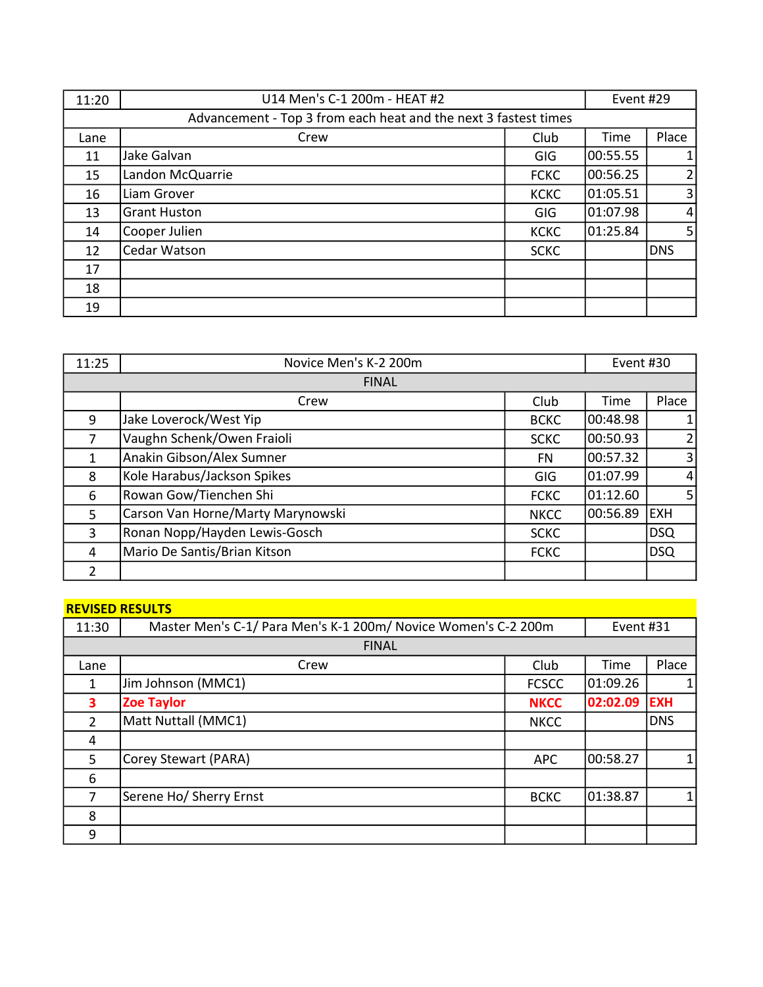| 11:20 | U14 Men's C-1 200m - HEAT #2                                    |             | Event #29 |                |
|-------|-----------------------------------------------------------------|-------------|-----------|----------------|
|       | Advancement - Top 3 from each heat and the next 3 fastest times |             |           |                |
| Lane  | Crew                                                            | Club        | Time      | Place          |
| 11    | Jake Galvan                                                     | GIG         | 00:55.55  | $\mathbf{1}$   |
| 15    | Landon McQuarrie                                                | <b>FCKC</b> | 00:56.25  | $\overline{2}$ |
| 16    | Liam Grover                                                     | <b>KCKC</b> | 01:05.51  | $\overline{3}$ |
| 13    | <b>Grant Huston</b>                                             | GIG         | 01:07.98  | $\overline{4}$ |
| 14    | Cooper Julien                                                   | <b>KCKC</b> | 01:25.84  | 5              |
| 12    | Cedar Watson                                                    | <b>SCKC</b> |           | <b>DNS</b>     |
| 17    |                                                                 |             |           |                |
| 18    |                                                                 |             |           |                |
| 19    |                                                                 |             |           |                |

| 11:25          | Novice Men's K-2 200m             |             | Event #30 |                |
|----------------|-----------------------------------|-------------|-----------|----------------|
| <b>FINAL</b>   |                                   |             |           |                |
|                | Crew                              | Club        | Time      | Place          |
| 9              | Jake Loverock/West Yip            | <b>BCKC</b> | 00:48.98  | 1              |
| 7              | Vaughn Schenk/Owen Fraioli        | <b>SCKC</b> | 00:50.93  | $\overline{2}$ |
| 1              | Anakin Gibson/Alex Sumner         | FN          | 00:57.32  | 3              |
| 8              | Kole Harabus/Jackson Spikes       | GIG         | 01:07.99  | $\overline{4}$ |
| 6              | Rowan Gow/Tienchen Shi            | <b>FCKC</b> | 01:12.60  | 5              |
| 5              | Carson Van Horne/Marty Marynowski | <b>NKCC</b> | 00:56.89  | <b>EXH</b>     |
| 3              | Ronan Nopp/Hayden Lewis-Gosch     | <b>SCKC</b> |           | <b>DSQ</b>     |
| 4              | Mario De Santis/Brian Kitson      | <b>FCKC</b> |           | <b>DSQ</b>     |
| $\overline{2}$ |                                   |             |           |                |

# REVISED RESULTS

| 11:30          | Master Men's C-1/ Para Men's K-1 200m/ Novice Women's C-2 200m |              | Event #31 |            |  |
|----------------|----------------------------------------------------------------|--------------|-----------|------------|--|
|                | <b>FINAL</b>                                                   |              |           |            |  |
| Lane           | Crew                                                           | Club         | Time      | Place      |  |
| 1              | Jim Johnson (MMC1)                                             | <b>FCSCC</b> | 01:09.26  |            |  |
| 3              | <b>Zoe Taylor</b>                                              | <b>NKCC</b>  | 02:02.09  | <b>EXH</b> |  |
| $\overline{2}$ | Matt Nuttall (MMC1)                                            | <b>NKCC</b>  |           | <b>DNS</b> |  |
| 4              |                                                                |              |           |            |  |
| 5              | Corey Stewart (PARA)                                           | <b>APC</b>   | 00:58.27  |            |  |
| 6              |                                                                |              |           |            |  |
| 7              | Serene Ho/ Sherry Ernst                                        | <b>BCKC</b>  | 01:38.87  |            |  |
| 8              |                                                                |              |           |            |  |
| 9              |                                                                |              |           |            |  |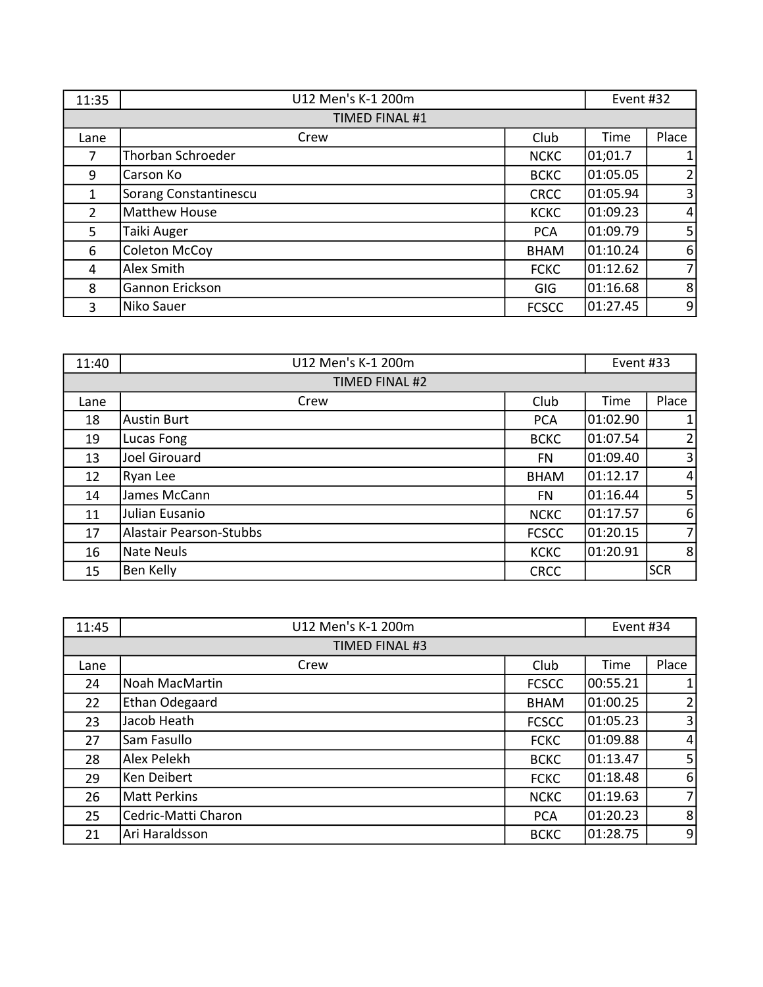| 11:35          | U12 Men's K-1 200m       |              | Event #32 |                |
|----------------|--------------------------|--------------|-----------|----------------|
|                | <b>TIMED FINAL #1</b>    |              |           |                |
| Lane           | Crew                     | Club         | Time      | Place          |
| 7              | <b>Thorban Schroeder</b> | <b>NCKC</b>  | 01;01.7   | $\mathbf{1}$   |
| 9              | Carson Ko                | <b>BCKC</b>  | 01:05.05  | 2              |
| 1              | Sorang Constantinescu    | <b>CRCC</b>  | 01:05.94  | $\overline{3}$ |
| $\overline{2}$ | <b>Matthew House</b>     | <b>KCKC</b>  | 01:09.23  | $\overline{4}$ |
| 5              | Taiki Auger              | <b>PCA</b>   | 01:09.79  | 5 <sup>1</sup> |
| 6              | <b>Coleton McCoy</b>     | <b>BHAM</b>  | 01:10.24  | 6              |
| 4              | Alex Smith               | <b>FCKC</b>  | 01:12.62  | $\overline{7}$ |
| 8              | Gannon Erickson          | <b>GIG</b>   | 01:16.68  | 8              |
| 3              | Niko Sauer               | <b>FCSCC</b> | 01:27.45  | 9              |

| 11:40 | U12 Men's K-1 200m             |              | Event #33 |                |  |
|-------|--------------------------------|--------------|-----------|----------------|--|
|       | TIMED FINAL #2                 |              |           |                |  |
| Lane  | Crew                           | Club         | Time      | Place          |  |
| 18    | <b>Austin Burt</b>             | <b>PCA</b>   | 01:02.90  | $\mathbf{1}$   |  |
| 19    | Lucas Fong                     | <b>BCKC</b>  | 01:07.54  | $\overline{2}$ |  |
| 13    | Joel Girouard                  | <b>FN</b>    | 01:09.40  | $\overline{3}$ |  |
| 12    | Ryan Lee                       | <b>BHAM</b>  | 01:12.17  | $\overline{4}$ |  |
| 14    | James McCann                   | <b>FN</b>    | 01:16.44  | 5 <sup>1</sup> |  |
| 11    | Julian Eusanio                 | <b>NCKC</b>  | 01:17.57  | 6              |  |
| 17    | <b>Alastair Pearson-Stubbs</b> | <b>FCSCC</b> | 01:20.15  | $\overline{7}$ |  |
| 16    | <b>Nate Neuls</b>              | <b>KCKC</b>  | 01:20.91  | 8              |  |
| 15    | Ben Kelly                      | <b>CRCC</b>  |           | <b>SCR</b>     |  |

| 11:45 | U12 Men's K-1 200m    |              | Event #34 |                |
|-------|-----------------------|--------------|-----------|----------------|
|       | TIMED FINAL #3        |              |           |                |
| Lane  | Crew                  | Club         | Time      | Place          |
| 24    | <b>Noah MacMartin</b> | <b>FCSCC</b> | 00:55.21  | 1              |
| 22    | Ethan Odegaard        | <b>BHAM</b>  | 01:00.25  | $\overline{2}$ |
| 23    | Jacob Heath           | <b>FCSCC</b> | 01:05.23  | 3              |
| 27    | Sam Fasullo           | <b>FCKC</b>  | 01:09.88  | $\vert$        |
| 28    | Alex Pelekh           | <b>BCKC</b>  | 01:13.47  | 5 <sub>l</sub> |
| 29    | Ken Deibert           | <b>FCKC</b>  | 01:18.48  | 6              |
| 26    | <b>Matt Perkins</b>   | <b>NCKC</b>  | 01:19.63  | 7 <sup>1</sup> |
| 25    | Cedric-Matti Charon   | <b>PCA</b>   | 01:20.23  | 8              |
| 21    | Ari Haraldsson        | <b>BCKC</b>  | 01:28.75  | $\overline{9}$ |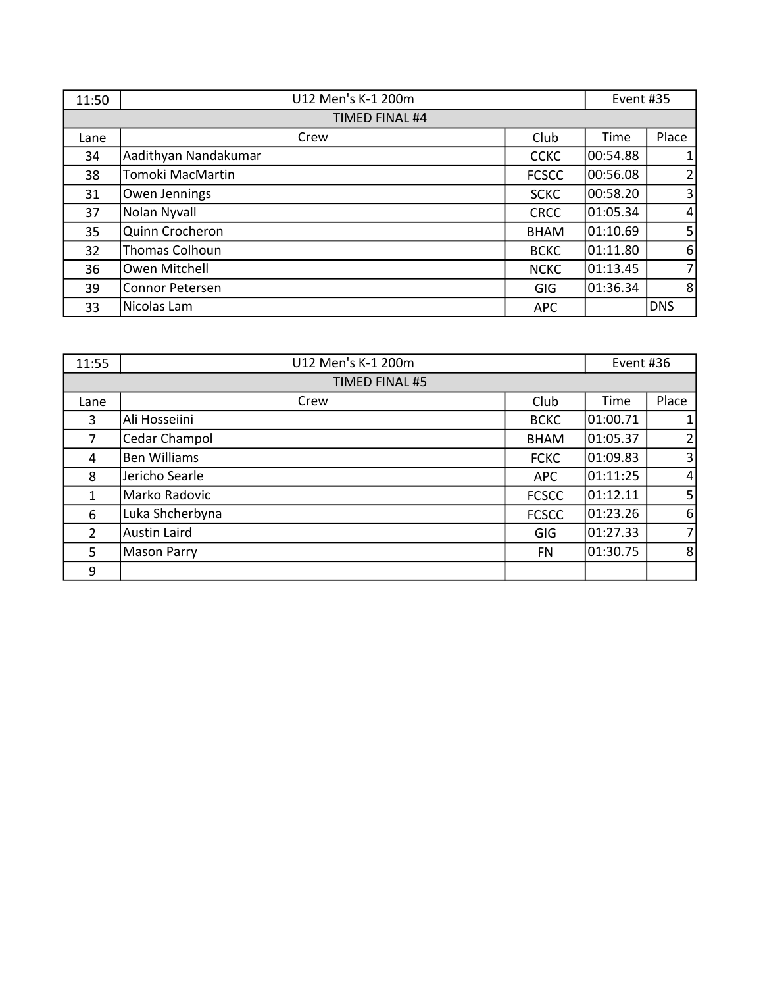| 11:50          | U12 Men's K-1 200m     |              | Event #35 |                |
|----------------|------------------------|--------------|-----------|----------------|
| TIMED FINAL #4 |                        |              |           |                |
| Lane           | Crew                   | Club         | Time      | Place          |
| 34             | Aadithyan Nandakumar   | <b>CCKC</b>  | 00:54.88  | $\mathbf{1}$   |
| 38             | Tomoki MacMartin       | <b>FCSCC</b> | 00:56.08  | $\overline{2}$ |
| 31             | Owen Jennings          | <b>SCKC</b>  | 00:58.20  | $\overline{3}$ |
| 37             | Nolan Nyvall           | <b>CRCC</b>  | 01:05.34  | $\overline{4}$ |
| 35             | Quinn Crocheron        | <b>BHAM</b>  | 01:10.69  | 5 <sup>1</sup> |
| 32             | <b>Thomas Colhoun</b>  | <b>BCKC</b>  | 01:11.80  | 6              |
| 36             | Owen Mitchell          | <b>NCKC</b>  | 01:13.45  | $\overline{7}$ |
| 39             | <b>Connor Petersen</b> | <b>GIG</b>   | 01:36.34  | 8              |
| 33             | Nicolas Lam            | <b>APC</b>   |           | <b>DNS</b>     |

| 11:55          | U12 Men's K-1 200m  |              | Event #36 |                |
|----------------|---------------------|--------------|-----------|----------------|
| TIMED FINAL #5 |                     |              |           |                |
| Lane           | Crew                | Club         | Time      | Place          |
| 3              | Ali Hosseiini       | <b>BCKC</b>  | 01:00.71  | 1              |
| 7              | Cedar Champol       | <b>BHAM</b>  | 01:05.37  | 2              |
| 4              | <b>Ben Williams</b> | <b>FCKC</b>  | 01:09.83  | $\overline{3}$ |
| 8              | Jericho Searle      | <b>APC</b>   | 01:11:25  | $\overline{4}$ |
| 1              | Marko Radovic       | <b>FCSCC</b> | 01:12.11  | 5 <sub>l</sub> |
| 6              | Luka Shcherbyna     | <b>FCSCC</b> | 01:23.26  | 6              |
| $\overline{2}$ | <b>Austin Laird</b> | <b>GIG</b>   | 01:27.33  | $\overline{7}$ |
| 5              | <b>Mason Parry</b>  | FN           | 01:30.75  | 8              |
| 9              |                     |              |           |                |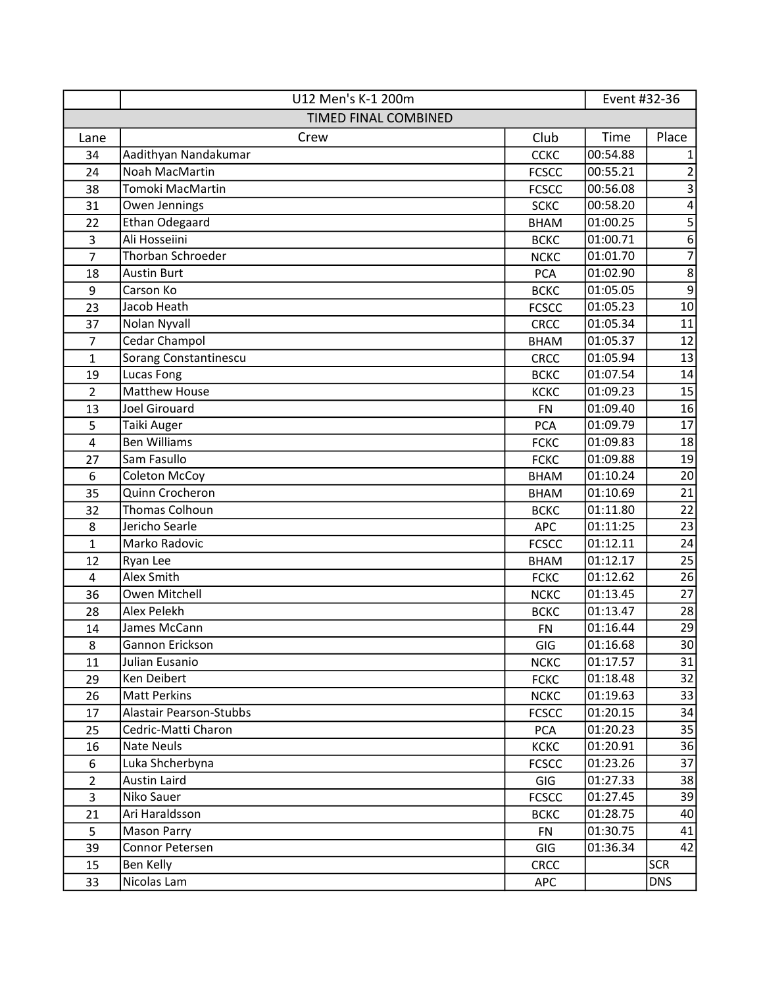|                  | U12 Men's K-1 200m          |              | Event #32-36 |                  |
|------------------|-----------------------------|--------------|--------------|------------------|
|                  | <b>TIMED FINAL COMBINED</b> |              |              |                  |
| Lane             | Crew                        | Club         | Time         | Place            |
| 34               | Aadithyan Nandakumar        | <b>CCKC</b>  | 00:54.88     | 1                |
| 24               | Noah MacMartin              | <b>FCSCC</b> | 00:55.21     | 2                |
| 38               | Tomoki MacMartin            | <b>FCSCC</b> | 00:56.08     | 3                |
| 31               | Owen Jennings               | <b>SCKC</b>  | 00:58.20     | $\overline{4}$   |
| 22               | <b>Ethan Odegaard</b>       | <b>BHAM</b>  | 01:00.25     | $\sqrt{5}$       |
| 3                | Ali Hosseiini               | <b>BCKC</b>  | 01:00.71     | $\overline{6}$   |
| $\overline{7}$   | Thorban Schroeder           | <b>NCKC</b>  | 01:01.70     | $\overline{7}$   |
| 18               | <b>Austin Burt</b>          | <b>PCA</b>   | 01:02.90     | 8                |
| 9                | Carson Ko                   | <b>BCKC</b>  | 01:05.05     | $\boldsymbol{9}$ |
| 23               | Jacob Heath                 | <b>FCSCC</b> | 01:05.23     | $10\,$           |
| 37               | Nolan Nyvall                | <b>CRCC</b>  | 01:05.34     | 11               |
| $\overline{7}$   | Cedar Champol               | <b>BHAM</b>  | 01:05.37     | 12               |
| $\mathbf{1}$     | Sorang Constantinescu       | <b>CRCC</b>  | 01:05.94     | 13               |
| 19               | Lucas Fong                  | <b>BCKC</b>  | 01:07.54     | 14               |
| $\overline{2}$   | <b>Matthew House</b>        | <b>KCKC</b>  | 01:09.23     | 15               |
| 13               | <b>Joel Girouard</b>        | <b>FN</b>    | 01:09.40     | 16               |
| 5                | Taiki Auger                 | <b>PCA</b>   | 01:09.79     | 17               |
| $\overline{4}$   | <b>Ben Williams</b>         | <b>FCKC</b>  | 01:09.83     | 18               |
| 27               | Sam Fasullo                 | <b>FCKC</b>  | 01:09.88     | 19               |
| $\boldsymbol{6}$ | <b>Coleton McCoy</b>        | <b>BHAM</b>  | 01:10.24     | 20               |
| 35               | Quinn Crocheron             | <b>BHAM</b>  | 01:10.69     | 21               |
| 32               | Thomas Colhoun              | <b>BCKC</b>  | 01:11.80     | 22               |
| 8                | Jericho Searle              | APC          | 01:11:25     | 23               |
| $\mathbf{1}$     | Marko Radovic               | <b>FCSCC</b> | 01:12.11     | 24               |
| 12               | Ryan Lee                    | <b>BHAM</b>  | 01:12.17     | 25               |
| $\overline{4}$   | Alex Smith                  | <b>FCKC</b>  | 01:12.62     | 26               |
| 36               | Owen Mitchell               | <b>NCKC</b>  | 01:13.45     | 27               |
| 28               | Alex Pelekh                 | <b>BCKC</b>  | 01:13.47     | 28               |
| 14               | James McCann                | <b>FN</b>    | 01:16.44     | 29               |
| $\bf 8$          | Gannon Erickson             | GIG          | 01:16.68     | 30               |
| 11               | Julian Eusanio              | <b>NCKC</b>  | 01:17.57     | 31               |
| 29               | Ken Deibert                 | <b>FCKC</b>  | 01:18.48     | 32               |
| 26               | <b>Matt Perkins</b>         | <b>NCKC</b>  | 01:19.63     | 33               |
| 17               | Alastair Pearson-Stubbs     | <b>FCSCC</b> | 01:20.15     | 34               |
| 25               | Cedric-Matti Charon         | <b>PCA</b>   | 01:20.23     | 35               |
| 16               | Nate Neuls                  | <b>KCKC</b>  | 01:20.91     | 36               |
| 6                | Luka Shcherbyna             | <b>FCSCC</b> | 01:23.26     | 37               |
| $\overline{2}$   | Austin Laird                | GIG          | 01:27.33     | 38               |
| 3                | Niko Sauer                  | <b>FCSCC</b> | 01:27.45     | 39               |
| 21               | Ari Haraldsson              | <b>BCKC</b>  | 01:28.75     | 40               |
| 5                | <b>Mason Parry</b>          | <b>FN</b>    | 01:30.75     | 41               |
| 39               | Connor Petersen             | GIG          | 01:36.34     | 42               |
| 15               | Ben Kelly                   | <b>CRCC</b>  |              | <b>SCR</b>       |
| 33               | Nicolas Lam                 | APC          |              | <b>DNS</b>       |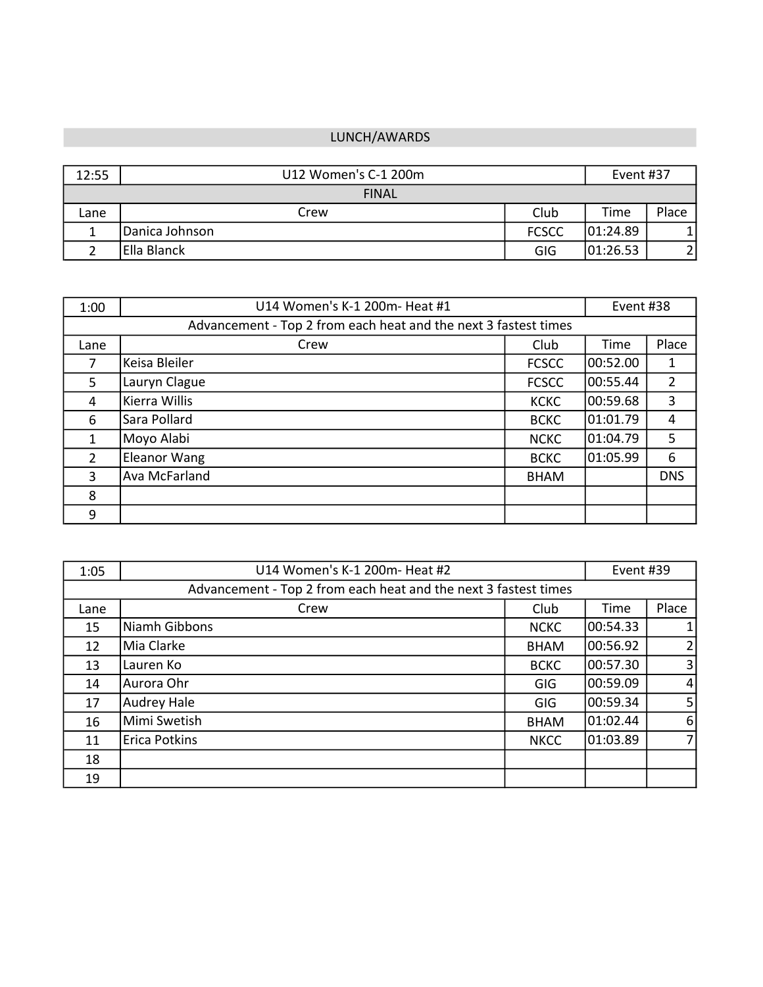#### LUNCH/AWARDS

| 12:55 | U12 Women's C-1 200m |              | Event #37 |       |
|-------|----------------------|--------------|-----------|-------|
|       | <b>FINAL</b>         |              |           |       |
| Lane  | Crew                 | Club         | Time      | Place |
|       | Danica Johnson       | <b>FCSCC</b> | 101:24.89 |       |
|       | Ella Blanck          | GIG          | 01:26.53  |       |

| 1:00                                                            | U14 Women's K-1 200m- Heat #1 |              | Event #38 |                |
|-----------------------------------------------------------------|-------------------------------|--------------|-----------|----------------|
| Advancement - Top 2 from each heat and the next 3 fastest times |                               |              |           |                |
| Lane                                                            | Crew                          | Club         | Time      | Place          |
| 7                                                               | Keisa Bleiler                 | <b>FCSCC</b> | 00:52.00  | 1              |
| 5                                                               | Lauryn Clague                 | <b>FCSCC</b> | 00:55.44  | $\overline{2}$ |
| 4                                                               | Kierra Willis                 | <b>KCKC</b>  | 00:59.68  | 3              |
| 6                                                               | Sara Pollard                  | <b>BCKC</b>  | 01:01.79  | 4              |
| 1                                                               | Moyo Alabi                    | <b>NCKC</b>  | 01:04.79  | 5              |
| $\overline{2}$                                                  | <b>Eleanor Wang</b>           | <b>BCKC</b>  | 01:05.99  | 6              |
| 3                                                               | <b>Ava McFarland</b>          | <b>BHAM</b>  |           | <b>DNS</b>     |
| 8                                                               |                               |              |           |                |
| 9                                                               |                               |              |           |                |

| 1:05                                                            | U14 Women's K-1 200m- Heat #2 |             | Event #39 |                |
|-----------------------------------------------------------------|-------------------------------|-------------|-----------|----------------|
| Advancement - Top 2 from each heat and the next 3 fastest times |                               |             |           |                |
| Lane                                                            | Crew                          | Club        | Time      | Place          |
| 15                                                              | Niamh Gibbons                 | <b>NCKC</b> | 00:54.33  | $\mathbf{1}$   |
| 12                                                              | Mia Clarke                    | <b>BHAM</b> | 00:56.92  | 2              |
| 13                                                              | Lauren Ko                     | <b>BCKC</b> | 00:57.30  | $\overline{3}$ |
| 14                                                              | Aurora Ohr                    | GIG         | 00:59.09  | $\overline{4}$ |
| 17                                                              | <b>Audrey Hale</b>            | GIG         | 100:59.34 | 5 <sub>l</sub> |
| 16                                                              | Mimi Swetish                  | <b>BHAM</b> | 01:02.44  | 6              |
| 11                                                              | <b>Erica Potkins</b>          | <b>NKCC</b> | 01:03.89  | $\overline{7}$ |
| 18                                                              |                               |             |           |                |
| 19                                                              |                               |             |           |                |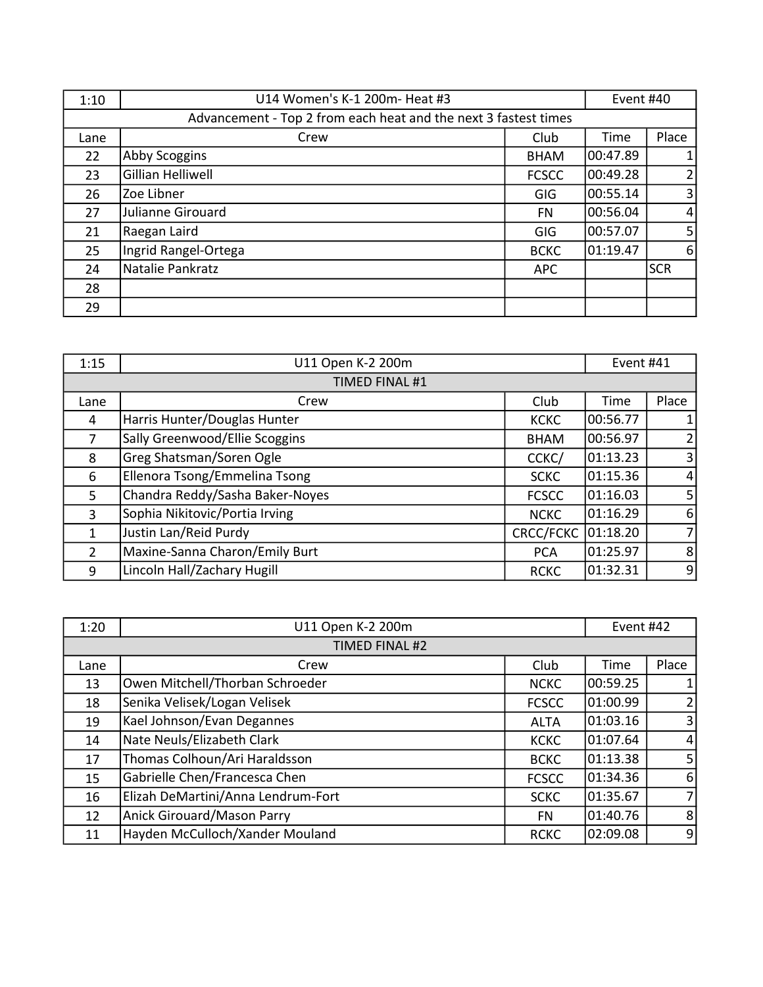| 1:10                                                            | U14 Women's K-1 200m- Heat #3 |              | Event #40 |                  |
|-----------------------------------------------------------------|-------------------------------|--------------|-----------|------------------|
| Advancement - Top 2 from each heat and the next 3 fastest times |                               |              |           |                  |
| Lane                                                            | Crew                          | Club         | Time      | Place            |
| 22                                                              | Abby Scoggins                 | <b>BHAM</b>  | 00:47.89  | $\mathbf{1}$     |
| 23                                                              | Gillian Helliwell             | <b>FCSCC</b> | 00:49.28  | $\overline{2}$   |
| 26                                                              | Zoe Libner                    | <b>GIG</b>   | 00:55.14  | $\overline{3}$   |
| 27                                                              | Julianne Girouard             | <b>FN</b>    | 00:56.04  | $\overline{4}$   |
| 21                                                              | Raegan Laird                  | GIG          | 00:57.07  | 5 <sup>1</sup>   |
| 25                                                              | Ingrid Rangel-Ortega          | <b>BCKC</b>  | 01:19.47  | $6 \overline{6}$ |
| 24                                                              | Natalie Pankratz              | <b>APC</b>   |           | <b>SCR</b>       |
| 28                                                              |                               |              |           |                  |
| 29                                                              |                               |              |           |                  |

| 1:15           | U11 Open K-2 200m               |              | Event #41 |                |
|----------------|---------------------------------|--------------|-----------|----------------|
|                | <b>TIMED FINAL #1</b>           |              |           |                |
| Lane           | Crew                            | Club         | Time      | Place          |
| 4              | Harris Hunter/Douglas Hunter    | <b>KCKC</b>  | 00:56.77  | $\mathbf{1}$   |
| 7              | Sally Greenwood/Ellie Scoggins  | <b>BHAM</b>  | 00:56.97  | $\overline{2}$ |
| 8              | Greg Shatsman/Soren Ogle        | CCKC/        | 01:13.23  | $\overline{3}$ |
| 6              | Ellenora Tsong/Emmelina Tsong   | <b>SCKC</b>  | 01:15.36  | $\overline{4}$ |
| 5              | Chandra Reddy/Sasha Baker-Noyes | <b>FCSCC</b> | 01:16.03  | 5 <sub>l</sub> |
| 3              | Sophia Nikitovic/Portia Irving  | <b>NCKC</b>  | 01:16.29  | 6              |
| 1              | Justin Lan/Reid Purdy           | CRCC/FCKC    | 01:18.20  | $\overline{7}$ |
| $\overline{2}$ | Maxine-Sanna Charon/Emily Burt  | <b>PCA</b>   | 01:25.97  | 8              |
| 9              | Lincoln Hall/Zachary Hugill     | <b>RCKC</b>  | 01:32.31  | 9              |

| 1:20 | U11 Open K-2 200m                  |              | Event #42 |                |
|------|------------------------------------|--------------|-----------|----------------|
|      | TIMED FINAL #2                     |              |           |                |
| Lane | Crew                               | Club         | Time      | Place          |
| 13   | Owen Mitchell/Thorban Schroeder    | <b>NCKC</b>  | 00:59.25  |                |
| 18   | Senika Velisek/Logan Velisek       | <b>FCSCC</b> | 01:00.99  | $\overline{2}$ |
| 19   | Kael Johnson/Evan Degannes         | <b>ALTA</b>  | 01:03.16  | $\overline{3}$ |
| 14   | Nate Neuls/Elizabeth Clark         | <b>KCKC</b>  | 01:07.64  | $\overline{4}$ |
| 17   | Thomas Colhoun/Ari Haraldsson      | <b>BCKC</b>  | 01:13.38  | 5 <sub>l</sub> |
| 15   | Gabrielle Chen/Francesca Chen      | <b>FCSCC</b> | 01:34.36  | $6 \mid$       |
| 16   | Elizah DeMartini/Anna Lendrum-Fort | <b>SCKC</b>  | 01:35.67  | 7 <sup>1</sup> |
| 12   | Anick Girouard/Mason Parry         | <b>FN</b>    | 01:40.76  | 8 <sup>1</sup> |
| 11   | Hayden McCulloch/Xander Mouland    | <b>RCKC</b>  | 02:09.08  | 9              |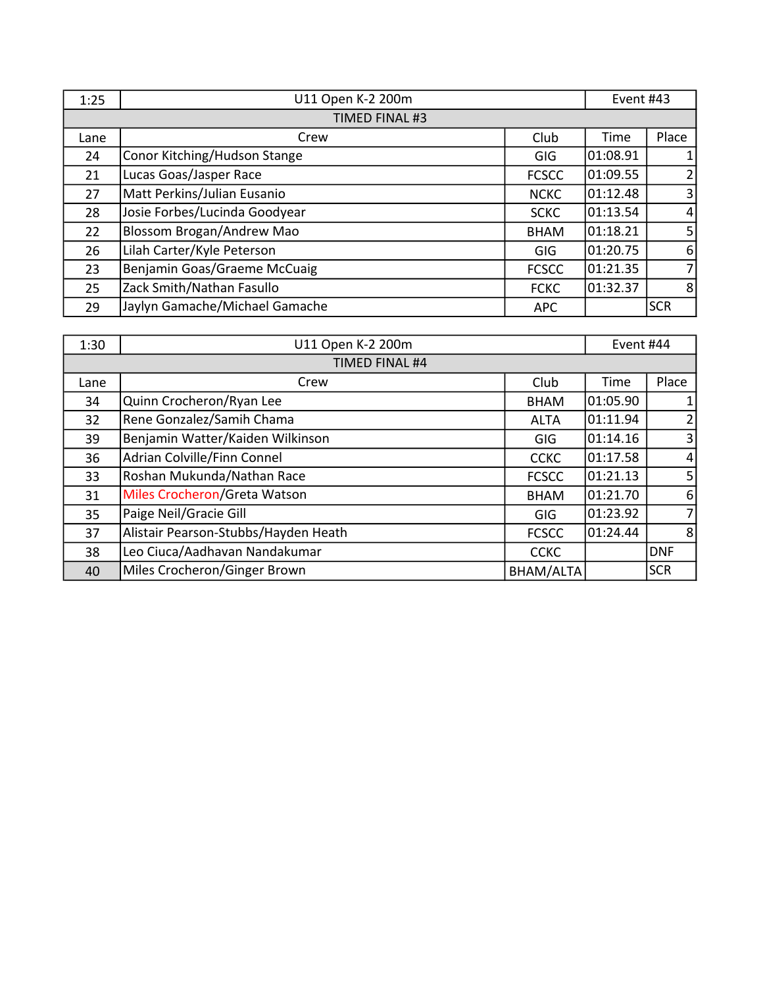| 1:25           | U11 Open K-2 200m              |              | Event #43 |                  |
|----------------|--------------------------------|--------------|-----------|------------------|
| TIMED FINAL #3 |                                |              |           |                  |
| Lane           | Crew                           | Club         | Time      | Place            |
| 24             | Conor Kitching/Hudson Stange   | <b>GIG</b>   | 01:08.91  | $\mathbf{1}$     |
| 21             | Lucas Goas/Jasper Race         | <b>FCSCC</b> | 01:09.55  | $\overline{2}$   |
| 27             | Matt Perkins/Julian Eusanio    | <b>NCKC</b>  | 01:12.48  | $\overline{3}$   |
| 28             | Josie Forbes/Lucinda Goodyear  | <b>SCKC</b>  | 01:13.54  | $\overline{4}$   |
| 22             | Blossom Brogan/Andrew Mao      | <b>BHAM</b>  | 01:18.21  | 5 <sup>1</sup>   |
| 26             | Lilah Carter/Kyle Peterson     | <b>GIG</b>   | 01:20.75  | $6 \overline{6}$ |
| 23             | Benjamin Goas/Graeme McCuaig   | <b>FCSCC</b> | 01:21.35  | $\overline{7}$   |
| 25             | Zack Smith/Nathan Fasullo      | <b>FCKC</b>  | 01:32.37  | 8                |
| 29             | Jaylyn Gamache/Michael Gamache | <b>APC</b>   |           | <b>SCR</b>       |

| 1:30           | U11 Open K-2 200m                    |                  | Event #44 |                |
|----------------|--------------------------------------|------------------|-----------|----------------|
| TIMED FINAL #4 |                                      |                  |           |                |
| Lane           | Crew                                 | Club             | Time      | Place          |
| 34             | Quinn Crocheron/Ryan Lee             | <b>BHAM</b>      | 01:05.90  | $\mathbf{1}$   |
| 32             | Rene Gonzalez/Samih Chama            | <b>ALTA</b>      | 01:11.94  | $\overline{2}$ |
| 39             | Benjamin Watter/Kaiden Wilkinson     | <b>GIG</b>       | 01:14.16  | 3              |
| 36             | Adrian Colville/Finn Connel          | <b>CCKC</b>      | 01:17.58  | 4              |
| 33             | Roshan Mukunda/Nathan Race           | <b>FCSCC</b>     | 01:21.13  | 5              |
| 31             | Miles Crocheron/Greta Watson         | <b>BHAM</b>      | 01:21.70  | 6              |
| 35             | Paige Neil/Gracie Gill               | <b>GIG</b>       | 01:23.92  | $\overline{7}$ |
| 37             | Alistair Pearson-Stubbs/Hayden Heath | <b>FCSCC</b>     | 01:24.44  | 8              |
| 38             | Leo Ciuca/Aadhavan Nandakumar        | <b>CCKC</b>      |           | <b>DNF</b>     |
| 40             | Miles Crocheron/Ginger Brown         | <b>BHAM/ALTA</b> |           | <b>SCR</b>     |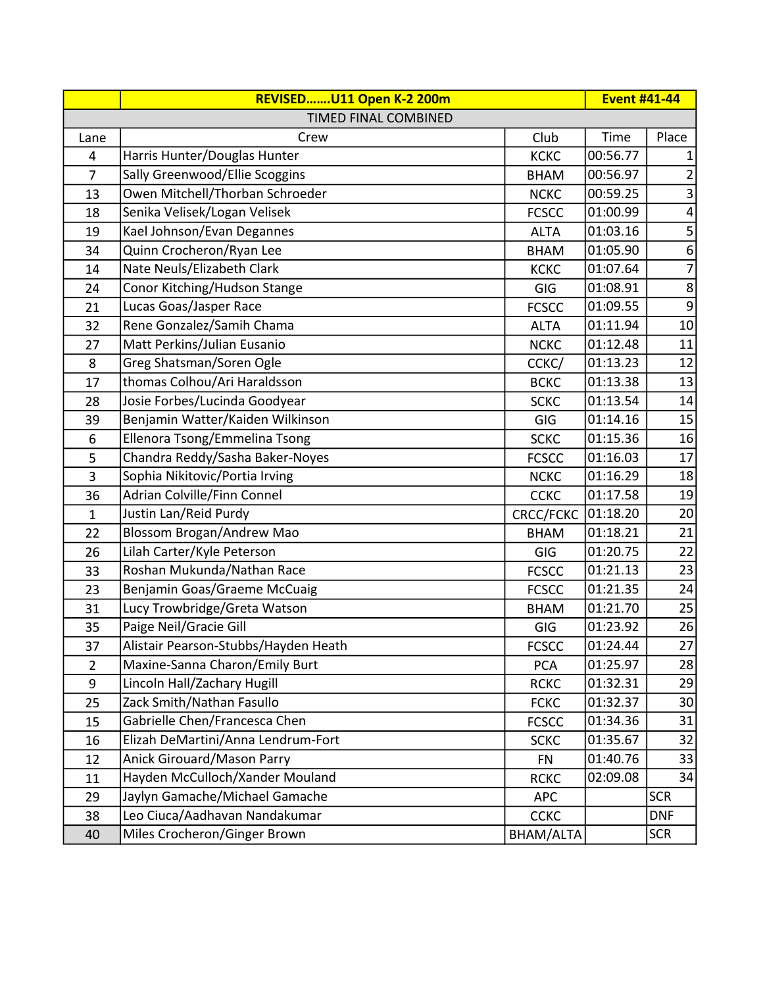|                | REVISEDU11 Open K-2 200m             |              | <b>Event #41-44</b> |                         |
|----------------|--------------------------------------|--------------|---------------------|-------------------------|
|                | TIMED FINAL COMBINED                 |              |                     |                         |
| Lane           | Crew                                 | Club         | Time                | Place                   |
| 4              | Harris Hunter/Douglas Hunter         | <b>KCKC</b>  | 00:56.77            |                         |
| $\overline{7}$ | Sally Greenwood/Ellie Scoggins       | <b>BHAM</b>  | 00:56.97            | $\overline{2}$          |
| 13             | Owen Mitchell/Thorban Schroeder      | <b>NCKC</b>  | 00:59.25            | $\mathsf 3$             |
| 18             | Senika Velisek/Logan Velisek         | <b>FCSCC</b> | 01:00.99            | $\overline{\mathbf{4}}$ |
| 19             | Kael Johnson/Evan Degannes           | <b>ALTA</b>  | 01:03.16            | 5                       |
| 34             | Quinn Crocheron/Ryan Lee             | <b>BHAM</b>  | 01:05.90            | $\boldsymbol{6}$        |
| 14             | Nate Neuls/Elizabeth Clark           | <b>KCKC</b>  | 01:07.64            | $\overline{7}$          |
| 24             | Conor Kitching/Hudson Stange         | GIG          | 01:08.91            | $\,8$                   |
| 21             | Lucas Goas/Jasper Race               | <b>FCSCC</b> | 01:09.55            | $\boldsymbol{9}$        |
| 32             | Rene Gonzalez/Samih Chama            | <b>ALTA</b>  | 01:11.94            | 10                      |
| 27             | Matt Perkins/Julian Eusanio          | <b>NCKC</b>  | 01:12.48            | 11                      |
| 8              | Greg Shatsman/Soren Ogle             | CCKC/        | 01:13.23            | 12                      |
| 17             | thomas Colhou/Ari Haraldsson         | <b>BCKC</b>  | 01:13.38            | 13                      |
| 28             | Josie Forbes/Lucinda Goodyear        | <b>SCKC</b>  | 01:13.54            | 14                      |
| 39             | Benjamin Watter/Kaiden Wilkinson     | GIG          | 01:14.16            | 15                      |
| 6              | Ellenora Tsong/Emmelina Tsong        | <b>SCKC</b>  | 01:15.36            | 16                      |
| 5              | Chandra Reddy/Sasha Baker-Noyes      | <b>FCSCC</b> | 01:16.03            | 17                      |
| 3              | Sophia Nikitovic/Portia Irving       | <b>NCKC</b>  | 01:16.29            | 18                      |
| 36             | Adrian Colville/Finn Connel          | <b>CCKC</b>  | 01:17.58            | 19                      |
| 1              | Justin Lan/Reid Purdy                | CRCC/FCKC    | 01:18.20            | 20                      |
| 22             | Blossom Brogan/Andrew Mao            | <b>BHAM</b>  | 01:18.21            | 21                      |
| 26             | Lilah Carter/Kyle Peterson           | GIG          | 01:20.75            | 22                      |
| 33             | Roshan Mukunda/Nathan Race           | <b>FCSCC</b> | 01:21.13            | 23                      |
| 23             | Benjamin Goas/Graeme McCuaig         | <b>FCSCC</b> | 01:21.35            | 24                      |
| 31             | Lucy Trowbridge/Greta Watson         | <b>BHAM</b>  | 01:21.70            | 25                      |
| 35             | Paige Neil/Gracie Gill               | GIG          | 01:23.92            | 26                      |
| 37             | Alistair Pearson-Stubbs/Hayden Heath | <b>FCSCC</b> | 01:24.44            | 27                      |
| $\overline{2}$ | Maxine-Sanna Charon/Emily Burt       | <b>PCA</b>   | 01:25.97            | 28                      |
| 9              | Lincoln Hall/Zachary Hugill          | <b>RCKC</b>  | 01:32.31            | 29                      |
| 25             | Zack Smith/Nathan Fasullo            | <b>FCKC</b>  | 01:32.37            | 30                      |
| 15             | Gabrielle Chen/Francesca Chen        | <b>FCSCC</b> | 01:34.36            | 31                      |
| 16             | Elizah DeMartini/Anna Lendrum-Fort   | <b>SCKC</b>  | 01:35.67            | 32                      |
| 12             | <b>Anick Girouard/Mason Parry</b>    | <b>FN</b>    | 01:40.76            | 33                      |
| 11             | Hayden McCulloch/Xander Mouland      | <b>RCKC</b>  | 02:09.08            | 34                      |
| 29             | Jaylyn Gamache/Michael Gamache       | <b>APC</b>   |                     | <b>SCR</b>              |
| 38             | Leo Ciuca/Aadhavan Nandakumar        | <b>CCKC</b>  |                     | <b>DNF</b>              |
| 40             | Miles Crocheron/Ginger Brown         | BHAM/ALTA    |                     | <b>SCR</b>              |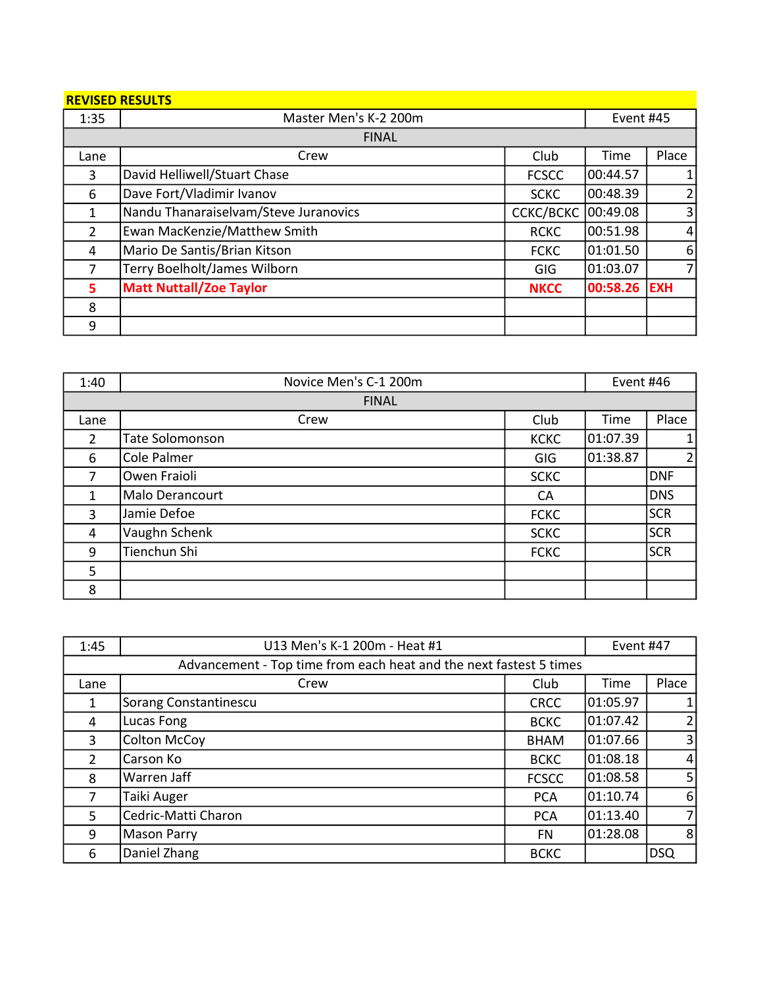|  | <b>REVISED RESULTS</b> |  |
|--|------------------------|--|
|  |                        |  |

| 1:35           | Master Men's K-2 200m                 |                  | Event #45 |                |
|----------------|---------------------------------------|------------------|-----------|----------------|
|                | <b>FINAL</b>                          |                  |           |                |
| Lane           | Crew                                  | Club             | Time      | Place          |
| 3              | David Helliwell/Stuart Chase          | <b>FCSCC</b>     | 00:44.57  |                |
| 6              | Dave Fort/Vladimir Ivanov             | <b>SCKC</b>      | 00:48.39  |                |
| $\mathbf{1}$   | Nandu Thanaraiselvam/Steve Juranovics | <b>CCKC/BCKC</b> | 00:49.08  | 3              |
| $\overline{2}$ | Ewan MacKenzie/Matthew Smith          | <b>RCKC</b>      | 00:51.98  | $\overline{4}$ |
| 4              | Mario De Santis/Brian Kitson          | <b>FCKC</b>      | 01:01.50  | 6              |
| 7              | Terry Boelholt/James Wilborn          | GIG              | 01:03.07  |                |
| 5              | <b>Matt Nuttall/Zoe Taylor</b>        | <b>NKCC</b>      | 00:58.26  | <b>EXH</b>     |
| 8              |                                       |                  |           |                |
| 9              |                                       |                  |           |                |

| 1:40 | Novice Men's C-1 200m  |             | Event #46 |            |
|------|------------------------|-------------|-----------|------------|
|      | <b>FINAL</b>           |             |           |            |
| Lane | Crew                   | Club        | Time      | Place      |
| 2    | <b>Tate Solomonson</b> | <b>KCKC</b> | 01:07.39  | 1          |
| 6    | Cole Palmer            | GIG         | 01:38.87  | 2          |
| 7    | Owen Fraioli           | <b>SCKC</b> |           | <b>DNF</b> |
| 1    | Malo Derancourt        | CA          |           | <b>DNS</b> |
| 3    | Jamie Defoe            | <b>FCKC</b> |           | <b>SCR</b> |
| 4    | Vaughn Schenk          | <b>SCKC</b> |           | <b>SCR</b> |
| 9    | Tienchun Shi           | <b>FCKC</b> |           | <b>SCR</b> |
| 5    |                        |             |           |            |
| 8    |                        |             |           |            |

| 1:45                                                               | U13 Men's K-1 200m - Heat #1 |              | Event #47 |                |
|--------------------------------------------------------------------|------------------------------|--------------|-----------|----------------|
| Advancement - Top time from each heat and the next fastest 5 times |                              |              |           |                |
| Lane                                                               | Crew                         | Club         | Time      | Place          |
| 1                                                                  | Sorang Constantinescu        | <b>CRCC</b>  | 01:05.97  |                |
| 4                                                                  | Lucas Fong                   | <b>BCKC</b>  | 01:07.42  |                |
| 3                                                                  | <b>Colton McCoy</b>          | <b>BHAM</b>  | 01:07.66  | $\overline{3}$ |
| $\overline{2}$                                                     | Carson Ko                    | <b>BCKC</b>  | 01:08.18  | 4              |
| 8                                                                  | Warren Jaff                  | <b>FCSCC</b> | 01:08.58  | 5              |
| 7                                                                  | Taiki Auger                  | <b>PCA</b>   | 01:10.74  | 6              |
| 5                                                                  | Cedric-Matti Charon          | <b>PCA</b>   | 01:13.40  | 7 <sub>l</sub> |
| 9                                                                  | Mason Parry                  | <b>FN</b>    | 01:28.08  | 8              |
| 6                                                                  | Daniel Zhang                 | <b>BCKC</b>  |           | <b>DSQ</b>     |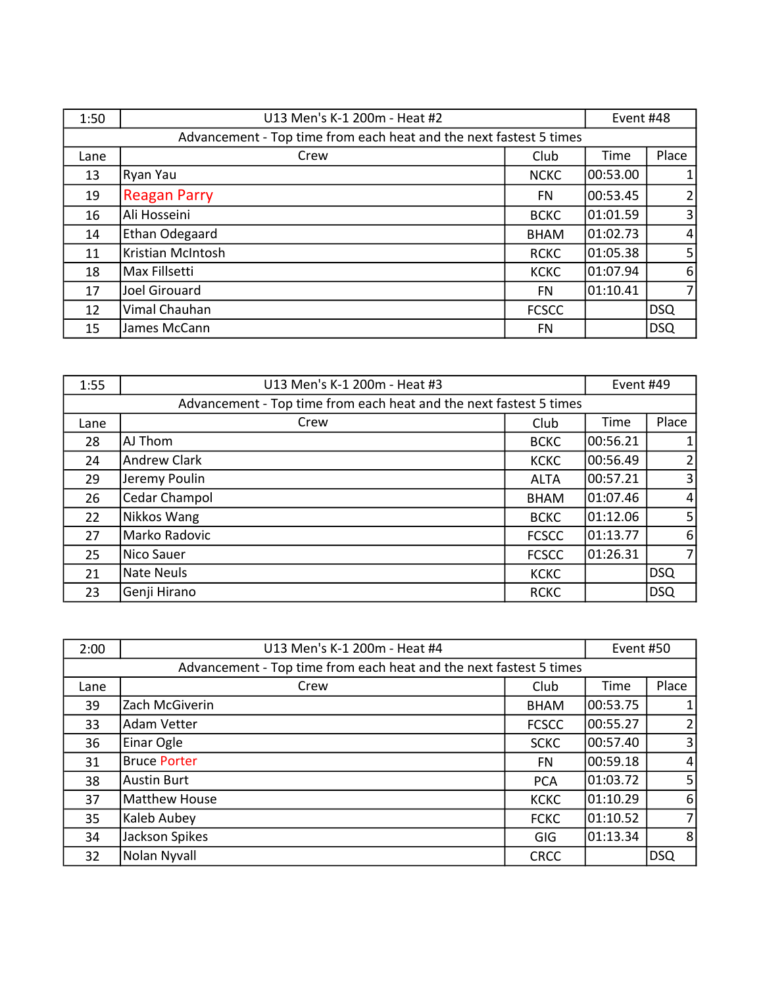| 1:50 | U13 Men's K-1 200m - Heat #2                                       |              | Event #48 |       |
|------|--------------------------------------------------------------------|--------------|-----------|-------|
|      | Advancement - Top time from each heat and the next fastest 5 times |              |           |       |
| Lane | Crew                                                               | Club         | Time      | Place |
| 13   | Ryan Yau                                                           | <b>NCKC</b>  | 00:53.00  |       |
| 19   | <b>Reagan Parry</b>                                                | FN.          | 00:53.45  |       |
| 16   | Ali Hosseini                                                       | <b>BCKC</b>  | 01:01.59  | 3     |
| 14   | Ethan Odegaard                                                     | <b>BHAM</b>  | 01:02.73  | 4     |
| 11   | Kristian McIntosh                                                  | <b>RCKC</b>  | 01:05.38  | 5     |
| 18   | Max Fillsetti                                                      | <b>KCKC</b>  | 01:07.94  | 6     |
| 17   | Joel Girouard                                                      | FN.          | 01:10.41  |       |
| 12   | Vimal Chauhan                                                      | <b>FCSCC</b> |           | DSQ   |
| 15   | James McCann                                                       | FN           |           | DSQ   |

| 1:55 | U13 Men's K-1 200m - Heat #3                                       |              | Event #49 |                |
|------|--------------------------------------------------------------------|--------------|-----------|----------------|
|      | Advancement - Top time from each heat and the next fastest 5 times |              |           |                |
| Lane | Crew                                                               | Club         | Time      | Place          |
| 28   | AJ Thom                                                            | <b>BCKC</b>  | 00:56.21  | $\mathbf{1}$   |
| 24   | <b>Andrew Clark</b>                                                | <b>KCKC</b>  | 00:56.49  | $\overline{2}$ |
| 29   | Jeremy Poulin                                                      | <b>ALTA</b>  | 00:57.21  | $\overline{3}$ |
| 26   | Cedar Champol                                                      | <b>BHAM</b>  | 01:07.46  | $\overline{4}$ |
| 22   | Nikkos Wang                                                        | <b>BCKC</b>  | 01:12.06  | 5 <sup>1</sup> |
| 27   | Marko Radovic                                                      | <b>FCSCC</b> | 01:13.77  | 6              |
| 25   | Nico Sauer                                                         | <b>FCSCC</b> | 01:26.31  | $\overline{7}$ |
| 21   | Nate Neuls                                                         | <b>KCKC</b>  |           | <b>DSQ</b>     |
| 23   | Genji Hirano                                                       | <b>RCKC</b>  |           | DSQ            |

| 2:00 | U13 Men's K-1 200m - Heat #4                                       |              | Event #50 |                  |
|------|--------------------------------------------------------------------|--------------|-----------|------------------|
|      | Advancement - Top time from each heat and the next fastest 5 times |              |           |                  |
| Lane | Crew                                                               | Club         | Time      | Place            |
| 39   | Zach McGiverin                                                     | <b>BHAM</b>  | 00:53.75  | $\mathbf{1}$     |
| 33   | <b>Adam Vetter</b>                                                 | <b>FCSCC</b> | 00:55.27  | $\overline{2}$   |
| 36   | Einar Ogle                                                         | <b>SCKC</b>  | 00:57.40  | $\overline{3}$   |
| 31   | <b>Bruce Porter</b>                                                | <b>FN</b>    | 00:59.18  | $\overline{4}$   |
| 38   | <b>Austin Burt</b>                                                 | <b>PCA</b>   | 01:03.72  | 5 <sup>1</sup>   |
| 37   | Matthew House                                                      | <b>KCKC</b>  | 01:10.29  | $6 \overline{6}$ |
| 35   | Kaleb Aubey                                                        | <b>FCKC</b>  | 01:10.52  | $\overline{7}$   |
| 34   | Jackson Spikes                                                     | GIG          | 01:13.34  | 8                |
| 32   | Nolan Nyvall                                                       | <b>CRCC</b>  |           | <b>DSQ</b>       |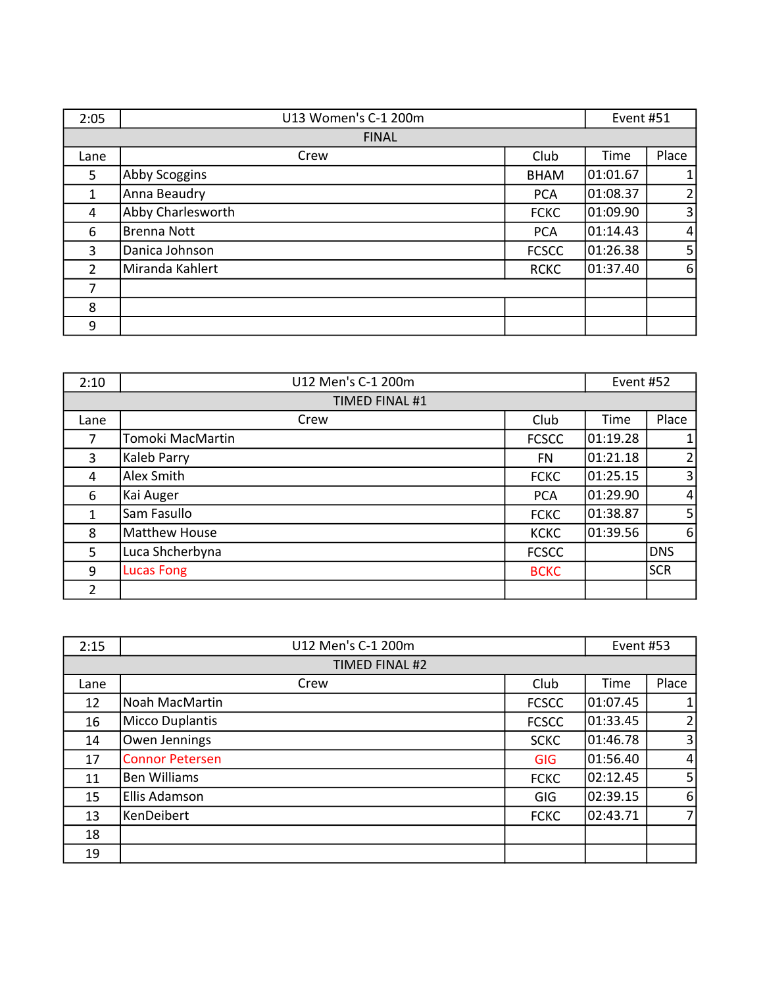| 2:05           | U13 Women's C-1 200m |              | Event #51 |                |
|----------------|----------------------|--------------|-----------|----------------|
|                | <b>FINAL</b>         |              |           |                |
| Lane           | Crew                 | Club         | Time      | Place          |
| 5              | Abby Scoggins        | <b>BHAM</b>  | 01:01.67  | $\mathbf{1}$   |
| 1              | Anna Beaudry         | <b>PCA</b>   | 01:08.37  | $\overline{2}$ |
| 4              | Abby Charlesworth    | <b>FCKC</b>  | 01:09.90  | $\overline{3}$ |
| 6              | <b>Brenna Nott</b>   | <b>PCA</b>   | 01:14.43  | $\overline{4}$ |
| 3              | Danica Johnson       | <b>FCSCC</b> | 01:26.38  | 5 <sub>l</sub> |
| $\overline{2}$ | Miranda Kahlert      | <b>RCKC</b>  | 01:37.40  | 6              |
| 7              |                      |              |           |                |
| 8              |                      |              |           |                |
| 9              |                      |              |           |                |

| 2:10           | U12 Men's C-1 200m   |              | Event #52 |                |
|----------------|----------------------|--------------|-----------|----------------|
|                | TIMED FINAL #1       |              |           |                |
| Lane           | Crew                 | Club         | Time      | Place          |
| 7              | Tomoki MacMartin     | <b>FCSCC</b> | 01:19.28  | $\mathbf{1}$   |
| 3              | <b>Kaleb Parry</b>   | FN           | 01:21.18  | 2              |
| 4              | Alex Smith           | <b>FCKC</b>  | 01:25.15  | $\overline{3}$ |
| 6              | Kai Auger            | <b>PCA</b>   | 01:29.90  | $\overline{4}$ |
| $\mathbf{1}$   | Sam Fasullo          | <b>FCKC</b>  | 01:38.87  | 5 <sup>1</sup> |
| 8              | <b>Matthew House</b> | <b>KCKC</b>  | 01:39.56  | 6              |
| 5              | Luca Shcherbyna      | <b>FCSCC</b> |           | <b>DNS</b>     |
| 9              | <b>Lucas Fong</b>    | <b>BCKC</b>  |           | <b>SCR</b>     |
| $\overline{2}$ |                      |              |           |                |

| 2:15 | U12 Men's C-1 200m     |              | Event #53 |                |
|------|------------------------|--------------|-----------|----------------|
|      | TIMED FINAL #2         |              |           |                |
| Lane | Crew                   | Club         | Time      | Place          |
| 12   | Noah MacMartin         | <b>FCSCC</b> | 01:07.45  |                |
| 16   | Micco Duplantis        | <b>FCSCC</b> | 01:33.45  | $\overline{2}$ |
| 14   | Owen Jennings          | <b>SCKC</b>  | 01:46.78  | 3 <sup>1</sup> |
| 17   | <b>Connor Petersen</b> | <b>GIG</b>   | 01:56.40  | $\overline{4}$ |
| 11   | <b>Ben Williams</b>    | <b>FCKC</b>  | 02:12.45  | 5              |
| 15   | Ellis Adamson          | GIG          | 02:39.15  | $6 \mid$       |
| 13   | KenDeibert             | <b>FCKC</b>  | 02:43.71  | 7              |
| 18   |                        |              |           |                |
| 19   |                        |              |           |                |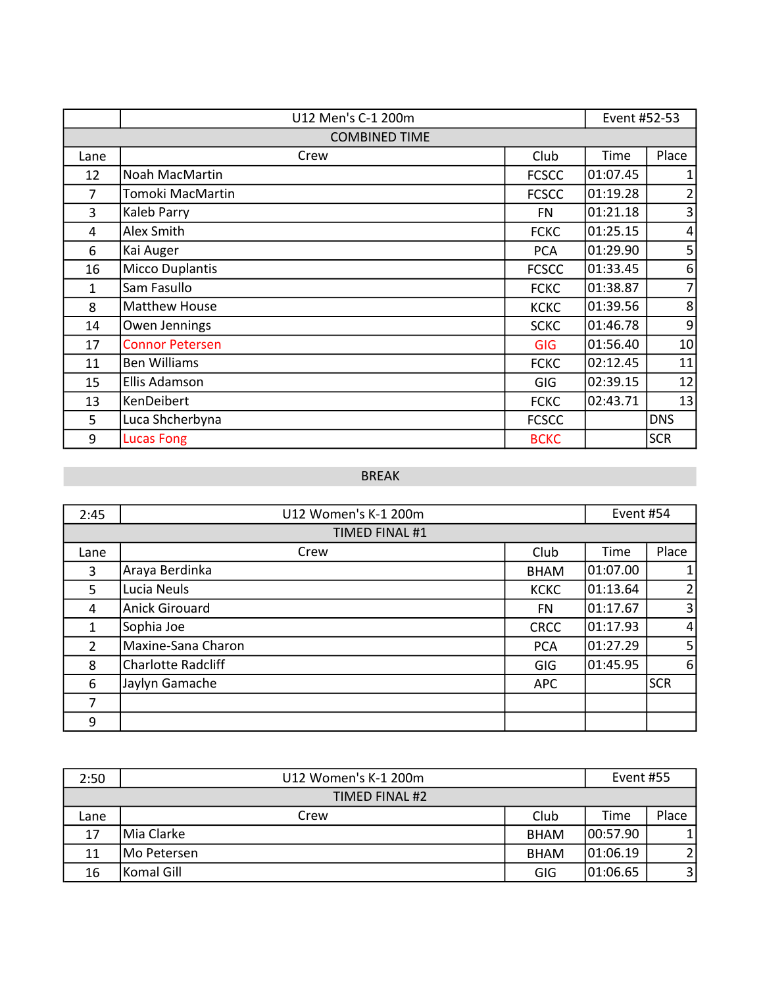|      | U12 Men's C-1 200m     |              | Event #52-53 |                 |
|------|------------------------|--------------|--------------|-----------------|
|      | <b>COMBINED TIME</b>   |              |              |                 |
| Lane | Crew                   | Club         | Time         | Place           |
| 12   | Noah MacMartin         | <b>FCSCC</b> | 01:07.45     | 1               |
| 7    | Tomoki MacMartin       | <b>FCSCC</b> | 01:19.28     | 2               |
| 3    | Kaleb Parry            | FN           | 01:21.18     | 3               |
| 4    | Alex Smith             | <b>FCKC</b>  | 01:25.15     | $\overline{4}$  |
| 6    | Kai Auger              | <b>PCA</b>   | 01:29.90     | 5               |
| 16   | <b>Micco Duplantis</b> | <b>FCSCC</b> | 01:33.45     | $6 \mid$        |
| 1    | Sam Fasullo            | <b>FCKC</b>  | 01:38.87     | $\overline{7}$  |
| 8    | <b>Matthew House</b>   | <b>KCKC</b>  | 01:39.56     | 8               |
| 14   | Owen Jennings          | <b>SCKC</b>  | 01:46.78     | $\overline{9}$  |
| 17   | <b>Connor Petersen</b> | <b>GIG</b>   | 01:56.40     | 10 <sub>1</sub> |
| 11   | <b>Ben Williams</b>    | <b>FCKC</b>  | 02:12.45     | 11              |
| 15   | Ellis Adamson          | <b>GIG</b>   | 02:39.15     | 12              |
| 13   | KenDeibert             | <b>FCKC</b>  | 02:43.71     | 13              |
| 5    | Luca Shcherbyna        | <b>FCSCC</b> |              | <b>DNS</b>      |
| 9    | <b>Lucas Fong</b>      | <b>BCKC</b>  |              | <b>SCR</b>      |

# BREAK

| 2:45           | U12 Women's K-1 200m      |             | Event #54 |                |
|----------------|---------------------------|-------------|-----------|----------------|
|                | <b>TIMED FINAL #1</b>     |             |           |                |
| Lane           | Crew                      | Club        | Time      | Place          |
| 3              | Araya Berdinka            | <b>BHAM</b> | 01:07.00  |                |
| 5              | Lucia Neuls               | <b>KCKC</b> | 01:13.64  | 2              |
| 4              | <b>Anick Girouard</b>     | <b>FN</b>   | 01:17.67  | 3              |
| 1              | Sophia Joe                | <b>CRCC</b> | 01:17.93  | $\vert$        |
| $\overline{2}$ | Maxine-Sana Charon        | <b>PCA</b>  | 01:27.29  | 5 <sup>1</sup> |
| 8              | <b>Charlotte Radcliff</b> | GIG         | 01:45.95  | $6 \mid$       |
| 6              | Jaylyn Gamache            | APC         |           | <b>SCR</b>     |
| 7              |                           |             |           |                |
| 9              |                           |             |           |                |

| 2:50 | U12 Women's K-1 200m |             | Event #55 |                |
|------|----------------------|-------------|-----------|----------------|
|      | TIMED FINAL #2       |             |           |                |
| Lane | Crew                 | Club        | Time      | Place          |
| 17   | Mia Clarke           | <b>BHAM</b> | 00:57.90  |                |
| 11   | Mo Petersen          | <b>BHAM</b> | 01:06.19  | $\overline{2}$ |
| 16   | Komal Gill           | GIG         | 01:06.65  | $\overline{3}$ |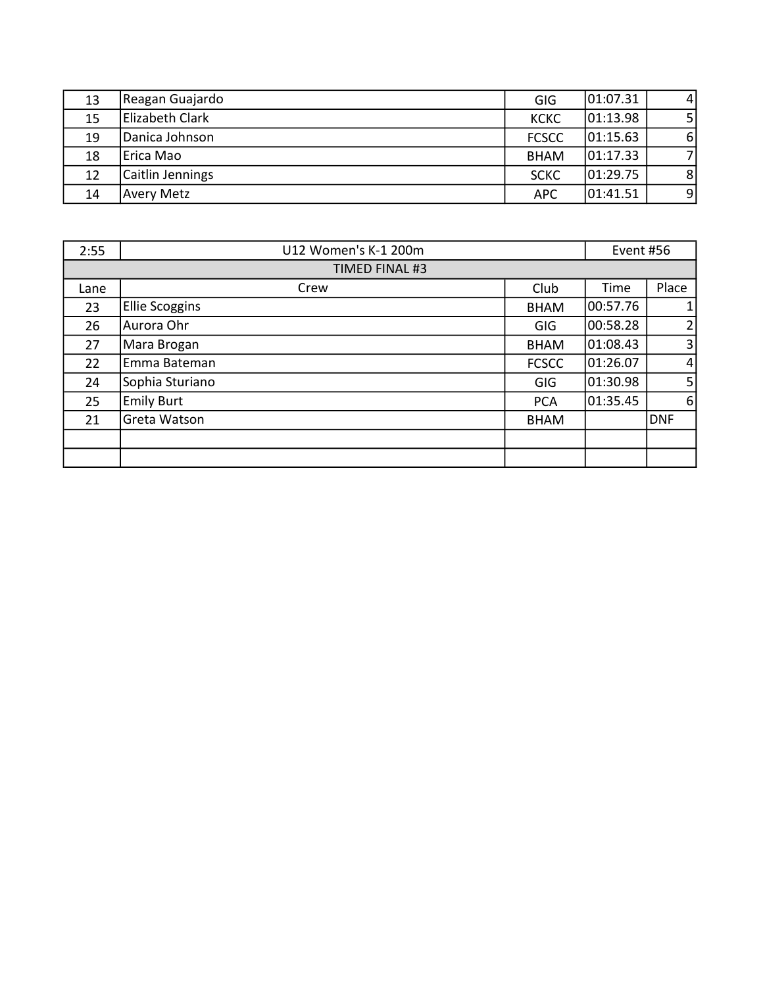| 13 | Reagan Guajardo   | GIG          | 01:07.31 | $\overline{4}$ |
|----|-------------------|--------------|----------|----------------|
| 15 | Elizabeth Clark   | <b>KCKC</b>  | 01:13.98 | 5 <sub>l</sub> |
| 19 | Danica Johnson    | <b>FCSCC</b> | 01:15.63 | 6              |
| 18 | Erica Mao         | <b>BHAM</b>  | 01:17.33 | $\overline{7}$ |
| 12 | Caitlin Jennings  | <b>SCKC</b>  | 01:29.75 | 8              |
| 14 | <b>Avery Metz</b> | <b>APC</b>   | 01:41.51 | 9              |

| 2:55 | U12 Women's K-1 200m  |              | Event #56 |                |
|------|-----------------------|--------------|-----------|----------------|
|      | TIMED FINAL #3        |              |           |                |
| Lane | Crew                  | Club         | Time      | Place          |
| 23   | <b>Ellie Scoggins</b> | <b>BHAM</b>  | 00:57.76  | $\mathbf{1}$   |
| 26   | Aurora Ohr            | <b>GIG</b>   | 00:58.28  | 2              |
| 27   | Mara Brogan           | <b>BHAM</b>  | 01:08.43  | $\overline{3}$ |
| 22   | Emma Bateman          | <b>FCSCC</b> | 01:26.07  | $\overline{4}$ |
| 24   | Sophia Sturiano       | GIG          | 01:30.98  | 5 <sup>1</sup> |
| 25   | <b>Emily Burt</b>     | <b>PCA</b>   | 01:35.45  | 6              |
| 21   | Greta Watson          | <b>BHAM</b>  |           | <b>DNF</b>     |
|      |                       |              |           |                |
|      |                       |              |           |                |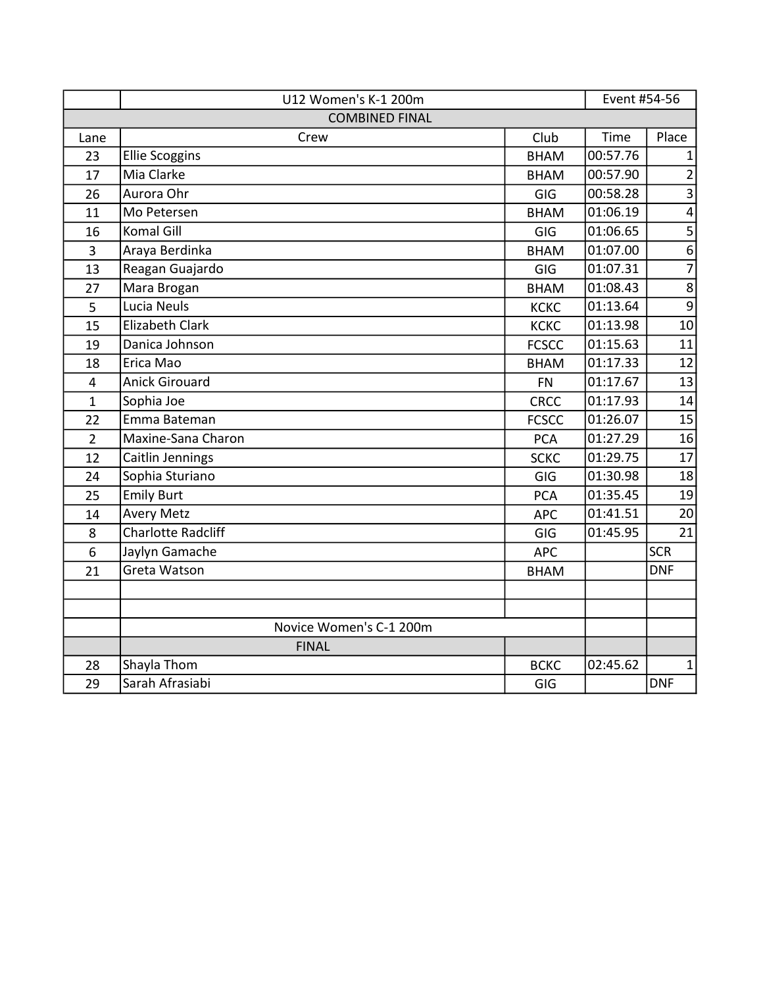|                | U12 Women's K-1 200m      |              | Event #54-56 |                |
|----------------|---------------------------|--------------|--------------|----------------|
|                | <b>COMBINED FINAL</b>     |              |              |                |
| Lane           | Crew                      | Club         | Time         | Place          |
| 23             | <b>Ellie Scoggins</b>     | <b>BHAM</b>  | 00:57.76     | 1              |
| 17             | Mia Clarke                | <b>BHAM</b>  | 00:57.90     | $\overline{2}$ |
| 26             | Aurora Ohr                | GIG          | 00:58.28     | $\overline{3}$ |
| 11             | Mo Petersen               | <b>BHAM</b>  | 01:06.19     | $\overline{4}$ |
| 16             | <b>Komal Gill</b>         | <b>GIG</b>   | 01:06.65     | 5              |
| 3              | Araya Berdinka            | <b>BHAM</b>  | 01:07.00     | $\overline{6}$ |
| 13             | Reagan Guajardo           | GIG          | 01:07.31     | $\overline{7}$ |
| 27             | Mara Brogan               | <b>BHAM</b>  | 01:08.43     | $\bf 8$        |
| 5              | Lucia Neuls               | <b>KCKC</b>  | 01:13.64     | $\overline{9}$ |
| 15             | <b>Elizabeth Clark</b>    | <b>KCKC</b>  | 01:13.98     | 10             |
| 19             | Danica Johnson            | <b>FCSCC</b> | 01:15.63     | 11             |
| 18             | Erica Mao                 | <b>BHAM</b>  | 01:17.33     | 12             |
| 4              | <b>Anick Girouard</b>     | <b>FN</b>    | 01:17.67     | 13             |
| $\mathbf{1}$   | Sophia Joe                | <b>CRCC</b>  | 01:17.93     | 14             |
| 22             | Emma Bateman              | <b>FCSCC</b> | 01:26.07     | 15             |
| $\overline{2}$ | Maxine-Sana Charon        | <b>PCA</b>   | 01:27.29     | 16             |
| 12             | Caitlin Jennings          | <b>SCKC</b>  | 01:29.75     | 17             |
| 24             | Sophia Sturiano           | GIG          | 01:30.98     | 18             |
| 25             | <b>Emily Burt</b>         | <b>PCA</b>   | 01:35.45     | 19             |
| 14             | <b>Avery Metz</b>         | <b>APC</b>   | 01:41.51     | 20             |
| 8              | <b>Charlotte Radcliff</b> | GIG          | 01:45.95     | 21             |
| 6              | Jaylyn Gamache            | <b>APC</b>   |              | <b>SCR</b>     |
| 21             | Greta Watson              | <b>BHAM</b>  |              | <b>DNF</b>     |
|                |                           |              |              |                |
|                |                           |              |              |                |
|                | Novice Women's C-1 200m   |              |              |                |
|                | <b>FINAL</b>              |              |              |                |
| 28             | Shayla Thom               | <b>BCKC</b>  | 02:45.62     | 1              |
| 29             | Sarah Afrasiabi           | GIG          |              | <b>DNF</b>     |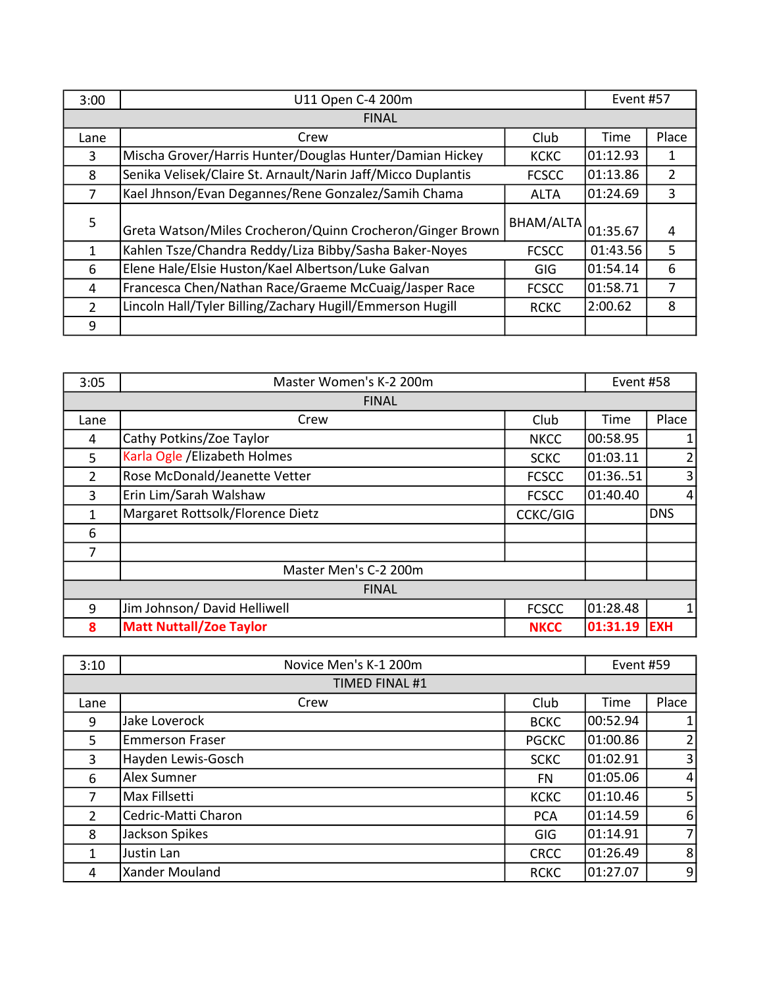| 3:00           | U11 Open C-4 200m                                            |              | Event #57 |                |
|----------------|--------------------------------------------------------------|--------------|-----------|----------------|
|                | <b>FINAL</b>                                                 |              |           |                |
| Lane           | Crew                                                         | Club         | Time      | Place          |
| 3              | Mischa Grover/Harris Hunter/Douglas Hunter/Damian Hickey     | <b>KCKC</b>  | 01:12.93  | 1              |
| 8              | Senika Velisek/Claire St. Arnault/Narin Jaff/Micco Duplantis | <b>FCSCC</b> | 01:13.86  | $\overline{2}$ |
| 7              | Kael Jhnson/Evan Degannes/Rene Gonzalez/Samih Chama          | <b>ALTA</b>  | 01:24.69  | 3              |
| 5              | Greta Watson/Miles Crocheron/Quinn Crocheron/Ginger Brown    | BHAM/ALTA    | 01:35.67  | 4              |
| 1              | Kahlen Tsze/Chandra Reddy/Liza Bibby/Sasha Baker-Noyes       | <b>FCSCC</b> | 01:43.56  | 5              |
| 6              | Elene Hale/Elsie Huston/Kael Albertson/Luke Galvan           | <b>GIG</b>   | 01:54.14  | 6              |
| 4              | Francesca Chen/Nathan Race/Graeme McCuaig/Jasper Race        | <b>FCSCC</b> | 01:58.71  | 7              |
| $\overline{2}$ | Lincoln Hall/Tyler Billing/Zachary Hugill/Emmerson Hugill    | <b>RCKC</b>  | 2:00.62   | 8              |
| 9              |                                                              |              |           |                |

| 3:05           | Master Women's K-2 200m          |                 | Event #58 |                |  |
|----------------|----------------------------------|-----------------|-----------|----------------|--|
|                | <b>FINAL</b>                     |                 |           |                |  |
| Lane           | Crew                             | Club            | Time      | Place          |  |
| 4              | Cathy Potkins/Zoe Taylor         | <b>NKCC</b>     | 00:58.95  |                |  |
| 5              | Karla Ogle / Elizabeth Holmes    | <b>SCKC</b>     | 01:03.11  | $\overline{2}$ |  |
| $\overline{2}$ | Rose McDonald/Jeanette Vetter    | <b>FCSCC</b>    | 01:3651   | 3              |  |
| 3              | Erin Lim/Sarah Walshaw           | <b>FCSCC</b>    | 01:40.40  | $\vert$        |  |
| $\mathbf{1}$   | Margaret Rottsolk/Florence Dietz | <b>CCKC/GIG</b> |           | <b>DNS</b>     |  |
| 6              |                                  |                 |           |                |  |
| 7              |                                  |                 |           |                |  |
|                | Master Men's C-2 200m            |                 |           |                |  |
|                | <b>FINAL</b>                     |                 |           |                |  |
| 9              | Jim Johnson/ David Helliwell     | <b>FCSCC</b>    | 01:28.48  |                |  |
| 8              | <b>Matt Nuttall/Zoe Taylor</b>   | <b>NKCC</b>     | 01:31.19  | <b>EXH</b>     |  |

| 3:10           | Novice Men's K-1 200m  |              | Event #59 |                |
|----------------|------------------------|--------------|-----------|----------------|
|                | <b>TIMED FINAL #1</b>  |              |           |                |
| Lane           | Crew                   | Club         | Time      | Place          |
| 9              | Jake Loverock          | <b>BCKC</b>  | 00:52.94  | $\mathbf{1}$   |
| 5              | <b>Emmerson Fraser</b> | <b>PGCKC</b> | 01:00.86  | 2              |
| 3              | Hayden Lewis-Gosch     | <b>SCKC</b>  | 01:02.91  | $\overline{3}$ |
| 6              | Alex Sumner            | FN           | 01:05.06  | $\overline{4}$ |
| 7              | Max Fillsetti          | <b>KCKC</b>  | 01:10.46  | 5 <sub>l</sub> |
| $\overline{2}$ | Cedric-Matti Charon    | <b>PCA</b>   | 01:14.59  | 6              |
| 8              | Jackson Spikes         | GIG          | 01:14.91  | $\overline{7}$ |
| 1              | Justin Lan             | <b>CRCC</b>  | 01:26.49  | 8              |
| 4              | Xander Mouland         | <b>RCKC</b>  | 01:27.07  | $\overline{9}$ |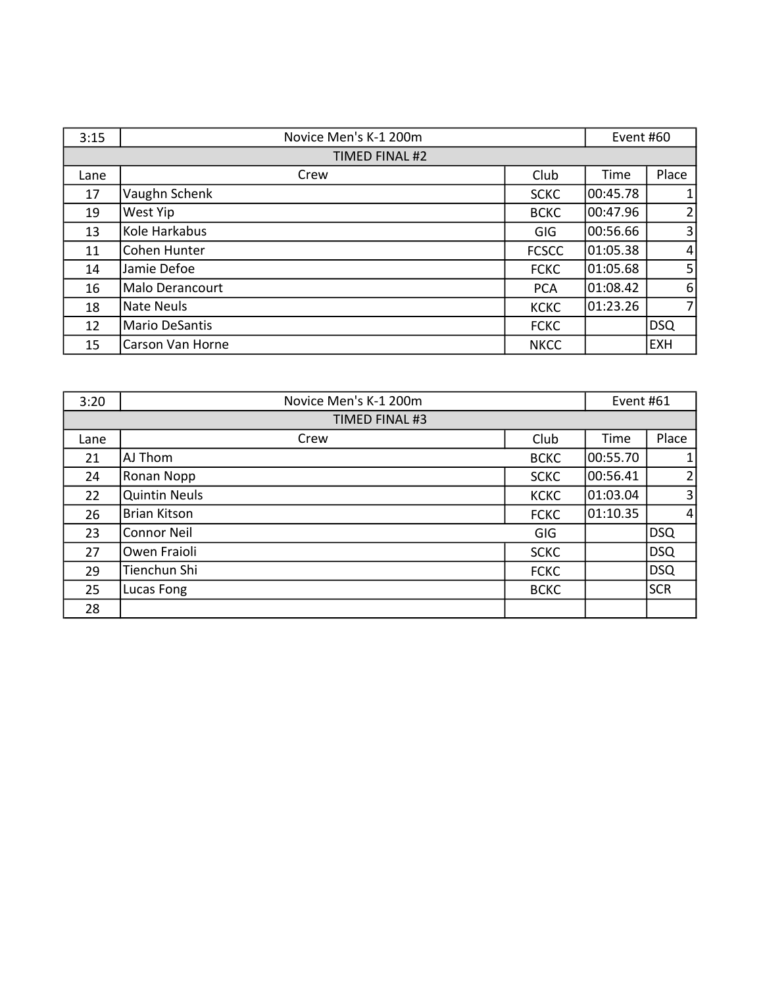| 3:15 | Novice Men's K-1 200m |              | Event #60 |                |
|------|-----------------------|--------------|-----------|----------------|
|      | TIMED FINAL #2        |              |           |                |
| Lane | Crew                  | Club         | Time      | Place          |
| 17   | Vaughn Schenk         | <b>SCKC</b>  | 00:45.78  | $\mathbf{1}$   |
| 19   | West Yip              | <b>BCKC</b>  | 00:47.96  | 2              |
| 13   | Kole Harkabus         | <b>GIG</b>   | 00:56.66  | $\overline{3}$ |
| 11   | Cohen Hunter          | <b>FCSCC</b> | 01:05.38  | $\overline{4}$ |
| 14   | Jamie Defoe           | <b>FCKC</b>  | 01:05.68  | 5 <sup>1</sup> |
| 16   | Malo Derancourt       | <b>PCA</b>   | 01:08.42  | 6              |
| 18   | Nate Neuls            | <b>KCKC</b>  | 01:23.26  | $\overline{7}$ |
| 12   | <b>Mario DeSantis</b> | <b>FCKC</b>  |           | <b>DSQ</b>     |
| 15   | Carson Van Horne      | <b>NKCC</b>  |           | <b>EXH</b>     |

| 3:20 | Novice Men's K-1 200m |             | Event #61 |                |
|------|-----------------------|-------------|-----------|----------------|
|      | TIMED FINAL #3        |             |           |                |
| Lane | Crew                  | Club        | Time      | Place          |
| 21   | AJ Thom               | <b>BCKC</b> | 00:55.70  |                |
| 24   | Ronan Nopp            | <b>SCKC</b> | 00:56.41  | 2              |
| 22   | <b>Quintin Neuls</b>  | <b>KCKC</b> | 01:03.04  | 3 <sup>1</sup> |
| 26   | <b>Brian Kitson</b>   | <b>FCKC</b> | 01:10.35  | $\vert$        |
| 23   | <b>Connor Neil</b>    | <b>GIG</b>  |           | DSQ            |
| 27   | Owen Fraioli          | <b>SCKC</b> |           | DSQ            |
| 29   | Tienchun Shi          | <b>FCKC</b> |           | <b>DSQ</b>     |
| 25   | Lucas Fong            | <b>BCKC</b> |           | <b>SCR</b>     |
| 28   |                       |             |           |                |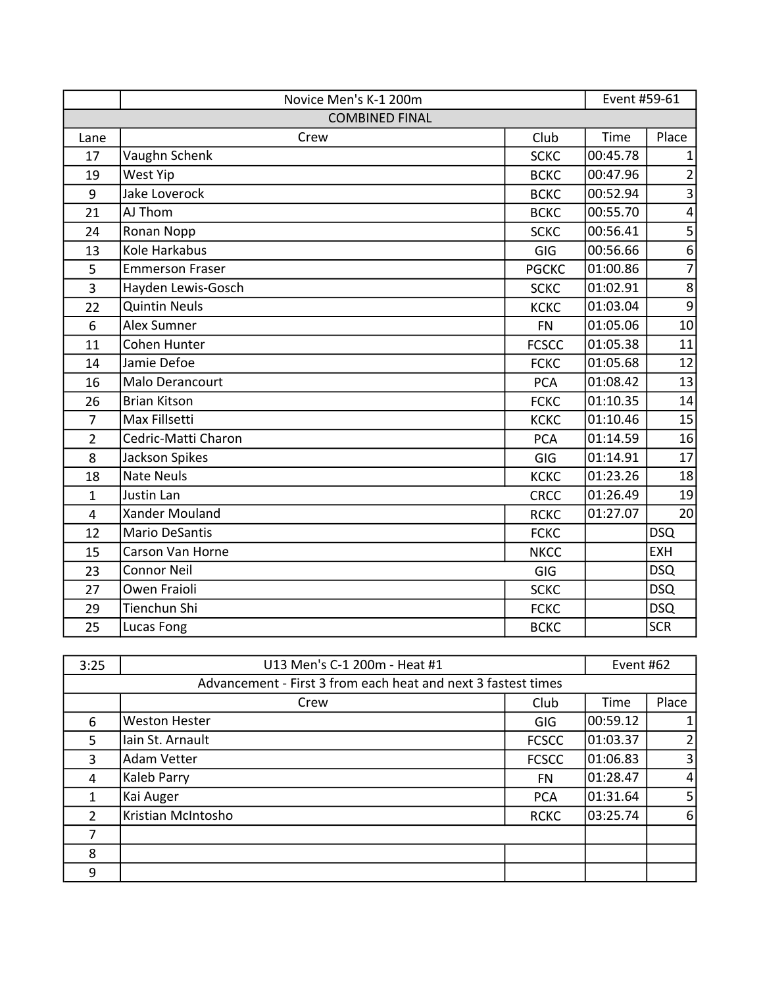|                | Novice Men's K-1 200m  |              | Event #59-61 |                         |
|----------------|------------------------|--------------|--------------|-------------------------|
|                | <b>COMBINED FINAL</b>  |              |              |                         |
| Lane           | Crew                   | Club         | Time         | Place                   |
| 17             | Vaughn Schenk          | <b>SCKC</b>  | 00:45.78     | 1                       |
| 19             | West Yip               | <b>BCKC</b>  | 00:47.96     | $\overline{2}$          |
| 9              | Jake Loverock          | <b>BCKC</b>  | 00:52.94     | $\overline{\mathbf{3}}$ |
| 21             | AJ Thom                | <b>BCKC</b>  | 00:55.70     | $\overline{\mathbf{4}}$ |
| 24             | Ronan Nopp             | <b>SCKC</b>  | 00:56.41     | $\mathsf S$             |
| 13             | Kole Harkabus          | GIG          | 00:56.66     | $\boldsymbol{6}$        |
| 5              | <b>Emmerson Fraser</b> | <b>PGCKC</b> | 01:00.86     | $\overline{7}$          |
| 3              | Hayden Lewis-Gosch     | <b>SCKC</b>  | 01:02.91     | $\,8\,$                 |
| 22             | <b>Quintin Neuls</b>   | <b>KCKC</b>  | 01:03.04     | $\overline{9}$          |
| 6              | <b>Alex Sumner</b>     | <b>FN</b>    | 01:05.06     | 10                      |
| 11             | Cohen Hunter           | <b>FCSCC</b> | 01:05.38     | 11                      |
| 14             | Jamie Defoe            | <b>FCKC</b>  | 01:05.68     | 12                      |
| 16             | Malo Derancourt        | <b>PCA</b>   | 01:08.42     | 13                      |
| 26             | <b>Brian Kitson</b>    | <b>FCKC</b>  | 01:10.35     | 14                      |
| $\overline{7}$ | Max Fillsetti          | <b>KCKC</b>  | 01:10.46     | 15                      |
| $\overline{2}$ | Cedric-Matti Charon    | <b>PCA</b>   | 01:14.59     | 16                      |
| 8              | Jackson Spikes         | GIG          | 01:14.91     | 17                      |
| 18             | <b>Nate Neuls</b>      | <b>KCKC</b>  | 01:23.26     | 18                      |
| $\mathbf{1}$   | Justin Lan             | <b>CRCC</b>  | 01:26.49     | 19                      |
| 4              | Xander Mouland         | <b>RCKC</b>  | 01:27.07     | 20                      |
| 12             | <b>Mario DeSantis</b>  | <b>FCKC</b>  |              | <b>DSQ</b>              |
| 15             | Carson Van Horne       | <b>NKCC</b>  |              | <b>EXH</b>              |
| 23             | <b>Connor Neil</b>     | GIG          |              | <b>DSQ</b>              |
| 27             | Owen Fraioli           | <b>SCKC</b>  |              | <b>DSQ</b>              |
| 29             | Tienchun Shi           | <b>FCKC</b>  |              | <b>DSQ</b>              |
| 25             | Lucas Fong             | <b>BCKC</b>  |              | <b>SCR</b>              |

| 3:25                                                          | U13 Men's C-1 200m - Heat #1 |              | Event #62 |                |
|---------------------------------------------------------------|------------------------------|--------------|-----------|----------------|
| Advancement - First 3 from each heat and next 3 fastest times |                              |              |           |                |
|                                                               | Crew                         | Club         | Time      | Place          |
| 6                                                             | <b>Weston Hester</b>         | <b>GIG</b>   | 00:59.12  |                |
| 5                                                             | Iain St. Arnault             | <b>FCSCC</b> | 01:03.37  | $\overline{2}$ |
| 3                                                             | <b>Adam Vetter</b>           | <b>FCSCC</b> | 01:06.83  | 3 <sup>1</sup> |
| 4                                                             | Kaleb Parry                  | FN           | 01:28.47  | $\vert$        |
| $\mathbf{1}$                                                  | Kai Auger                    | <b>PCA</b>   | 01:31.64  | 5 <sub>l</sub> |
| $\overline{2}$                                                | Kristian McIntosho           | <b>RCKC</b>  | 03:25.74  | $6 \mid$       |
| 7                                                             |                              |              |           |                |
| 8                                                             |                              |              |           |                |
| 9                                                             |                              |              |           |                |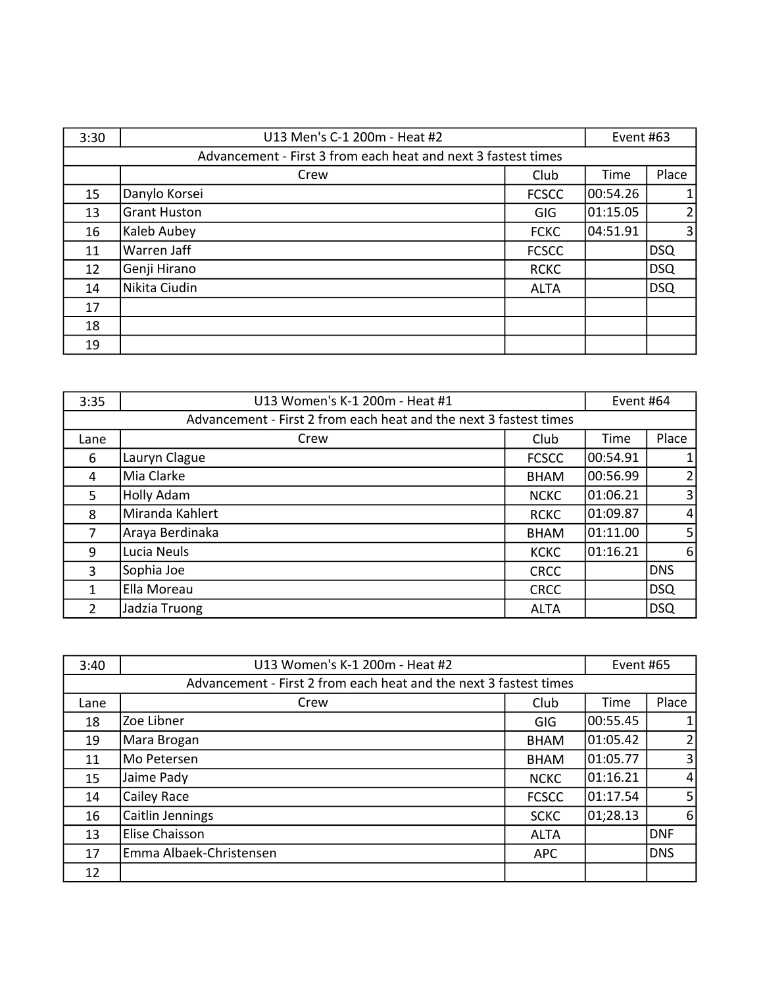| 3:30 | U13 Men's C-1 200m - Heat #2                                  |              | Event #63 |                |
|------|---------------------------------------------------------------|--------------|-----------|----------------|
|      | Advancement - First 3 from each heat and next 3 fastest times |              |           |                |
|      | Crew                                                          | Club         | Time      | Place          |
| 15   | Danylo Korsei                                                 | <b>FCSCC</b> | 00:54.26  | $\mathbf{1}$   |
| 13   | <b>Grant Huston</b>                                           | GIG          | 01:15.05  | $\overline{2}$ |
| 16   | Kaleb Aubey                                                   | <b>FCKC</b>  | 04:51.91  | $\overline{3}$ |
| 11   | Warren Jaff                                                   | <b>FCSCC</b> |           | <b>DSQ</b>     |
| 12   | Genji Hirano                                                  | <b>RCKC</b>  |           | DSQ            |
| 14   | Nikita Ciudin                                                 | <b>ALTA</b>  |           | DSQ            |
| 17   |                                                               |              |           |                |
| 18   |                                                               |              |           |                |
| 19   |                                                               |              |           |                |

| 3:35                                                              | U13 Women's K-1 200m - Heat #1 |              | Event #64 |                |
|-------------------------------------------------------------------|--------------------------------|--------------|-----------|----------------|
| Advancement - First 2 from each heat and the next 3 fastest times |                                |              |           |                |
| Lane                                                              | Crew                           | Club         | Time      | Place          |
| 6                                                                 | Lauryn Clague                  | <b>FCSCC</b> | 00:54.91  | $\mathbf{1}$   |
| 4                                                                 | Mia Clarke                     | <b>BHAM</b>  | 00:56.99  | $\overline{2}$ |
| 5                                                                 | Holly Adam                     | <b>NCKC</b>  | 01:06.21  | $\overline{3}$ |
| 8                                                                 | Miranda Kahlert                | <b>RCKC</b>  | 01:09.87  | $\overline{4}$ |
| 7                                                                 | Araya Berdinaka                | <b>BHAM</b>  | 01:11.00  | 5 <sub>l</sub> |
| 9                                                                 | Lucia Neuls                    | <b>KCKC</b>  | 01:16.21  | 6              |
| 3                                                                 | Sophia Joe                     | <b>CRCC</b>  |           | <b>DNS</b>     |
| $\mathbf{1}$                                                      | Ella Moreau                    | <b>CRCC</b>  |           | DSQ            |
| $\overline{2}$                                                    | Jadzia Truong                  | <b>ALTA</b>  |           | DSQ            |

| 3:40                                                              | U13 Women's K-1 200m - Heat #2 |              | Event #65 |                |
|-------------------------------------------------------------------|--------------------------------|--------------|-----------|----------------|
| Advancement - First 2 from each heat and the next 3 fastest times |                                |              |           |                |
| Lane                                                              | Crew                           | Club         | Time      | Place          |
| 18                                                                | Zoe Libner                     | <b>GIG</b>   | 00:55.45  |                |
| 19                                                                | Mara Brogan                    | <b>BHAM</b>  | 01:05.42  | $\overline{2}$ |
| 11                                                                | Mo Petersen                    | <b>BHAM</b>  | 01:05.77  | 3 <sup>1</sup> |
| 15                                                                | Jaime Pady                     | <b>NCKC</b>  | 01:16.21  | $\vert$        |
| 14                                                                | Cailey Race                    | <b>FCSCC</b> | 01:17.54  | 5 <sub>l</sub> |
| 16                                                                | Caitlin Jennings               | <b>SCKC</b>  | 01;28.13  | $6 \mid$       |
| 13                                                                | Elise Chaisson                 | <b>ALTA</b>  |           | DNF            |
| 17                                                                | Emma Albaek-Christensen        | <b>APC</b>   |           | <b>DNS</b>     |
| 12                                                                |                                |              |           |                |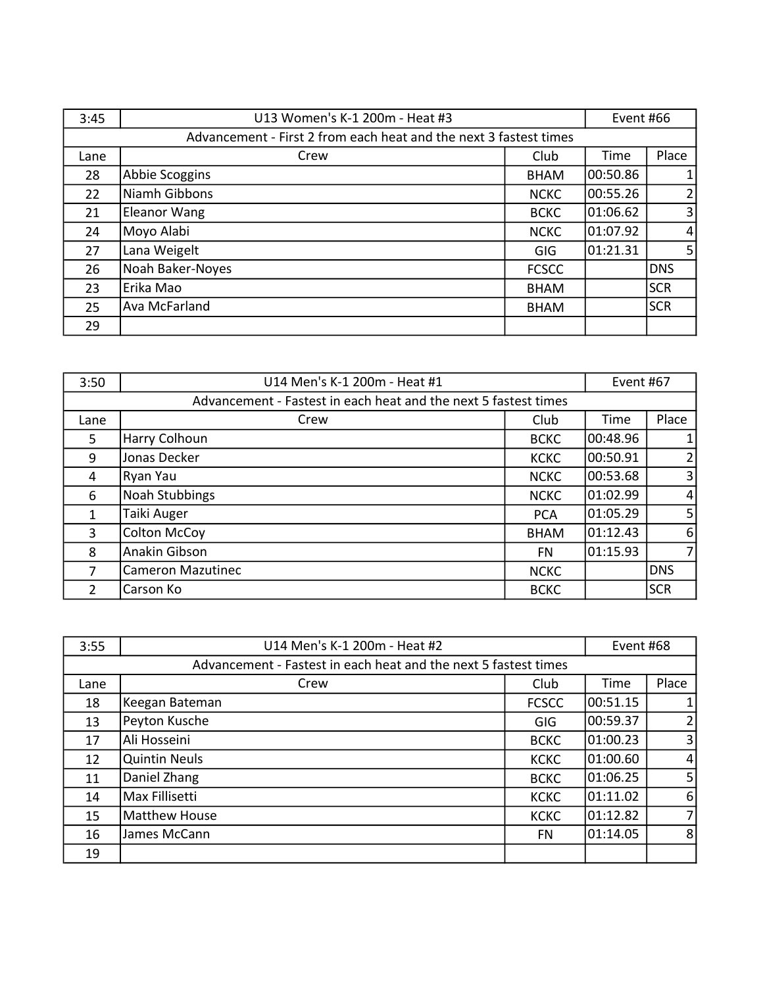| 3:45 | U13 Women's K-1 200m - Heat #3                                    |              | Event #66 |                |
|------|-------------------------------------------------------------------|--------------|-----------|----------------|
|      | Advancement - First 2 from each heat and the next 3 fastest times |              |           |                |
| Lane | Crew                                                              | Club         | Time      | Place          |
| 28   | Abbie Scoggins                                                    | <b>BHAM</b>  | 00:50.86  | $\mathbf{1}$   |
| 22   | Niamh Gibbons                                                     | <b>NCKC</b>  | 00:55.26  | $\overline{2}$ |
| 21   | <b>Eleanor Wang</b>                                               | <b>BCKC</b>  | 01:06.62  | $\overline{3}$ |
| 24   | Moyo Alabi                                                        | <b>NCKC</b>  | 01:07.92  | $\overline{4}$ |
| 27   | Lana Weigelt                                                      | GIG          | 01:21.31  | 5 <sub>l</sub> |
| 26   | Noah Baker-Noyes                                                  | <b>FCSCC</b> |           | <b>DNS</b>     |
| 23   | Erika Mao                                                         | <b>BHAM</b>  |           | <b>SCR</b>     |
| 25   | Ava McFarland                                                     | <b>BHAM</b>  |           | <b>SCR</b>     |
| 29   |                                                                   |              |           |                |

| 3:50                                                            | U14 Men's K-1 200m - Heat #1 |             | Event #67 |                |
|-----------------------------------------------------------------|------------------------------|-------------|-----------|----------------|
| Advancement - Fastest in each heat and the next 5 fastest times |                              |             |           |                |
| Lane                                                            | Crew                         | Club        | Time      | Place          |
| 5                                                               | Harry Colhoun                | <b>BCKC</b> | 00:48.96  | $\mathbf{1}$   |
| 9                                                               | Jonas Decker                 | <b>KCKC</b> | 00:50.91  | $\overline{2}$ |
| 4                                                               | Ryan Yau                     | <b>NCKC</b> | 00:53.68  | $\overline{3}$ |
| 6                                                               | <b>Noah Stubbings</b>        | <b>NCKC</b> | 01:02.99  | $\overline{4}$ |
| 1                                                               | Taiki Auger                  | <b>PCA</b>  | 01:05.29  | 5 <sup>1</sup> |
| $\overline{3}$                                                  | <b>Colton McCoy</b>          | <b>BHAM</b> | 01:12.43  | 6              |
| 8                                                               | Anakin Gibson                | <b>FN</b>   | 01:15.93  | $\overline{7}$ |
| 7                                                               | <b>Cameron Mazutinec</b>     | <b>NCKC</b> |           | <b>IDNS</b>    |
| 2                                                               | Carson Ko                    | <b>BCKC</b> |           | <b>SCR</b>     |

| 3:55                                                            | U14 Men's K-1 200m - Heat #2 |              | Event #68 |                |
|-----------------------------------------------------------------|------------------------------|--------------|-----------|----------------|
| Advancement - Fastest in each heat and the next 5 fastest times |                              |              |           |                |
| Lane                                                            | Crew                         | Club         | Time      | Place          |
| 18                                                              | Keegan Bateman               | <b>FCSCC</b> | 00:51.15  |                |
| 13                                                              | Peyton Kusche                | GIG          | 00:59.37  | $\overline{2}$ |
| 17                                                              | Ali Hosseini                 | <b>BCKC</b>  | 01:00.23  | 3 <sup>1</sup> |
| 12                                                              | <b>Quintin Neuls</b>         | <b>KCKC</b>  | 01:00.60  | $\vert$        |
| 11                                                              | Daniel Zhang                 | <b>BCKC</b>  | 01:06.25  | 5 <sub>l</sub> |
| 14                                                              | Max Fillisetti               | <b>KCKC</b>  | 01:11.02  | $6 \mid$       |
| 15                                                              | Matthew House                | <b>KCKC</b>  | 01:12.82  | 7              |
| 16                                                              | James McCann                 | <b>FN</b>    | 101:14.05 | 8 <sup>1</sup> |
| 19                                                              |                              |              |           |                |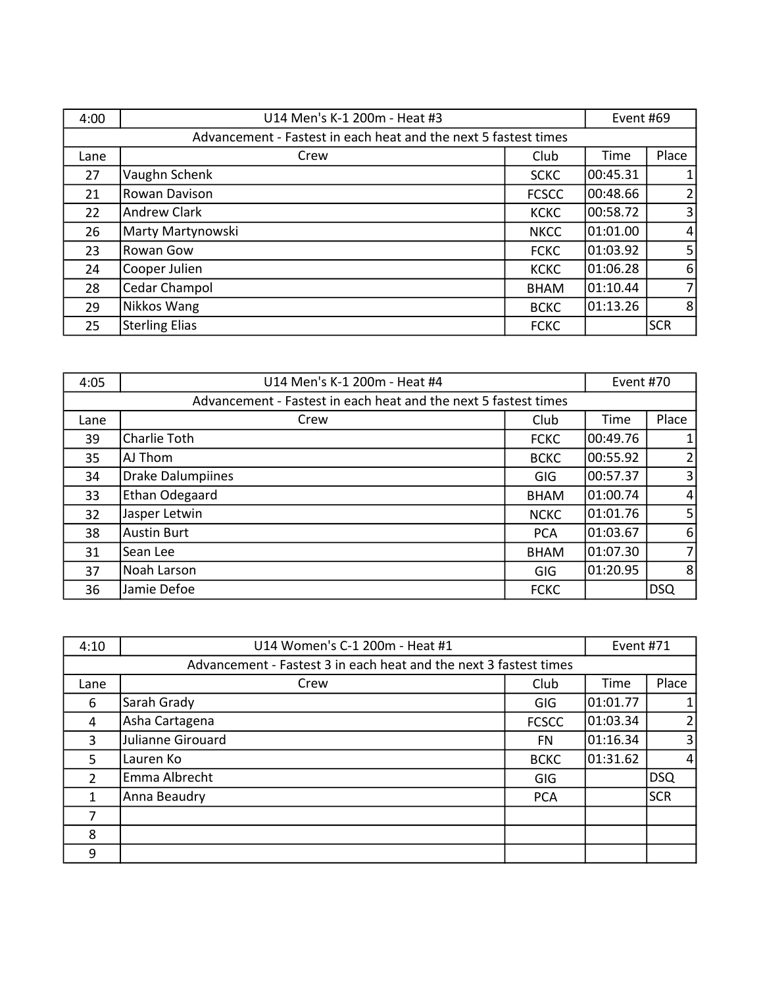| 4:00 | U14 Men's K-1 200m - Heat #3                                    |              | Event #69 |                |
|------|-----------------------------------------------------------------|--------------|-----------|----------------|
|      | Advancement - Fastest in each heat and the next 5 fastest times |              |           |                |
| Lane | Crew                                                            | Club         | Time      | Place          |
| 27   | Vaughn Schenk                                                   | <b>SCKC</b>  | 00:45.31  | $\mathbf{1}$   |
| 21   | Rowan Davison                                                   | <b>FCSCC</b> | 00:48.66  | $\overline{2}$ |
| 22   | <b>Andrew Clark</b>                                             | <b>KCKC</b>  | 00:58.72  | $\overline{3}$ |
| 26   | Marty Martynowski                                               | <b>NKCC</b>  | 101:01.00 | $\overline{4}$ |
| 23   | Rowan Gow                                                       | <b>FCKC</b>  | 01:03.92  | 5              |
| 24   | Cooper Julien                                                   | <b>KCKC</b>  | 01:06.28  | 6              |
| 28   | Cedar Champol                                                   | <b>BHAM</b>  | 01:10.44  | $\overline{7}$ |
| 29   | Nikkos Wang                                                     | <b>BCKC</b>  | 01:13.26  | 8              |
| 25   | <b>Sterling Elias</b>                                           | <b>FCKC</b>  |           | <b>SCR</b>     |

| 4:05                                                            | U14 Men's K-1 200m - Heat #4 |             | Event #70 |                |
|-----------------------------------------------------------------|------------------------------|-------------|-----------|----------------|
| Advancement - Fastest in each heat and the next 5 fastest times |                              |             |           |                |
| Lane                                                            | Crew                         | Club        | Time      | Place          |
| 39                                                              | Charlie Toth                 | <b>FCKC</b> | 00:49.76  | $\mathbf{1}$   |
| 35                                                              | AJ Thom                      | <b>BCKC</b> | 00:55.92  | $\overline{2}$ |
| 34                                                              | <b>Drake Dalumpiines</b>     | GIG         | 00:57.37  | $\overline{3}$ |
| 33                                                              | Ethan Odegaard               | <b>BHAM</b> | 01:00.74  | $\overline{4}$ |
| 32                                                              | Jasper Letwin                | <b>NCKC</b> | 01:01.76  | 5 <sup>1</sup> |
| 38                                                              | <b>Austin Burt</b>           | <b>PCA</b>  | 01:03.67  | 6              |
| 31                                                              | Sean Lee                     | <b>BHAM</b> | 01:07.30  | $\overline{7}$ |
| 37                                                              | Noah Larson                  | <b>GIG</b>  | 01:20.95  | 8              |
| 36                                                              | Jamie Defoe                  | <b>FCKC</b> |           | <b>DSQ</b>     |

| 4:10                                                              | U14 Women's C-1 200m - Heat #1 |              | Event #71 |                |
|-------------------------------------------------------------------|--------------------------------|--------------|-----------|----------------|
| Advancement - Fastest 3 in each heat and the next 3 fastest times |                                |              |           |                |
| Lane                                                              | Crew                           | Club         | Time      | Place          |
| 6                                                                 | Sarah Grady                    | GIG          | 01:01.77  |                |
| 4                                                                 | Asha Cartagena                 | <b>FCSCC</b> | 01:03.34  | 21             |
| 3                                                                 | Julianne Girouard              | <b>FN</b>    | 01:16.34  | 3 <sup>1</sup> |
| 5                                                                 | Lauren Ko                      | <b>BCKC</b>  | 01:31.62  | $\vert$        |
| $\overline{2}$                                                    | Emma Albrecht                  | GIG          |           | DSQ            |
| 1                                                                 | Anna Beaudry                   | <b>PCA</b>   |           | <b>SCR</b>     |
|                                                                   |                                |              |           |                |
| 8                                                                 |                                |              |           |                |
| 9                                                                 |                                |              |           |                |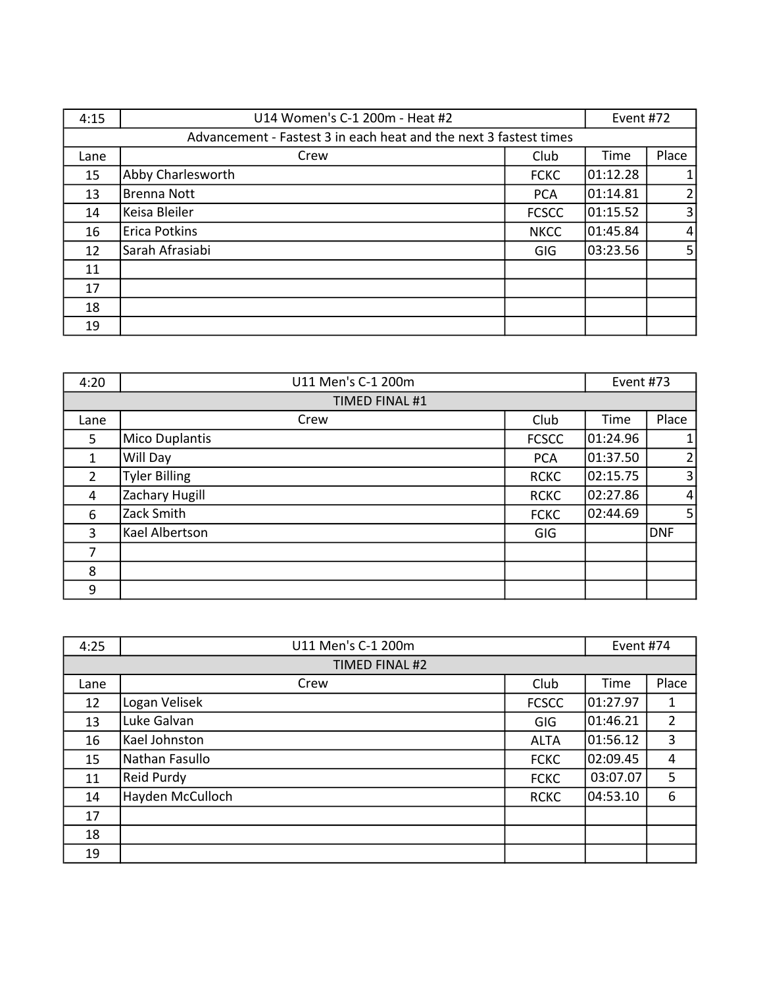| 4:15                                                              | U14 Women's C-1 200m - Heat #2 |              | Event #72 |                |
|-------------------------------------------------------------------|--------------------------------|--------------|-----------|----------------|
| Advancement - Fastest 3 in each heat and the next 3 fastest times |                                |              |           |                |
| Lane                                                              | Crew                           | Club         | Time      | Place          |
| 15                                                                | Abby Charlesworth              | <b>FCKC</b>  | 01:12.28  | $\mathbf{1}$   |
| 13                                                                | <b>Brenna Nott</b>             | <b>PCA</b>   | 01:14.81  | $\overline{2}$ |
| 14                                                                | Keisa Bleiler                  | <b>FCSCC</b> | 01:15.52  | 3              |
| 16                                                                | <b>Erica Potkins</b>           | <b>NKCC</b>  | 01:45.84  | $\overline{4}$ |
| 12                                                                | Sarah Afrasiabi                | GIG          | 03:23.56  | 5              |
| 11                                                                |                                |              |           |                |
| 17                                                                |                                |              |           |                |
| 18                                                                |                                |              |           |                |
| 19                                                                |                                |              |           |                |

| 4:20           | U11 Men's C-1 200m    |              | Event #73 |                |
|----------------|-----------------------|--------------|-----------|----------------|
|                | <b>TIMED FINAL #1</b> |              |           |                |
| Lane           | Crew                  | Club         | Time      | Place          |
| 5              | <b>Mico Duplantis</b> | <b>FCSCC</b> | 01:24.96  | $\mathbf{1}$   |
| 1              | Will Day              | <b>PCA</b>   | 01:37.50  | 2              |
| $\overline{2}$ | <b>Tyler Billing</b>  | <b>RCKC</b>  | 02:15.75  | $\overline{3}$ |
| 4              | Zachary Hugill        | <b>RCKC</b>  | 02:27.86  | $\overline{4}$ |
| 6              | Zack Smith            | <b>FCKC</b>  | 02:44.69  | 5 <sub>l</sub> |
| 3              | Kael Albertson        | <b>GIG</b>   |           | DNF            |
| 7              |                       |              |           |                |
| 8              |                       |              |           |                |
| 9              |                       |              |           |                |

| 4:25 | U11 Men's C-1 200m |              | Event #74 |                |
|------|--------------------|--------------|-----------|----------------|
|      | TIMED FINAL #2     |              |           |                |
| Lane | Crew               | Club         | Time      | Place          |
| 12   | Logan Velisek      | <b>FCSCC</b> | 01:27.97  | $\mathbf{1}$   |
| 13   | Luke Galvan        | GIG          | 01:46.21  | $\overline{2}$ |
| 16   | Kael Johnston      | <b>ALTA</b>  | 01:56.12  | 3              |
| 15   | Nathan Fasullo     | <b>FCKC</b>  | 02:09.45  | 4              |
| 11   | Reid Purdy         | <b>FCKC</b>  | 03:07.07  | 5              |
| 14   | Hayden McCulloch   | <b>RCKC</b>  | 04:53.10  | 6              |
| 17   |                    |              |           |                |
| 18   |                    |              |           |                |
| 19   |                    |              |           |                |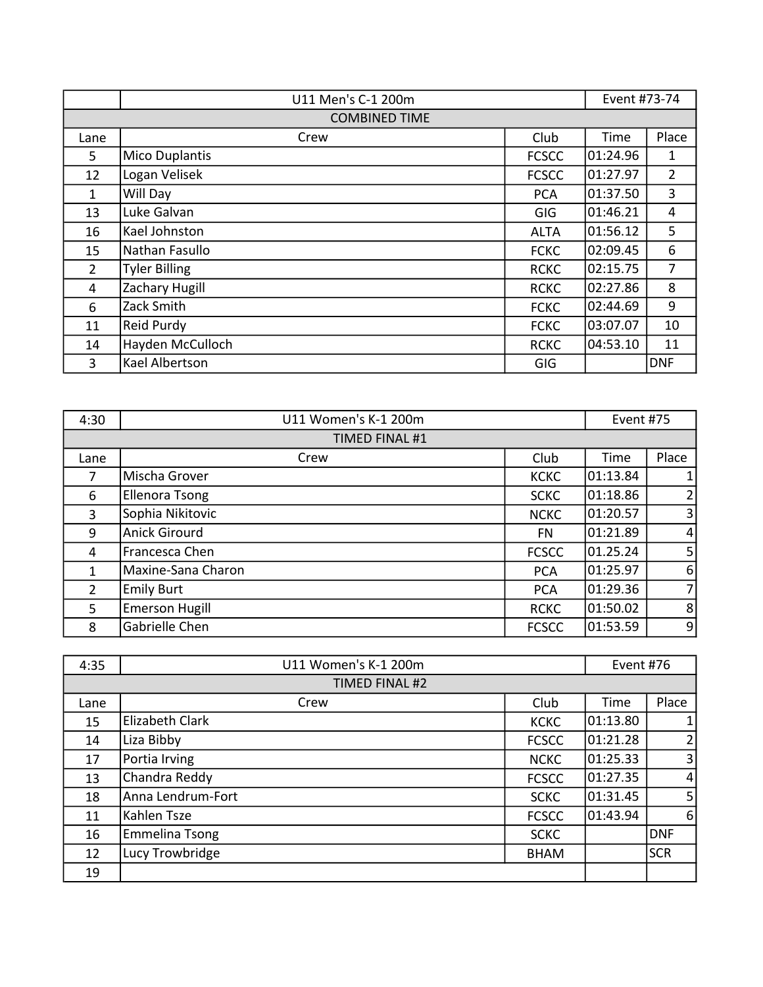|                | U11 Men's C-1 200m    |              | Event #73-74 |                |
|----------------|-----------------------|--------------|--------------|----------------|
|                | <b>COMBINED TIME</b>  |              |              |                |
| Lane           | Crew                  | Club         | Time         | Place          |
| 5              | <b>Mico Duplantis</b> | <b>FCSCC</b> | 01:24.96     | 1              |
| 12             | Logan Velisek         | <b>FCSCC</b> | 01:27.97     | $\overline{2}$ |
| 1              | Will Day              | <b>PCA</b>   | 01:37.50     | 3              |
| 13             | Luke Galvan           | GIG          | 01:46.21     | 4              |
| 16             | Kael Johnston         | <b>ALTA</b>  | 01:56.12     | 5              |
| 15             | Nathan Fasullo        | <b>FCKC</b>  | 02:09.45     | 6              |
| $\overline{2}$ | <b>Tyler Billing</b>  | <b>RCKC</b>  | 02:15.75     | $\overline{7}$ |
| 4              | Zachary Hugill        | <b>RCKC</b>  | 02:27.86     | 8              |
| 6              | Zack Smith            | <b>FCKC</b>  | 02:44.69     | 9              |
| 11             | Reid Purdy            | <b>FCKC</b>  | 03:07.07     | 10             |
| 14             | Hayden McCulloch      | <b>RCKC</b>  | 04:53.10     | 11             |
| 3              | Kael Albertson        | GIG          |              | <b>DNF</b>     |

| 4:30           | U11 Women's K-1 200m  |              | Event #75 |                |
|----------------|-----------------------|--------------|-----------|----------------|
|                | TIMED FINAL #1        |              |           |                |
| Lane           | Crew                  | Club         | Time      | Place          |
| 7              | Mischa Grover         | <b>KCKC</b>  | 01:13.84  |                |
| 6              | <b>Ellenora Tsong</b> | <b>SCKC</b>  | 01:18.86  | 2              |
| 3              | Sophia Nikitovic      | <b>NCKC</b>  | 01:20.57  | $\overline{3}$ |
| 9              | <b>Anick Girourd</b>  | FN           | 01:21.89  | $\vert$        |
| 4              | Francesca Chen        | <b>FCSCC</b> | 01.25.24  | 5 <sup>1</sup> |
| $\mathbf{1}$   | Maxine-Sana Charon    | <b>PCA</b>   | 01:25.97  | $6 \mid$       |
| $\overline{2}$ | <b>Emily Burt</b>     | <b>PCA</b>   | 01:29.36  | 7 <sup>1</sup> |
| 5              | <b>Emerson Hugill</b> | <b>RCKC</b>  | 01:50.02  | 8 <sup>1</sup> |
| 8              | Gabrielle Chen        | <b>FCSCC</b> | 01:53.59  | $\overline{9}$ |

| 4:35 | U11 Women's K-1 200m |              | Event #76 |                 |
|------|----------------------|--------------|-----------|-----------------|
|      | TIMED FINAL #2       |              |           |                 |
| Lane | Crew                 | Club         | Time      | Place           |
| 15   | Elizabeth Clark      | <b>KCKC</b>  | 01:13.80  |                 |
| 14   | Liza Bibby           | <b>FCSCC</b> | 01:21.28  | $\overline{2}$  |
| 17   | Portia Irving        | <b>NCKC</b>  | 01:25.33  | 3               |
| 13   | Chandra Reddy        | <b>FCSCC</b> | 01:27.35  | $\vert 4 \vert$ |
| 18   | Anna Lendrum-Fort    | <b>SCKC</b>  | 01:31.45  | 5 <sub>l</sub>  |
| 11   | Kahlen Tsze          | <b>FCSCC</b> | 01:43.94  | $6 \mid$        |
| 16   | Emmelina Tsong       | <b>SCKC</b>  |           | DNF             |
| 12   | Lucy Trowbridge      | <b>BHAM</b>  |           | <b>SCR</b>      |
| 19   |                      |              |           |                 |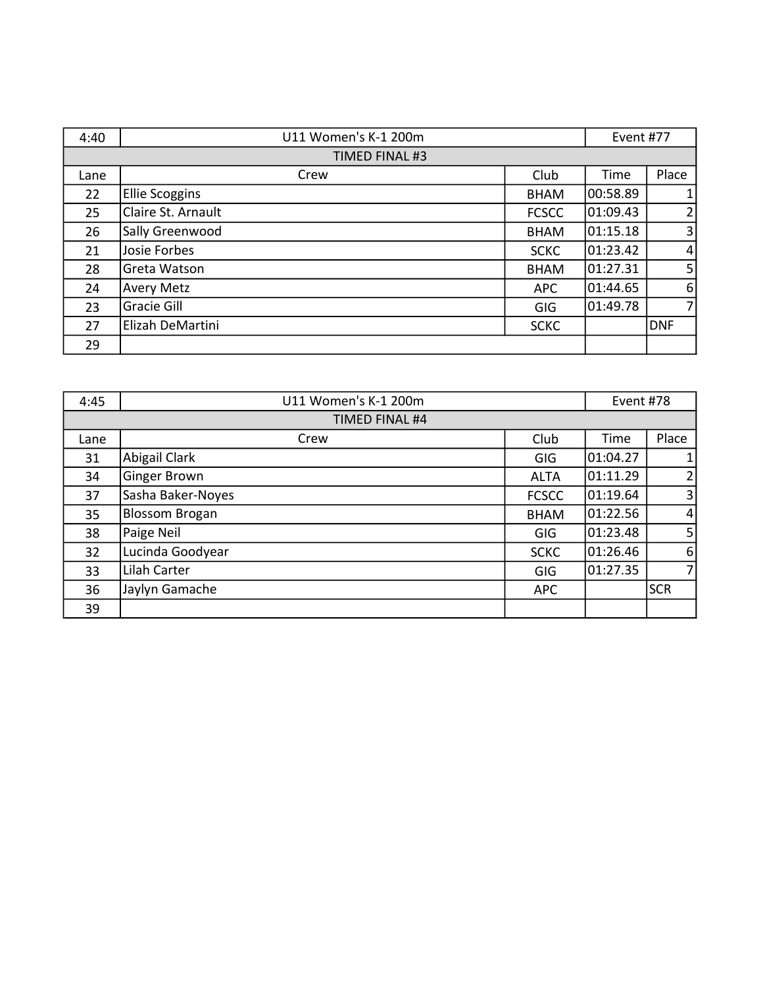| 4:40 | U11 Women's K-1 200m  |              | Event #77 |                |
|------|-----------------------|--------------|-----------|----------------|
|      | TIMED FINAL #3        |              |           |                |
| Lane | Crew                  | Club         | Time      | Place          |
| 22   | <b>Ellie Scoggins</b> | <b>BHAM</b>  | 00:58.89  | $\mathbf{1}$   |
| 25   | Claire St. Arnault    | <b>FCSCC</b> | 01:09.43  | 2              |
| 26   | Sally Greenwood       | <b>BHAM</b>  | 01:15.18  | $\overline{3}$ |
| 21   | Josie Forbes          | <b>SCKC</b>  | 01:23.42  | $\overline{4}$ |
| 28   | Greta Watson          | <b>BHAM</b>  | 01:27.31  | 5 <sub>l</sub> |
| 24   | <b>Avery Metz</b>     | <b>APC</b>   | 01:44.65  | 6              |
| 23   | Gracie Gill           | GIG          | 01:49.78  | $\overline{7}$ |
| 27   | Elizah DeMartini      | <b>SCKC</b>  |           | <b>DNF</b>     |
| 29   |                       |              |           |                |

| 4:45 | U11 Women's K-1 200m  |              | Event #78 |                |
|------|-----------------------|--------------|-----------|----------------|
|      | TIMED FINAL #4        |              |           |                |
| Lane | Crew                  | Club         | Time      | Place          |
| 31   | Abigail Clark         | GIG          | 01:04.27  | $\mathbf{1}$   |
| 34   | Ginger Brown          | <b>ALTA</b>  | 01:11.29  | $\overline{2}$ |
| 37   | Sasha Baker-Noyes     | <b>FCSCC</b> | 01:19.64  | $\overline{3}$ |
| 35   | <b>Blossom Brogan</b> | <b>BHAM</b>  | 01:22.56  | $\overline{4}$ |
| 38   | Paige Neil            | GIG          | 01:23.48  | 5 <sup>1</sup> |
| 32   | Lucinda Goodyear      | <b>SCKC</b>  | 01:26.46  | 6              |
| 33   | Lilah Carter          | <b>GIG</b>   | 01:27.35  | $\overline{7}$ |
| 36   | Jaylyn Gamache        | <b>APC</b>   |           | <b>SCR</b>     |
| 39   |                       |              |           |                |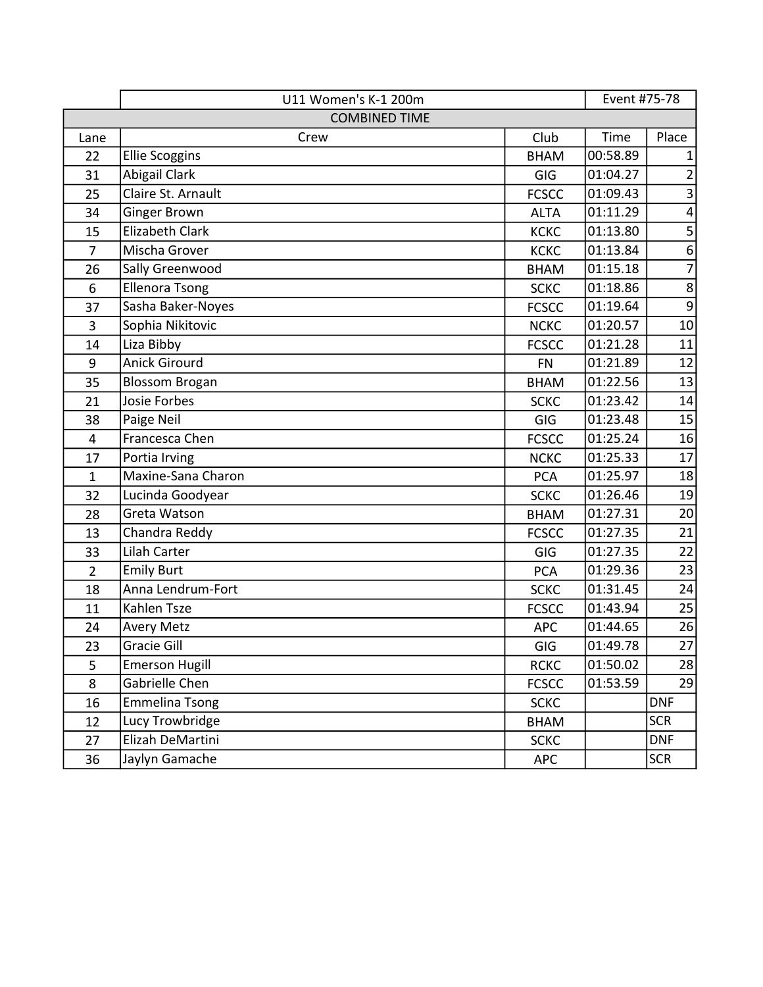|                | U11 Women's K-1 200m  |              | Event #75-78 |                  |
|----------------|-----------------------|--------------|--------------|------------------|
|                | <b>COMBINED TIME</b>  |              |              |                  |
| Lane           | Crew                  | Club         | Time         | Place            |
| 22             | <b>Ellie Scoggins</b> | <b>BHAM</b>  | 00:58.89     | 1                |
| 31             | Abigail Clark         | GIG          | 01:04.27     | $\overline{2}$   |
| 25             | Claire St. Arnault    | <b>FCSCC</b> | 01:09.43     | 3                |
| 34             | Ginger Brown          | <b>ALTA</b>  | 01:11.29     | $\pmb{4}$        |
| 15             | Elizabeth Clark       | <b>KCKC</b>  | 01:13.80     | 5                |
| $\overline{7}$ | Mischa Grover         | <b>KCKC</b>  | 01:13.84     | $\boldsymbol{6}$ |
| 26             | Sally Greenwood       | <b>BHAM</b>  | 01:15.18     | $\overline{7}$   |
| 6              | <b>Ellenora Tsong</b> | <b>SCKC</b>  | 01:18.86     | $\,8\,$          |
| 37             | Sasha Baker-Noyes     | <b>FCSCC</b> | 01:19.64     | $9$              |
| 3              | Sophia Nikitovic      | <b>NCKC</b>  | 01:20.57     | 10               |
| 14             | Liza Bibby            | <b>FCSCC</b> | 01:21.28     | 11               |
| 9              | <b>Anick Girourd</b>  | <b>FN</b>    | 01:21.89     | 12               |
| 35             | <b>Blossom Brogan</b> | <b>BHAM</b>  | 01:22.56     | 13               |
| 21             | Josie Forbes          | <b>SCKC</b>  | 01:23.42     | 14               |
| 38             | Paige Neil            | GIG          | 01:23.48     | 15               |
| 4              | Francesca Chen        | <b>FCSCC</b> | 01:25.24     | 16               |
| 17             | Portia Irving         | <b>NCKC</b>  | 01:25.33     | 17               |
| $\mathbf{1}$   | Maxine-Sana Charon    | <b>PCA</b>   | 01:25.97     | 18               |
| 32             | Lucinda Goodyear      | <b>SCKC</b>  | 01:26.46     | 19               |
| 28             | Greta Watson          | <b>BHAM</b>  | 01:27.31     | 20               |
| 13             | Chandra Reddy         | <b>FCSCC</b> | 01:27.35     | 21               |
| 33             | Lilah Carter          | GIG          | 01:27.35     | 22               |
| $\overline{2}$ | <b>Emily Burt</b>     | <b>PCA</b>   | 01:29.36     | 23               |
| 18             | Anna Lendrum-Fort     | <b>SCKC</b>  | 01:31.45     | 24               |
| 11             | Kahlen Tsze           | <b>FCSCC</b> | 01:43.94     | 25               |
| 24             | <b>Avery Metz</b>     | <b>APC</b>   | 01:44.65     | 26               |
| 23             | Gracie Gill           | GIG          | 01:49.78     | $27\,$           |
| 5              | <b>Emerson Hugill</b> | <b>RCKC</b>  | 01:50.02     | 28               |
| 8              | Gabrielle Chen        | <b>FCSCC</b> | 01:53.59     | 29               |
| 16             | <b>Emmelina Tsong</b> | <b>SCKC</b>  |              | <b>DNF</b>       |
| 12             | Lucy Trowbridge       | <b>BHAM</b>  |              | <b>SCR</b>       |
| 27             | Elizah DeMartini      | <b>SCKC</b>  |              | <b>DNF</b>       |
| 36             | Jaylyn Gamache        | <b>APC</b>   |              | <b>SCR</b>       |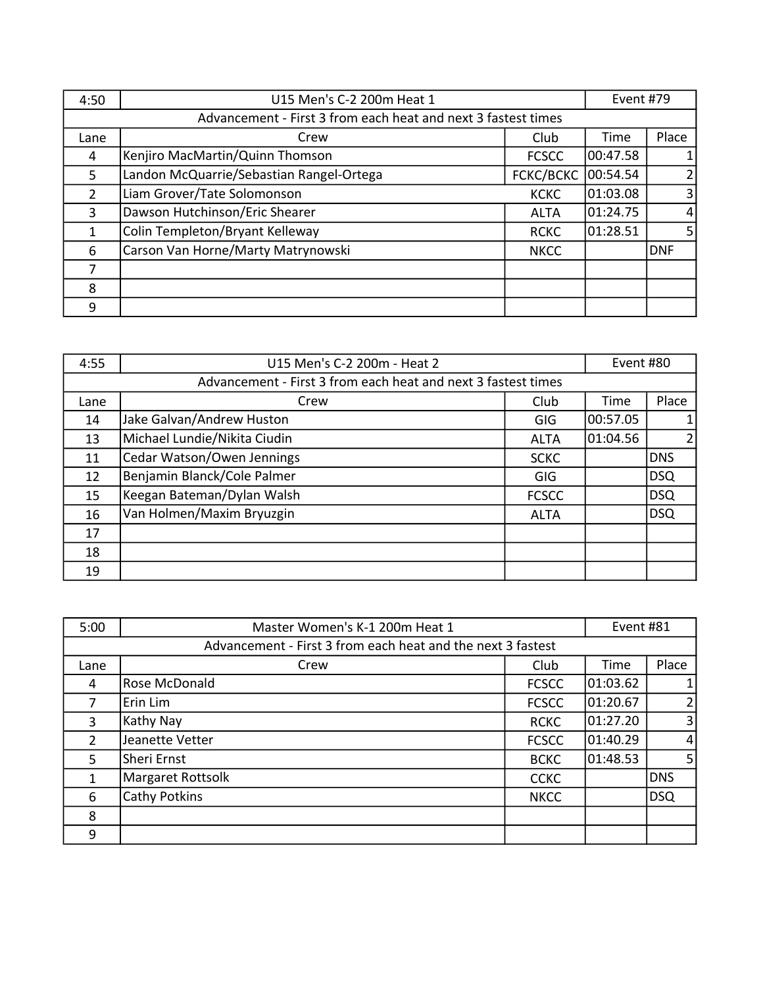| 4:50          | U15 Men's C-2 200m Heat 1                                     |              | Event #79 |                |
|---------------|---------------------------------------------------------------|--------------|-----------|----------------|
|               | Advancement - First 3 from each heat and next 3 fastest times |              |           |                |
| Lane          | Crew                                                          | Club         | Time      | Place          |
| 4             | Kenjiro MacMartin/Quinn Thomson                               | <b>FCSCC</b> | 00:47.58  | $\mathbf{1}$   |
| 5             | Landon McQuarrie/Sebastian Rangel-Ortega                      | FCKC/BCKC    | 00:54.54  | $\overline{2}$ |
| $\mathcal{P}$ | Liam Grover/Tate Solomonson                                   | <b>KCKC</b>  | 01:03.08  | $\overline{3}$ |
| 3             | Dawson Hutchinson/Eric Shearer                                | <b>ALTA</b>  | 01:24.75  | $\overline{4}$ |
| $\mathbf{1}$  | Colin Templeton/Bryant Kelleway                               | <b>RCKC</b>  | 01:28.51  | 5 <sub>l</sub> |
| 6             | Carson Van Horne/Marty Matrynowski                            | <b>NKCC</b>  |           | <b>DNF</b>     |
| 7             |                                                               |              |           |                |
| 8             |                                                               |              |           |                |
| 9             |                                                               |              |           |                |

| 4:55 | U15 Men's C-2 200m - Heat 2                                   |              | Event #80 |                |
|------|---------------------------------------------------------------|--------------|-----------|----------------|
|      | Advancement - First 3 from each heat and next 3 fastest times |              |           |                |
| Lane | Crew                                                          | Club         | Time      | Place          |
| 14   | Jake Galvan/Andrew Huston                                     | GIG          | 00:57.05  |                |
| 13   | Michael Lundie/Nikita Ciudin                                  | <b>ALTA</b>  | 01:04.56  | $\overline{2}$ |
| 11   | Cedar Watson/Owen Jennings                                    | <b>SCKC</b>  |           | <b>DNS</b>     |
| 12   | Benjamin Blanck/Cole Palmer                                   | GIG          |           | DSQ            |
| 15   | Keegan Bateman/Dylan Walsh                                    | <b>FCSCC</b> |           | DSQ            |
| 16   | Van Holmen/Maxim Bryuzgin                                     | <b>ALTA</b>  |           | DSQ            |
| 17   |                                                               |              |           |                |
| 18   |                                                               |              |           |                |
| 19   |                                                               |              |           |                |

| 5:00                                                        | Master Women's K-1 200m Heat 1 |              | Event #81 |                |
|-------------------------------------------------------------|--------------------------------|--------------|-----------|----------------|
| Advancement - First 3 from each heat and the next 3 fastest |                                |              |           |                |
| Lane                                                        | Crew                           | Club         | Time      | Place          |
| 4                                                           | Rose McDonald                  | <b>FCSCC</b> | 01:03.62  |                |
| 7                                                           | Erin Lim                       | <b>FCSCC</b> | 01:20.67  | $\overline{2}$ |
| 3                                                           | Kathy Nay                      | <b>RCKC</b>  | 01:27.20  | $\overline{3}$ |
| $\overline{2}$                                              | Jeanette Vetter                | <b>FCSCC</b> | 01:40.29  | $\vert$        |
| 5                                                           | Sheri Ernst                    | <b>BCKC</b>  | 01:48.53  | 5 <sub>l</sub> |
| 1                                                           | Margaret Rottsolk              | <b>CCKC</b>  |           | <b>DNS</b>     |
| 6                                                           | Cathy Potkins                  | <b>NKCC</b>  |           | DSQ            |
| 8                                                           |                                |              |           |                |
| 9                                                           |                                |              |           |                |